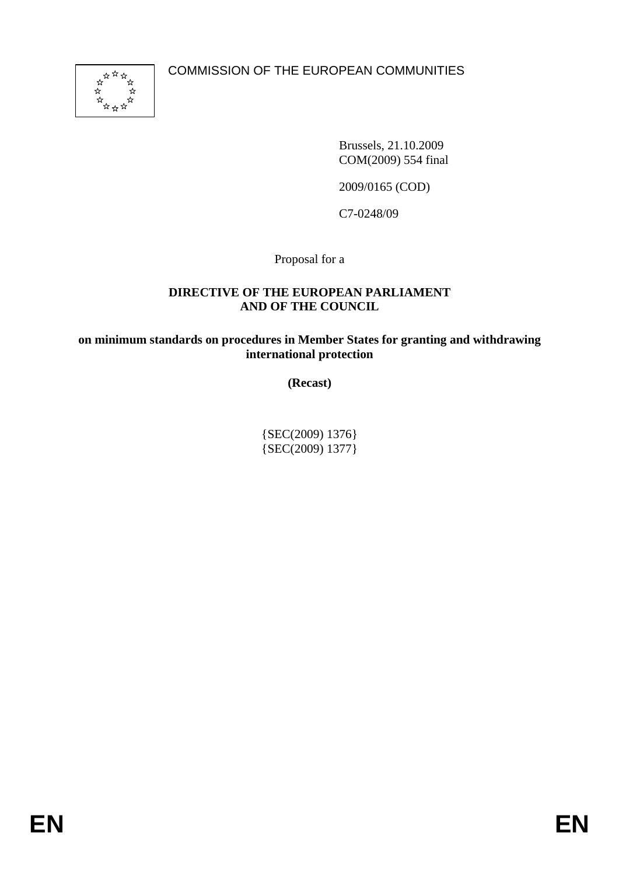

Brussels, 21.10.2009 COM(2009) 554 final

2009/0165 (COD)

C7-0248/09

Proposal for a

#### **DIRECTIVE OF THE EUROPEAN PARLIAMENT AND OF THE COUNCIL**

**on minimum standards on procedures in Member States for granting and withdrawing international protection** 

**(Recast)** 

{SEC(2009) 1376} {SEC(2009) 1377}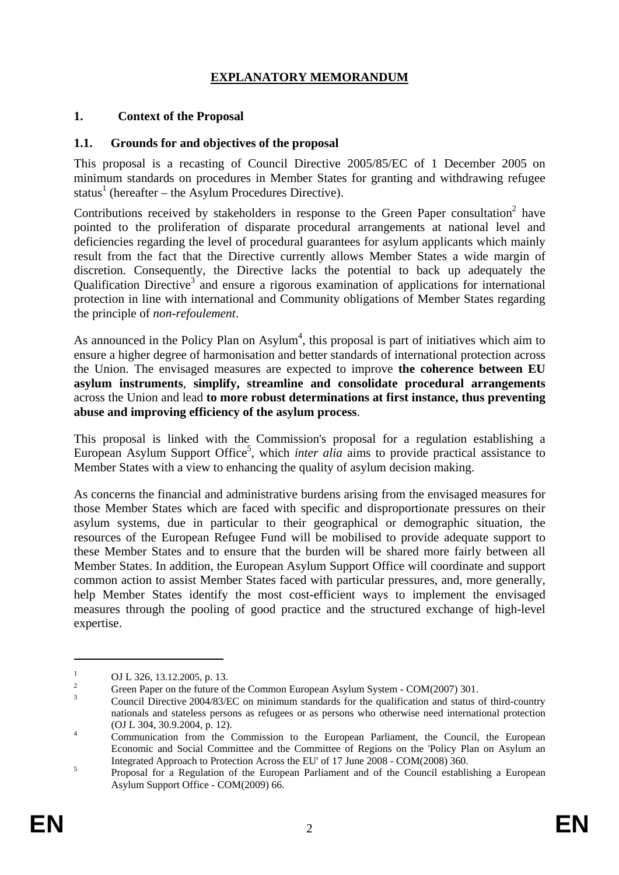# **EXPLANATORY MEMORANDUM**

#### **1. Context of the Proposal**

#### **1.1. Grounds for and objectives of the proposal**

This proposal is a recasting of Council Directive 2005/85/EC of 1 December 2005 on minimum standards on procedures in Member States for granting and withdrawing refugee status<sup>1</sup> (hereafter – the Asylum Procedures Directive).

Contributions received by stakeholders in response to the Green Paper consultation<sup>2</sup> have pointed to the proliferation of disparate procedural arrangements at national level and deficiencies regarding the level of procedural guarantees for asylum applicants which mainly result from the fact that the Directive currently allows Member States a wide margin of discretion. Consequently, the Directive lacks the potential to back up adequately the Qualification Directive<sup>3</sup> and ensure a rigorous examination of applications for international protection in line with international and Community obligations of Member States regarding the principle of *non-refoulement*.

As announced in the Policy Plan on Asylum<sup>4</sup>, this proposal is part of initiatives which aim to ensure a higher degree of harmonisation and better standards of international protection across the Union. The envisaged measures are expected to improve **the coherence between EU asylum instruments**, **simplify, streamline and consolidate procedural arrangements** across the Union and lead **to more robust determinations at first instance, thus preventing abuse and improving efficiency of the asylum process**.

This proposal is linked with the Commission's proposal for a regulation establishing a European Asylum Support Office<sup>5</sup>, which *inter alia* aims to provide practical assistance to Member States with a view to enhancing the quality of asylum decision making.

As concerns the financial and administrative burdens arising from the envisaged measures for those Member States which are faced with specific and disproportionate pressures on their asylum systems, due in particular to their geographical or demographic situation, the resources of the European Refugee Fund will be mobilised to provide adequate support to these Member States and to ensure that the burden will be shared more fairly between all Member States. In addition, the European Asylum Support Office will coordinate and support common action to assist Member States faced with particular pressures, and, more generally, help Member States identify the most cost-efficient ways to implement the envisaged measures through the pooling of good practice and the structured exchange of high-level expertise.

<sup>1</sup>  $\frac{1}{2}$  OJ L 326, 13.12.2005, p. 13.

Green Paper on the future of the Common European Asylum System - COM(2007) 301.

<sup>3</sup> Council Directive 2004/83/EC on minimum standards for the qualification and status of third-country nationals and stateless persons as refugees or as persons who otherwise need international protection (OJ L 304, 30.9.2004, p. 12).

Communication from the Commission to the European Parliament, the Council, the European Economic and Social Committee and the Committee of Regions on the 'Policy Plan on Asylum an Integrated Approach to Protection Across the EU' of 17 June 2008 - COM(2008) 360.

Proposal for a Regulation of the European Parliament and of the Council establishing a European Asylum Support Office - COM(2009) 66.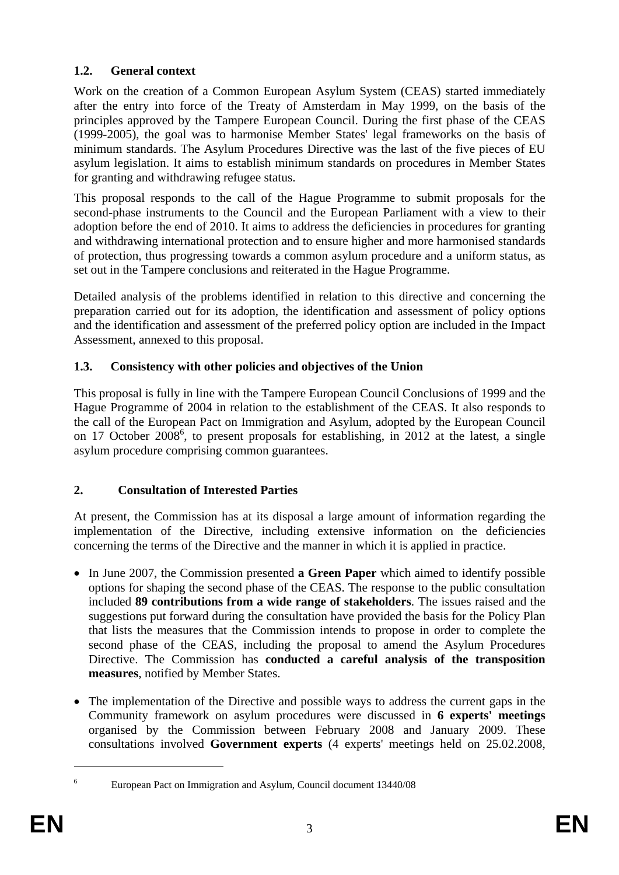# **1.2. General context**

Work on the creation of a Common European Asylum System (CEAS) started immediately after the entry into force of the Treaty of Amsterdam in May 1999, on the basis of the principles approved by the Tampere European Council. During the first phase of the CEAS (1999-2005), the goal was to harmonise Member States' legal frameworks on the basis of minimum standards. The Asylum Procedures Directive was the last of the five pieces of EU asylum legislation. It aims to establish minimum standards on procedures in Member States for granting and withdrawing refugee status.

This proposal responds to the call of the Hague Programme to submit proposals for the second-phase instruments to the Council and the European Parliament with a view to their adoption before the end of 2010. It aims to address the deficiencies in procedures for granting and withdrawing international protection and to ensure higher and more harmonised standards of protection, thus progressing towards a common asylum procedure and a uniform status, as set out in the Tampere conclusions and reiterated in the Hague Programme.

Detailed analysis of the problems identified in relation to this directive and concerning the preparation carried out for its adoption, the identification and assessment of policy options and the identification and assessment of the preferred policy option are included in the Impact Assessment, annexed to this proposal.

# **1.3. Consistency with other policies and objectives of the Union**

This proposal is fully in line with the Tampere European Council Conclusions of 1999 and the Hague Programme of 2004 in relation to the establishment of the CEAS. It also responds to the call of the European Pact on Immigration and Asylum, adopted by the European Council on 17 October 2008<sup>6</sup>, to present proposals for establishing, in 2012 at the latest, a single asylum procedure comprising common guarantees.

# **2. Consultation of Interested Parties**

At present, the Commission has at its disposal a large amount of information regarding the implementation of the Directive, including extensive information on the deficiencies concerning the terms of the Directive and the manner in which it is applied in practice.

- In June 2007, the Commission presented **a Green Paper** which aimed to identify possible options for shaping the second phase of the CEAS. The response to the public consultation included **89 contributions from a wide range of stakeholders**. The issues raised and the suggestions put forward during the consultation have provided the basis for the Policy Plan that lists the measures that the Commission intends to propose in order to complete the second phase of the CEAS, including the proposal to amend the Asylum Procedures Directive. The Commission has **conducted a careful analysis of the transposition measures**, notified by Member States.
- The implementation of the Directive and possible ways to address the current gaps in the Community framework on asylum procedures were discussed in **6 experts' meetings**  organised by the Commission between February 2008 and January 2009. These consultations involved **Government experts** (4 experts' meetings held on 25.02.2008,

<sup>6</sup>

European Pact on Immigration and Asylum, Council document 13440/08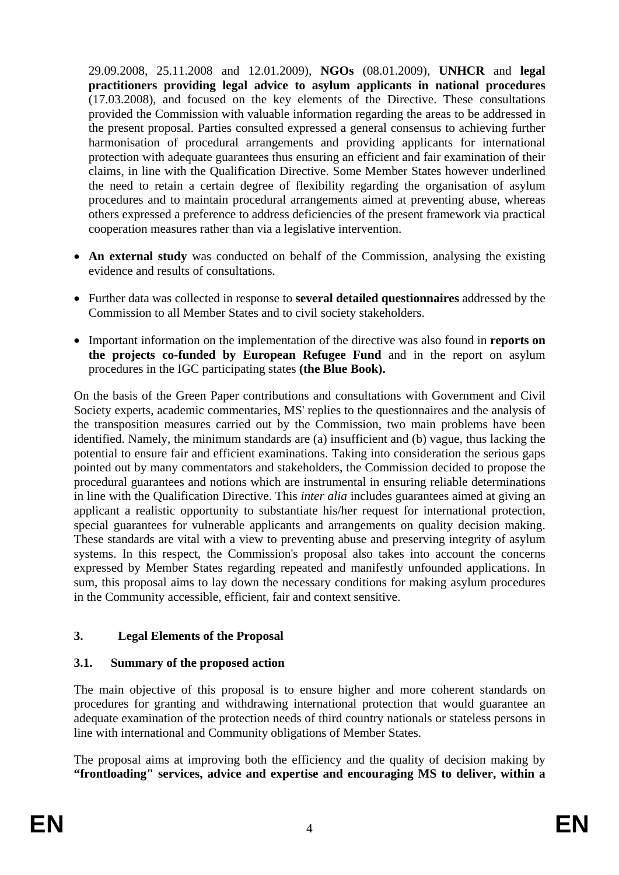29.09.2008, 25.11.2008 and 12.01.2009), **NGOs** (08.01.2009), **UNHCR** and **legal practitioners providing legal advice to asylum applicants in national procedures** (17.03.2008), and focused on the key elements of the Directive. These consultations provided the Commission with valuable information regarding the areas to be addressed in the present proposal. Parties consulted expressed a general consensus to achieving further harmonisation of procedural arrangements and providing applicants for international protection with adequate guarantees thus ensuring an efficient and fair examination of their claims, in line with the Qualification Directive. Some Member States however underlined the need to retain a certain degree of flexibility regarding the organisation of asylum procedures and to maintain procedural arrangements aimed at preventing abuse, whereas others expressed a preference to address deficiencies of the present framework via practical cooperation measures rather than via a legislative intervention.

- **An external study** was conducted on behalf of the Commission, analysing the existing evidence and results of consultations.
- Further data was collected in response to **several detailed questionnaires** addressed by the Commission to all Member States and to civil society stakeholders.
- Important information on the implementation of the directive was also found in **reports on the projects co-funded by European Refugee Fund** and in the report on asylum procedures in the IGC participating states **(the Blue Book).**

On the basis of the Green Paper contributions and consultations with Government and Civil Society experts, academic commentaries, MS' replies to the questionnaires and the analysis of the transposition measures carried out by the Commission, two main problems have been identified. Namely, the minimum standards are (a) insufficient and (b) vague, thus lacking the potential to ensure fair and efficient examinations. Taking into consideration the serious gaps pointed out by many commentators and stakeholders, the Commission decided to propose the procedural guarantees and notions which are instrumental in ensuring reliable determinations in line with the Qualification Directive. This *inter alia* includes guarantees aimed at giving an applicant a realistic opportunity to substantiate his/her request for international protection, special guarantees for vulnerable applicants and arrangements on quality decision making. These standards are vital with a view to preventing abuse and preserving integrity of asylum systems. In this respect, the Commission's proposal also takes into account the concerns expressed by Member States regarding repeated and manifestly unfounded applications. In sum, this proposal aims to lay down the necessary conditions for making asylum procedures in the Community accessible, efficient, fair and context sensitive.

# **3. Legal Elements of the Proposal**

# **3.1. Summary of the proposed action**

The main objective of this proposal is to ensure higher and more coherent standards on procedures for granting and withdrawing international protection that would guarantee an adequate examination of the protection needs of third country nationals or stateless persons in line with international and Community obligations of Member States.

The proposal aims at improving both the efficiency and the quality of decision making by **"frontloading" services, advice and expertise and encouraging MS to deliver, within a**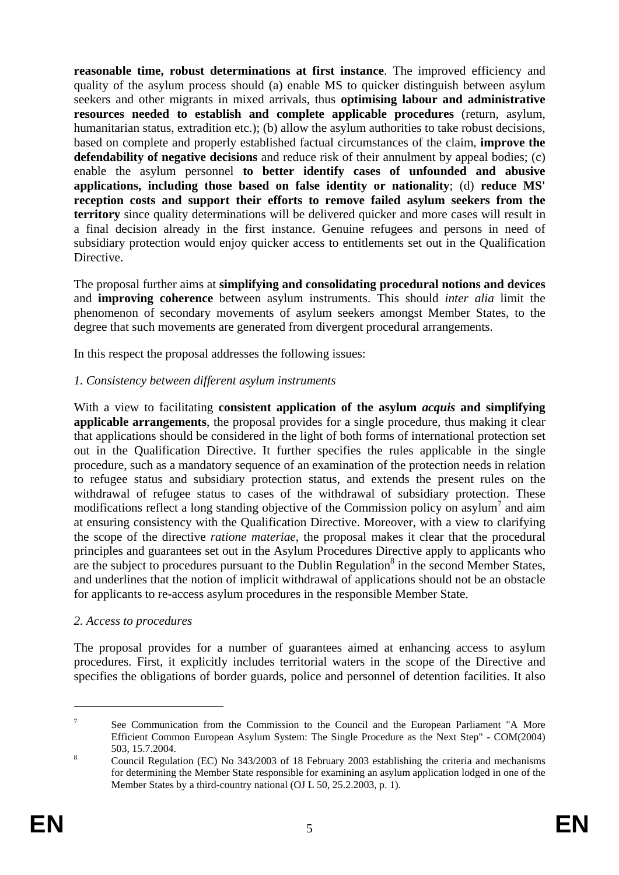**reasonable time, robust determinations at first instance**. The improved efficiency and quality of the asylum process should (a) enable MS to quicker distinguish between asylum seekers and other migrants in mixed arrivals, thus **optimising labour and administrative resources needed to establish and complete applicable procedures** (return, asylum, humanitarian status, extradition etc.); (b) allow the asylum authorities to take robust decisions, based on complete and properly established factual circumstances of the claim, **improve the defendability of negative decisions** and reduce risk of their annulment by appeal bodies; (c) enable the asylum personnel **to better identify cases of unfounded and abusive applications, including those based on false identity or nationality**; (d) **reduce MS' reception costs and support their efforts to remove failed asylum seekers from the territory** since quality determinations will be delivered quicker and more cases will result in a final decision already in the first instance. Genuine refugees and persons in need of subsidiary protection would enjoy quicker access to entitlements set out in the Qualification Directive.

The proposal further aims at **simplifying and consolidating procedural notions and devices** and **improving coherence** between asylum instruments. This should *inter alia* limit the phenomenon of secondary movements of asylum seekers amongst Member States, to the degree that such movements are generated from divergent procedural arrangements.

In this respect the proposal addresses the following issues:

# *1. Consistency between different asylum instruments*

With a view to facilitating **consistent application of the asylum** *acquis* **and simplifying applicable arrangements**, the proposal provides for a single procedure, thus making it clear that applications should be considered in the light of both forms of international protection set out in the Qualification Directive. It further specifies the rules applicable in the single procedure, such as a mandatory sequence of an examination of the protection needs in relation to refugee status and subsidiary protection status, and extends the present rules on the withdrawal of refugee status to cases of the withdrawal of subsidiary protection. These modifications reflect a long standing objective of the Commission policy on asylum<sup>7</sup> and aim at ensuring consistency with the Qualification Directive. Moreover, with a view to clarifying the scope of the directive *ratione materiae*, the proposal makes it clear that the procedural principles and guarantees set out in the Asylum Procedures Directive apply to applicants who are the subject to procedures pursuant to the Dublin Regulation $\delta$  in the second Member States, and underlines that the notion of implicit withdrawal of applications should not be an obstacle for applicants to re-access asylum procedures in the responsible Member State.

# *2. Access to procedures*

The proposal provides for a number of guarantees aimed at enhancing access to asylum procedures. First, it explicitly includes territorial waters in the scope of the Directive and specifies the obligations of border guards, police and personnel of detention facilities. It also

<sup>7</sup> See Communication from the Commission to the Council and the European Parliament "A More Efficient Common European Asylum System: The Single Procedure as the Next Step" - COM(2004)  $503, 15.7.2004.$ 

Council Regulation (EC) No 343/2003 of 18 February 2003 establishing the criteria and mechanisms for determining the Member State responsible for examining an asylum application lodged in one of the Member States by a third-country national (OJ L 50, 25.2.2003, p. 1).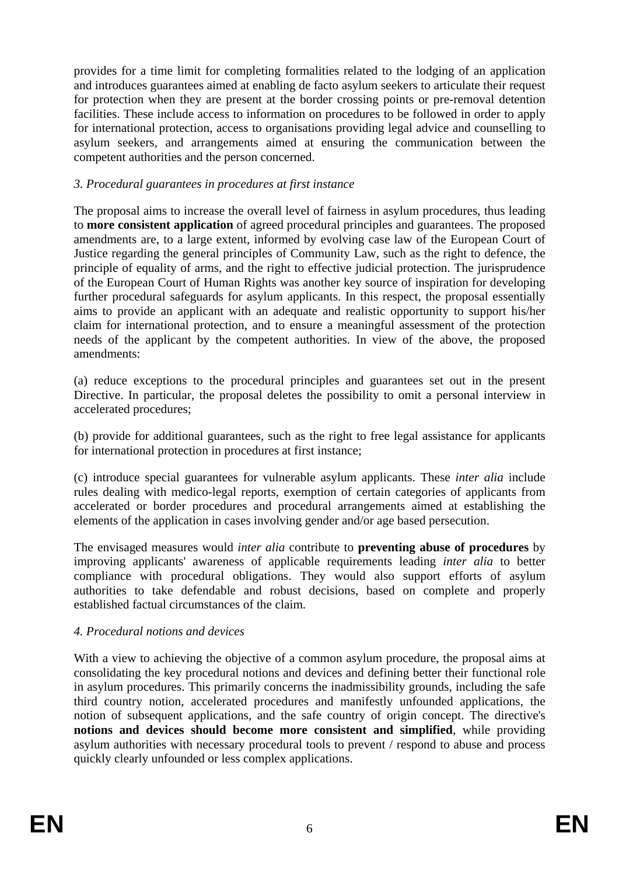provides for a time limit for completing formalities related to the lodging of an application and introduces guarantees aimed at enabling de facto asylum seekers to articulate their request for protection when they are present at the border crossing points or pre-removal detention facilities. These include access to information on procedures to be followed in order to apply for international protection, access to organisations providing legal advice and counselling to asylum seekers, and arrangements aimed at ensuring the communication between the competent authorities and the person concerned.

# *3. Procedural guarantees in procedures at first instance*

The proposal aims to increase the overall level of fairness in asylum procedures, thus leading to **more consistent application** of agreed procedural principles and guarantees. The proposed amendments are, to a large extent, informed by evolving case law of the European Court of Justice regarding the general principles of Community Law, such as the right to defence, the principle of equality of arms, and the right to effective judicial protection. The jurisprudence of the European Court of Human Rights was another key source of inspiration for developing further procedural safeguards for asylum applicants. In this respect, the proposal essentially aims to provide an applicant with an adequate and realistic opportunity to support his/her claim for international protection, and to ensure a meaningful assessment of the protection needs of the applicant by the competent authorities. In view of the above, the proposed amendments:

(a) reduce exceptions to the procedural principles and guarantees set out in the present Directive. In particular, the proposal deletes the possibility to omit a personal interview in accelerated procedures;

(b) provide for additional guarantees, such as the right to free legal assistance for applicants for international protection in procedures at first instance;

(c) introduce special guarantees for vulnerable asylum applicants. These *inter alia* include rules dealing with medico-legal reports, exemption of certain categories of applicants from accelerated or border procedures and procedural arrangements aimed at establishing the elements of the application in cases involving gender and/or age based persecution.

The envisaged measures would *inter alia* contribute to **preventing abuse of procedures** by improving applicants' awareness of applicable requirements leading *inter alia* to better compliance with procedural obligations. They would also support efforts of asylum authorities to take defendable and robust decisions, based on complete and properly established factual circumstances of the claim.

#### *4. Procedural notions and devices*

With a view to achieving the objective of a common asylum procedure, the proposal aims at consolidating the key procedural notions and devices and defining better their functional role in asylum procedures. This primarily concerns the inadmissibility grounds, including the safe third country notion, accelerated procedures and manifestly unfounded applications, the notion of subsequent applications, and the safe country of origin concept. The directive's **notions and devices should become more consistent and simplified**, while providing asylum authorities with necessary procedural tools to prevent / respond to abuse and process quickly clearly unfounded or less complex applications.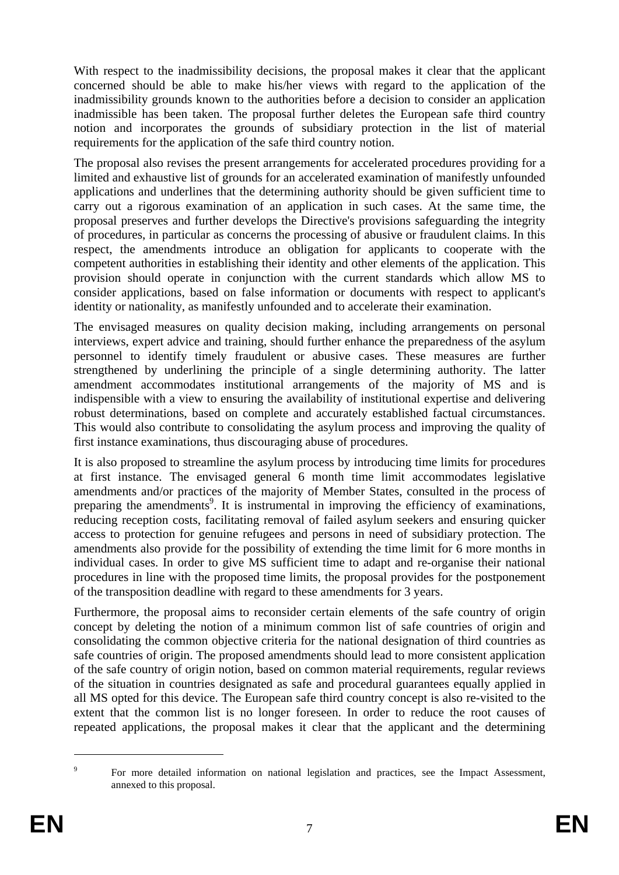With respect to the inadmissibility decisions, the proposal makes it clear that the applicant concerned should be able to make his/her views with regard to the application of the inadmissibility grounds known to the authorities before a decision to consider an application inadmissible has been taken. The proposal further deletes the European safe third country notion and incorporates the grounds of subsidiary protection in the list of material requirements for the application of the safe third country notion.

The proposal also revises the present arrangements for accelerated procedures providing for a limited and exhaustive list of grounds for an accelerated examination of manifestly unfounded applications and underlines that the determining authority should be given sufficient time to carry out a rigorous examination of an application in such cases. At the same time, the proposal preserves and further develops the Directive's provisions safeguarding the integrity of procedures, in particular as concerns the processing of abusive or fraudulent claims. In this respect, the amendments introduce an obligation for applicants to cooperate with the competent authorities in establishing their identity and other elements of the application. This provision should operate in conjunction with the current standards which allow MS to consider applications, based on false information or documents with respect to applicant's identity or nationality, as manifestly unfounded and to accelerate their examination.

The envisaged measures on quality decision making, including arrangements on personal interviews, expert advice and training, should further enhance the preparedness of the asylum personnel to identify timely fraudulent or abusive cases. These measures are further strengthened by underlining the principle of a single determining authority. The latter amendment accommodates institutional arrangements of the majority of MS and is indispensible with a view to ensuring the availability of institutional expertise and delivering robust determinations, based on complete and accurately established factual circumstances. This would also contribute to consolidating the asylum process and improving the quality of first instance examinations, thus discouraging abuse of procedures.

It is also proposed to streamline the asylum process by introducing time limits for procedures at first instance. The envisaged general 6 month time limit accommodates legislative amendments and/or practices of the majority of Member States, consulted in the process of preparing the amendments<sup>9</sup>. It is instrumental in improving the efficiency of examinations, reducing reception costs, facilitating removal of failed asylum seekers and ensuring quicker access to protection for genuine refugees and persons in need of subsidiary protection. The amendments also provide for the possibility of extending the time limit for 6 more months in individual cases. In order to give MS sufficient time to adapt and re-organise their national procedures in line with the proposed time limits, the proposal provides for the postponement of the transposition deadline with regard to these amendments for 3 years.

Furthermore, the proposal aims to reconsider certain elements of the safe country of origin concept by deleting the notion of a minimum common list of safe countries of origin and consolidating the common objective criteria for the national designation of third countries as safe countries of origin. The proposed amendments should lead to more consistent application of the safe country of origin notion, based on common material requirements, regular reviews of the situation in countries designated as safe and procedural guarantees equally applied in all MS opted for this device. The European safe third country concept is also re-visited to the extent that the common list is no longer foreseen. In order to reduce the root causes of repeated applications, the proposal makes it clear that the applicant and the determining

 $\alpha$  For more detailed information on national legislation and practices, see the Impact Assessment, annexed to this proposal.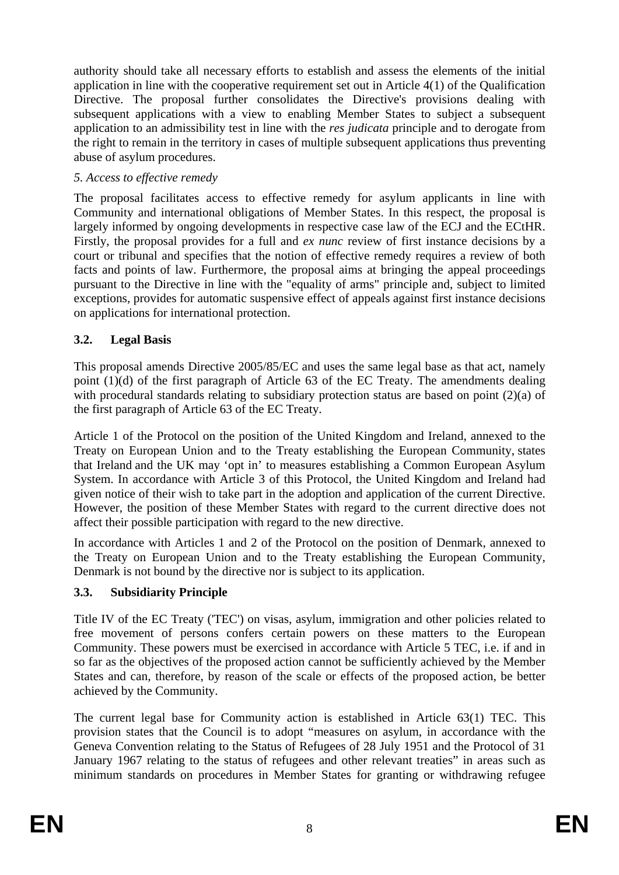authority should take all necessary efforts to establish and assess the elements of the initial application in line with the cooperative requirement set out in Article 4(1) of the Qualification Directive. The proposal further consolidates the Directive's provisions dealing with subsequent applications with a view to enabling Member States to subject a subsequent application to an admissibility test in line with the *res judicata* principle and to derogate from the right to remain in the territory in cases of multiple subsequent applications thus preventing abuse of asylum procedures.

### *5. Access to effective remedy*

The proposal facilitates access to effective remedy for asylum applicants in line with Community and international obligations of Member States. In this respect, the proposal is largely informed by ongoing developments in respective case law of the ECJ and the ECtHR. Firstly, the proposal provides for a full and *ex nunc* review of first instance decisions by a court or tribunal and specifies that the notion of effective remedy requires a review of both facts and points of law. Furthermore, the proposal aims at bringing the appeal proceedings pursuant to the Directive in line with the "equality of arms" principle and, subject to limited exceptions, provides for automatic suspensive effect of appeals against first instance decisions on applications for international protection.

# **3.2. Legal Basis**

This proposal amends Directive 2005/85/EC and uses the same legal base as that act, namely point (1)(d) of the first paragraph of Article 63 of the EC Treaty. The amendments dealing with procedural standards relating to subsidiary protection status are based on point (2)(a) of the first paragraph of Article 63 of the EC Treaty.

Article 1 of the Protocol on the position of the United Kingdom and Ireland, annexed to the Treaty on European Union and to the Treaty establishing the European Community, states that Ireland and the UK may 'opt in' to measures establishing a Common European Asylum System. In accordance with Article 3 of this Protocol, the United Kingdom and Ireland had given notice of their wish to take part in the adoption and application of the current Directive. However, the position of these Member States with regard to the current directive does not affect their possible participation with regard to the new directive.

In accordance with Articles 1 and 2 of the Protocol on the position of Denmark, annexed to the Treaty on European Union and to the Treaty establishing the European Community, Denmark is not bound by the directive nor is subject to its application.

# **3.3. Subsidiarity Principle**

Title IV of the EC Treaty ('TEC') on visas, asylum, immigration and other policies related to free movement of persons confers certain powers on these matters to the European Community. These powers must be exercised in accordance with Article 5 TEC, i.e. if and in so far as the objectives of the proposed action cannot be sufficiently achieved by the Member States and can, therefore, by reason of the scale or effects of the proposed action, be better achieved by the Community.

The current legal base for Community action is established in Article 63(1) TEC. This provision states that the Council is to adopt "measures on asylum, in accordance with the Geneva Convention relating to the Status of Refugees of 28 July 1951 and the Protocol of 31 January 1967 relating to the status of refugees and other relevant treaties" in areas such as minimum standards on procedures in Member States for granting or withdrawing refugee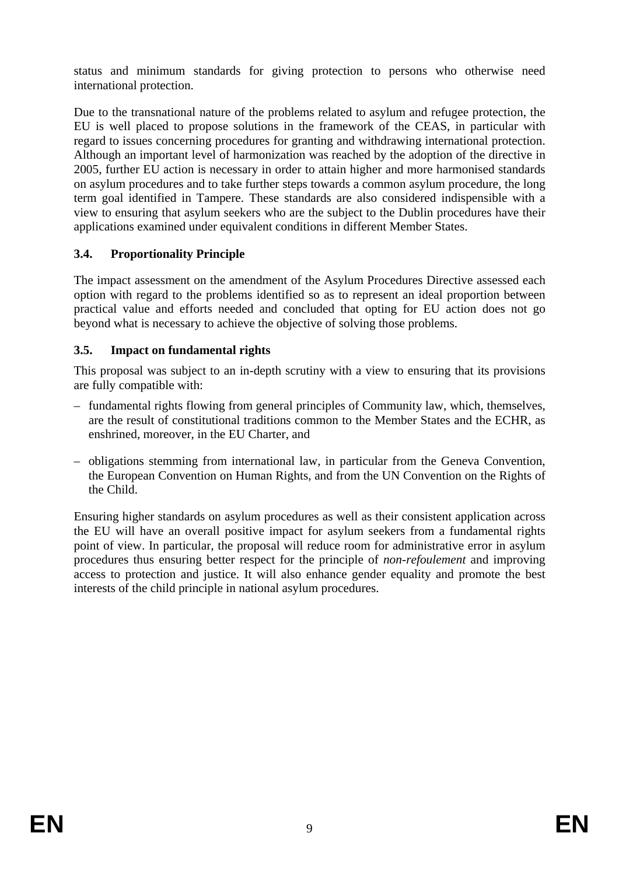status and minimum standards for giving protection to persons who otherwise need international protection.

Due to the transnational nature of the problems related to asylum and refugee protection, the EU is well placed to propose solutions in the framework of the CEAS, in particular with regard to issues concerning procedures for granting and withdrawing international protection. Although an important level of harmonization was reached by the adoption of the directive in 2005, further EU action is necessary in order to attain higher and more harmonised standards on asylum procedures and to take further steps towards a common asylum procedure, the long term goal identified in Tampere. These standards are also considered indispensible with a view to ensuring that asylum seekers who are the subject to the Dublin procedures have their applications examined under equivalent conditions in different Member States.

# **3.4. Proportionality Principle**

The impact assessment on the amendment of the Asylum Procedures Directive assessed each option with regard to the problems identified so as to represent an ideal proportion between practical value and efforts needed and concluded that opting for EU action does not go beyond what is necessary to achieve the objective of solving those problems.

# **3.5. Impact on fundamental rights**

This proposal was subject to an in-depth scrutiny with a view to ensuring that its provisions are fully compatible with:

- fundamental rights flowing from general principles of Community law, which, themselves, are the result of constitutional traditions common to the Member States and the ECHR, as enshrined, moreover, in the EU Charter, and
- obligations stemming from international law, in particular from the Geneva Convention, the European Convention on Human Rights, and from the UN Convention on the Rights of the Child.

Ensuring higher standards on asylum procedures as well as their consistent application across the EU will have an overall positive impact for asylum seekers from a fundamental rights point of view. In particular, the proposal will reduce room for administrative error in asylum procedures thus ensuring better respect for the principle of *non-refoulement* and improving access to protection and justice. It will also enhance gender equality and promote the best interests of the child principle in national asylum procedures.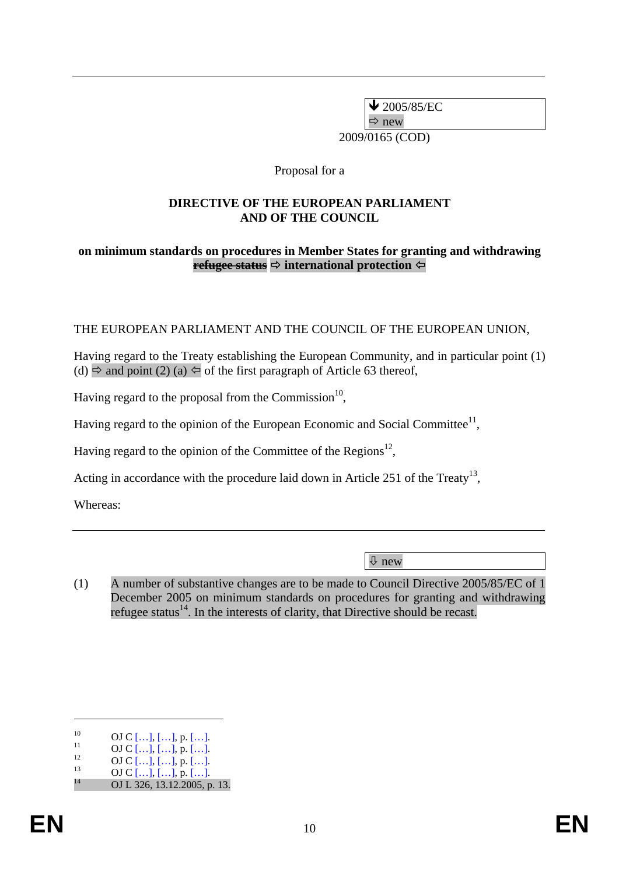$\bigvee$  2005/85/EC

 $\Rightarrow$  new

2009/0165 (COD)

Proposal for a

### **DIRECTIVE OF THE EUROPEAN PARLIAMENT AND OF THE COUNCIL**

### **on minimum standards on procedures in Member States for granting and withdrawing refugee status** Ö **international protection**

# THE EUROPEAN PARLIAMENT AND THE COUNCIL OF THE EUROPEAN UNION,

Having regard to the Treaty establishing the European Community, and in particular point (1) (d)  $\Rightarrow$  and point (2) (a)  $\Leftarrow$  of the first paragraph of Article 63 thereof,

Having regard to the proposal from the Commission $^{10}$ .

Having regard to the opinion of the European Economic and Social Committee<sup>11</sup>,

Having regard to the opinion of the Committee of the Regions<sup>12</sup>,

Acting in accordance with the procedure laid down in Article 251 of the Treaty<sup>13</sup>,

Whereas:

Ø new

(1) A number of substantive changes are to be made to Council Directive 2005/85/EC of 1 December 2005 on minimum standards on procedures for granting and withdrawing refugee status<sup>14</sup>. In the interests of clarity, that Directive should be recast.

<sup>10</sup> OJ C […], […], p. […].<br>
11 OJ C […], […], p. […].<br>
13 OJ C […], […], p. […].<br>
14 OJ L 326, 13.12.2005, p. 13.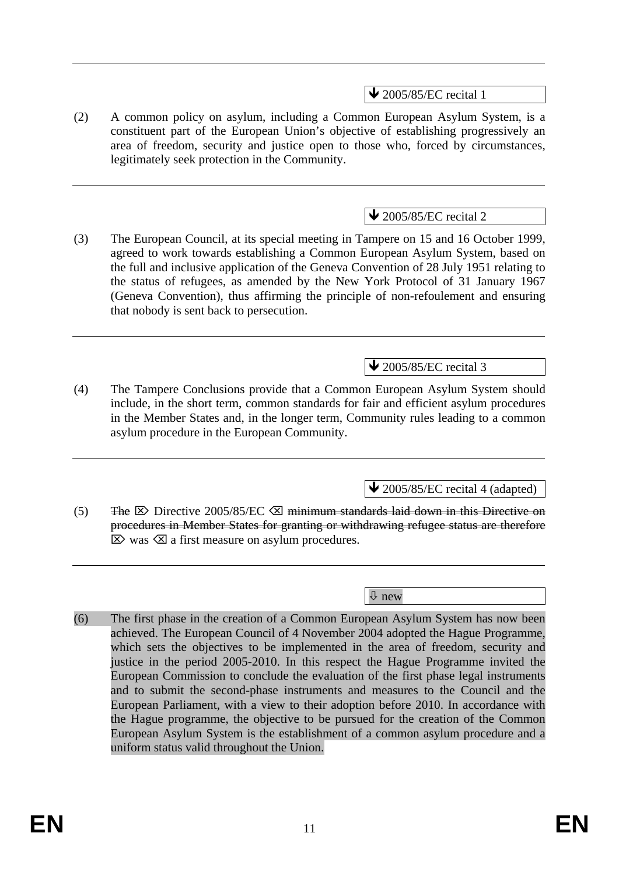$\blacktriangleright$  2005/85/EC recital 1

(2) A common policy on asylum, including a Common European Asylum System, is a constituent part of the European Union's objective of establishing progressively an area of freedom, security and justice open to those who, forced by circumstances, legitimately seek protection in the Community.

# $\blacktriangleright$  2005/85/EC recital 2

(3) The European Council, at its special meeting in Tampere on 15 and 16 October 1999, agreed to work towards establishing a Common European Asylum System, based on the full and inclusive application of the Geneva Convention of 28 July 1951 relating to the status of refugees, as amended by the New York Protocol of 31 January 1967 (Geneva Convention), thus affirming the principle of non-refoulement and ensuring that nobody is sent back to persecution.

# $\blacktriangleright$  2005/85/EC recital 3

(4) The Tampere Conclusions provide that a Common European Asylum System should include, in the short term, common standards for fair and efficient asylum procedures in the Member States and, in the longer term, Community rules leading to a common asylum procedure in the European Community.

 $\blacktriangleright$  2005/85/EC recital 4 (adapted)

(5) The  $\boxtimes$  Directive 2005/85/EC  $\boxtimes$  minimum standards laid down in this Directive on procedures in Member States for granting or withdrawing refugee status are therefore  $\boxtimes$  was  $\boxtimes$  a first measure on asylum procedures.

Ø new

(6) The first phase in the creation of a Common European Asylum System has now been achieved. The European Council of 4 November 2004 adopted the Hague Programme, which sets the objectives to be implemented in the area of freedom, security and justice in the period 2005-2010. In this respect the Hague Programme invited the European Commission to conclude the evaluation of the first phase legal instruments and to submit the second-phase instruments and measures to the Council and the European Parliament, with a view to their adoption before 2010. In accordance with the Hague programme, the objective to be pursued for the creation of the Common European Asylum System is the establishment of a common asylum procedure and a uniform status valid throughout the Union.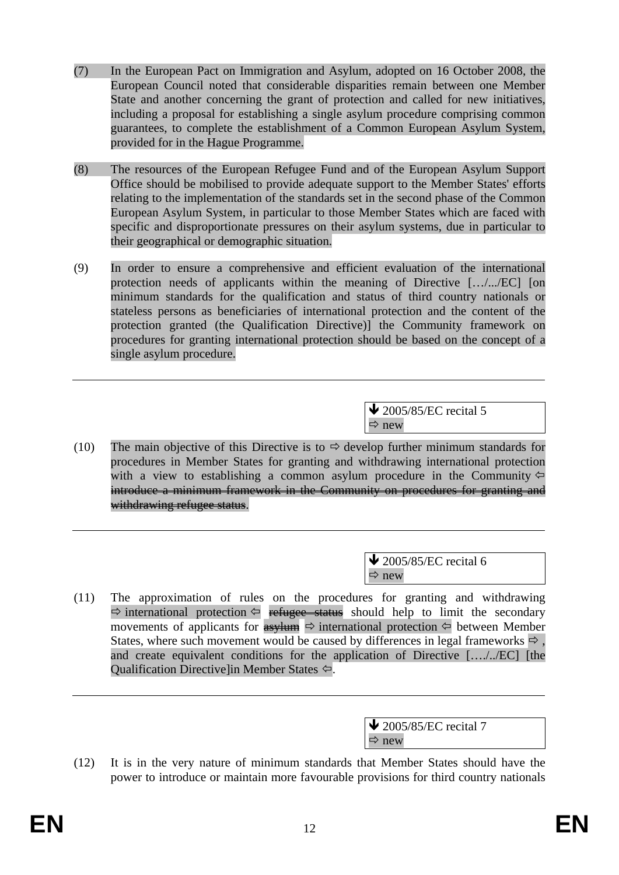- (7) In the European Pact on Immigration and Asylum, adopted on 16 October 2008, the European Council noted that considerable disparities remain between one Member State and another concerning the grant of protection and called for new initiatives, including a proposal for establishing a single asylum procedure comprising common guarantees, to complete the establishment of a Common European Asylum System, provided for in the Hague Programme.
- (8) The resources of the European Refugee Fund and of the European Asylum Support Office should be mobilised to provide adequate support to the Member States' efforts relating to the implementation of the standards set in the second phase of the Common European Asylum System, in particular to those Member States which are faced with specific and disproportionate pressures on their asylum systems, due in particular to their geographical or demographic situation.
- (9) In order to ensure a comprehensive and efficient evaluation of the international protection needs of applicants within the meaning of Directive […/.../EC] [on minimum standards for the qualification and status of third country nationals or stateless persons as beneficiaries of international protection and the content of the protection granted (the Qualification Directive)] the Community framework on procedures for granting international protection should be based on the concept of a single asylum procedure.

 $\triangle$  2005/85/EC recital 5  $\Rightarrow$  new

(10) The main objective of this Directive is to  $\Rightarrow$  develop further minimum standards for procedures in Member States for granting and withdrawing international protection with a view to establishing a common asylum procedure in the Community  $\Leftrightarrow$ introduce a minimum framework in the Community on procedures for granting and withdrawing refugee status.

> $\blacktriangleright$  2005/85/EC recital 6  $\Rightarrow$  new

(11) The approximation of rules on the procedures for granting and withdrawing  $\Rightarrow$  international protection  $\Leftrightarrow$  refugee status should help to limit the secondary movements of applicants for  $\frac{1}{\sqrt{2}}$  international protection  $\leftarrow$  between Member States, where such movement would be caused by differences in legal frameworks  $\Rightarrow$ . and create equivalent conditions for the application of Directive […./../EC] [the Qualification Directive]in Member States  $\Leftrightarrow$ .

| $\bigvee$ 2005/85/EC recital 7 |
|--------------------------------|
| $\Rightarrow$ new              |

(12) It is in the very nature of minimum standards that Member States should have the power to introduce or maintain more favourable provisions for third country nationals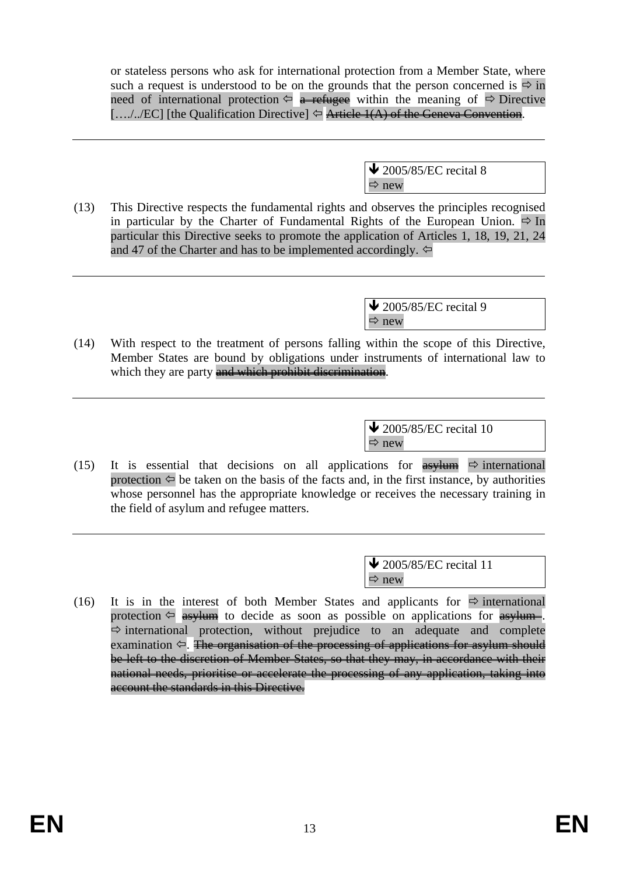or stateless persons who ask for international protection from a Member State, where such a request is understood to be on the grounds that the person concerned is  $\Rightarrow$  in need of international protection  $\Leftrightarrow$  a refugee within the meaning of  $\Leftrightarrow$  Directive  $[.../../EC]$  [the Qualification Directive]  $\Leftrightarrow$  Article 1(A) of the Geneva Convention.

> $\bigvee$  2005/85/EC recital 8  $\Rightarrow$  new

(13) This Directive respects the fundamental rights and observes the principles recognised in particular by the Charter of Fundamental Rights of the European Union.  $\Rightarrow$  In particular this Directive seeks to promote the application of Articles 1, 18, 19, 21, 24 and 47 of the Charter and has to be implemented accordingly.  $\Leftrightarrow$ 

> $\triangle$  2005/85/EC recital 9  $\Rightarrow$  new

(14) With respect to the treatment of persons falling within the scope of this Directive, Member States are bound by obligations under instruments of international law to which they are party and which prohibit discrimination.

> $\triangle$  2005/85/EC recital 10  $\Rightarrow$  new

(15) It is essential that decisions on all applications for  $\frac{asy \cdot \text{I}}{asy \cdot \text{I}}$  international protection  $\Leftrightarrow$  be taken on the basis of the facts and, in the first instance, by authorities whose personnel has the appropriate knowledge or receives the necessary training in the field of asylum and refugee matters.

> $\blacktriangleright$  2005/85/EC recital 11  $\Rightarrow$  new

(16) It is in the interest of both Member States and applicants for  $\Rightarrow$  international protection  $\Leftarrow$  asylum to decide as soon as possible on applications for asylum.  $\Rightarrow$  international protection, without prejudice to an adequate and complete examination  $\Leftrightarrow$ . The organisation of the processing of applications for asylum should be left to the discretion of Member States, so that they may, in accordance with their national needs, prioritise or accelerate the processing of any application, taking into account the standards in this Directive.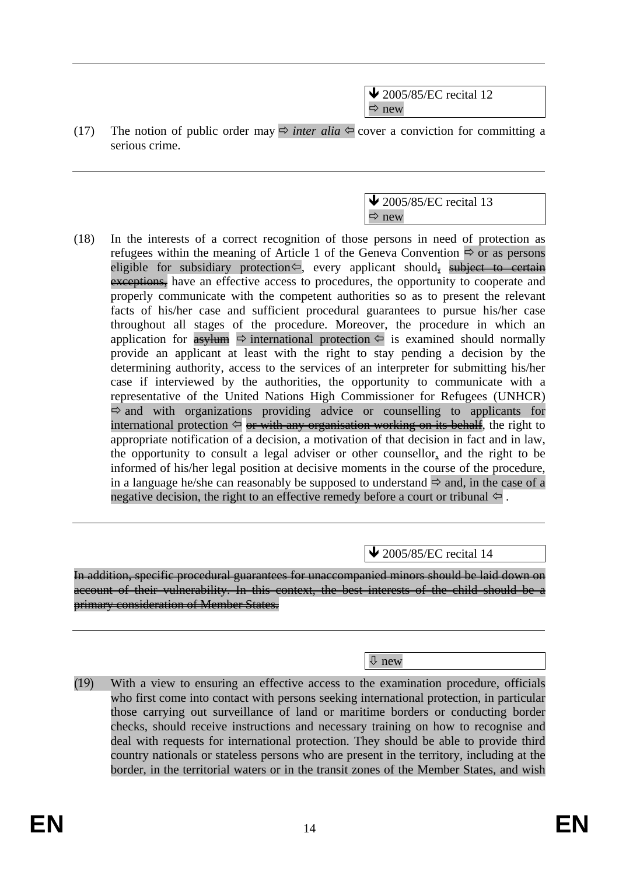$\blacktriangleright$  2005/85/EC recital 12  $\Rightarrow$  new

(17) The notion of public order may  $\Rightarrow$  *inter alia*  $\Leftarrow$  cover a conviction for committing a serious crime.



(18) In the interests of a correct recognition of those persons in need of protection as refugees within the meaning of Article 1 of the Geneva Convention  $\Rightarrow$  or as persons eligible for subsidiary protection $\leftarrow$ , every applicant should, subject to certain exceptions, have an effective access to procedures, the opportunity to cooperate and properly communicate with the competent authorities so as to present the relevant facts of his/her case and sufficient procedural guarantees to pursue his/her case throughout all stages of the procedure. Moreover, the procedure in which an application for  $\frac{4s}{1}$   $\Rightarrow$  international protection  $\leftarrow$  is examined should normally provide an applicant at least with the right to stay pending a decision by the determining authority, access to the services of an interpreter for submitting his/her case if interviewed by the authorities, the opportunity to communicate with a representative of the United Nations High Commissioner for Refugees (UNHCR)  $\Rightarrow$  and with organizations providing advice or counselling to applicants for international protection  $\Diamond$  or with any organisation working on its behalf, the right to appropriate notification of a decision, a motivation of that decision in fact and in law, the opportunity to consult a legal adviser or other counsellor, and the right to be informed of his/her legal position at decisive moments in the course of the procedure, in a language he/she can reasonably be supposed to understand  $\Rightarrow$  and, in the case of a negative decision, the right to an effective remedy before a court or tribunal  $\Leftarrow$ .

 $\blacktriangleright$  2005/85/EC recital 14

In addition, specific procedural guarantees for unaccompanied minors should be laid down on account of their vulnerability. In this context, the best interests of the child should be a primary consideration of Member States.

Ø new

(19) With a view to ensuring an effective access to the examination procedure, officials who first come into contact with persons seeking international protection, in particular those carrying out surveillance of land or maritime borders or conducting border checks, should receive instructions and necessary training on how to recognise and deal with requests for international protection. They should be able to provide third country nationals or stateless persons who are present in the territory, including at the border, in the territorial waters or in the transit zones of the Member States, and wish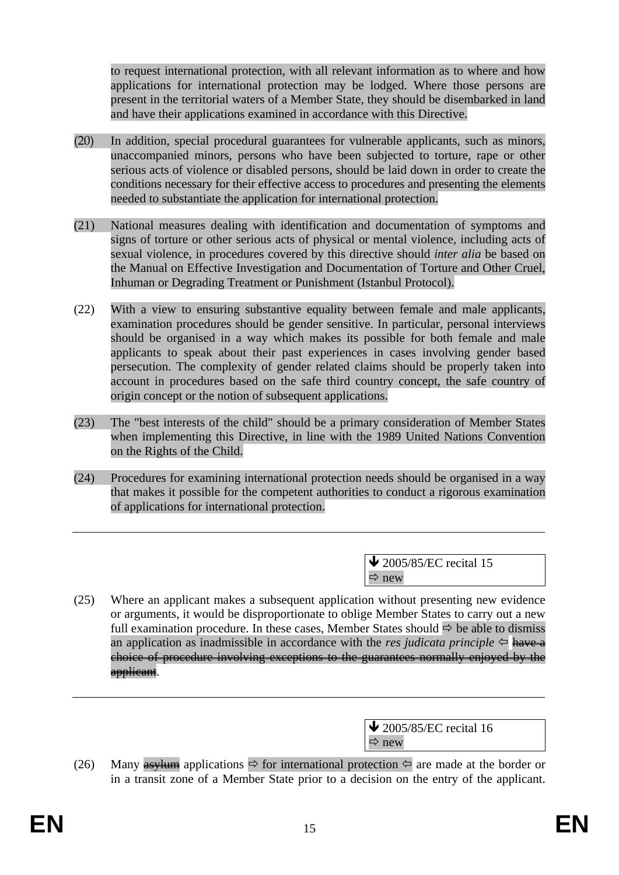to request international protection, with all relevant information as to where and how applications for international protection may be lodged. Where those persons are present in the territorial waters of a Member State, they should be disembarked in land and have their applications examined in accordance with this Directive.

- (20) In addition, special procedural guarantees for vulnerable applicants, such as minors, unaccompanied minors, persons who have been subjected to torture, rape or other serious acts of violence or disabled persons, should be laid down in order to create the conditions necessary for their effective access to procedures and presenting the elements needed to substantiate the application for international protection.
- (21) National measures dealing with identification and documentation of symptoms and signs of torture or other serious acts of physical or mental violence, including acts of sexual violence, in procedures covered by this directive should *inter alia* be based on the Manual on Effective Investigation and Documentation of Torture and Other Cruel, Inhuman or Degrading Treatment or Punishment (Istanbul Protocol).
- (22) With a view to ensuring substantive equality between female and male applicants, examination procedures should be gender sensitive. In particular, personal interviews should be organised in a way which makes its possible for both female and male applicants to speak about their past experiences in cases involving gender based persecution. The complexity of gender related claims should be properly taken into account in procedures based on the safe third country concept, the safe country of origin concept or the notion of subsequent applications.
- (23) The "best interests of the child" should be a primary consideration of Member States when implementing this Directive, in line with the 1989 United Nations Convention on the Rights of the Child.
- (24) Procedures for examining international protection needs should be organised in a way that makes it possible for the competent authorities to conduct a rigorous examination of applications for international protection.

 $\sqrt{2005/85/EC}$  recital 15  $\Rightarrow$  new

(25) Where an applicant makes a subsequent application without presenting new evidence or arguments, it would be disproportionate to oblige Member States to carry out a new full examination procedure. In these cases, Member States should  $\Rightarrow$  be able to dismiss an application as inadmissible in accordance with the *res judicata principle*  $\Leftarrow$  have a choice of procedure involving exceptions to the guarantees normally enjoyed by the applicant.

> $\blacktriangleright$  2005/85/EC recital 16  $\Rightarrow$  new

(26) Many  $\frac{asy \text{turn}}{asy \text{turn}}$  applications  $\Rightarrow$  for international protection  $\Leftarrow$  are made at the border or in a transit zone of a Member State prior to a decision on the entry of the applicant.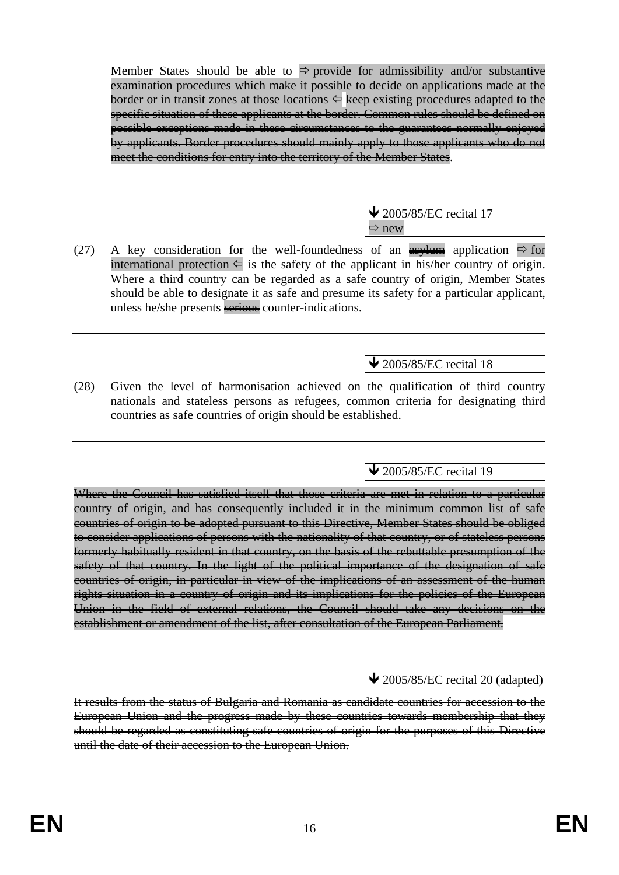Member States should be able to  $\Rightarrow$  provide for admissibility and/or substantive examination procedures which make it possible to decide on applications made at the border or in transit zones at those locations  $\Leftrightarrow$  keep existing procedures adapted to the specific situation of these applicants at the border. Common rules should be defined on possible exceptions made in these circumstances to the guarantees normally enjoyed by applicants. Border procedures should mainly apply to those applicants who do not meet the conditions for entry into the territory of the Member States.

> $\blacktriangleright$  2005/85/EC recital 17  $\Rightarrow$  new

(27) A key consideration for the well-foundedness of an  $\frac{1}{\sqrt{2}}$  application  $\Rightarrow$  for international protection  $\Leftarrow$  is the safety of the applicant in his/her country of origin. Where a third country can be regarded as a safe country of origin, Member States should be able to designate it as safe and presume its safety for a particular applicant, unless he/she presents serious counter-indications.

 $\overline{\text{4}}$  2005/85/EC recital 18

(28) Given the level of harmonisation achieved on the qualification of third country nationals and stateless persons as refugees, common criteria for designating third countries as safe countries of origin should be established.

 $\triangle$  2005/85/EC recital 19

Where the Council has satisfied itself that those criteria are met in relation to a particular country of origin, and has consequently included it in the minimum common list of safe countries of origin to be adopted pursuant to this Directive, Member States should be obliged to consider applications of persons with the nationality of that country, or of stateless persons formerly habitually resident in that country, on the basis of the rebuttable presumption of the safety of that country. In the light of the political importance of the designation of safe countries of origin, in particular in view of the implications of an assessment of the human rights situation in a country of origin and its implications for the policies of the European Union in the field of external relations, the Council should take any decisions on the establishment or amendment of the list, after consultation of the European Parliament.

# $\triangle$  2005/85/EC recital 20 (adapted)

It results from the status of Bulgaria and Romania as candidate countries for accession to the European Union and the progress made by these countries towards membership that they should be regarded as constituting safe countries of origin for the purposes of this Directive until the date of their accession to the European Union.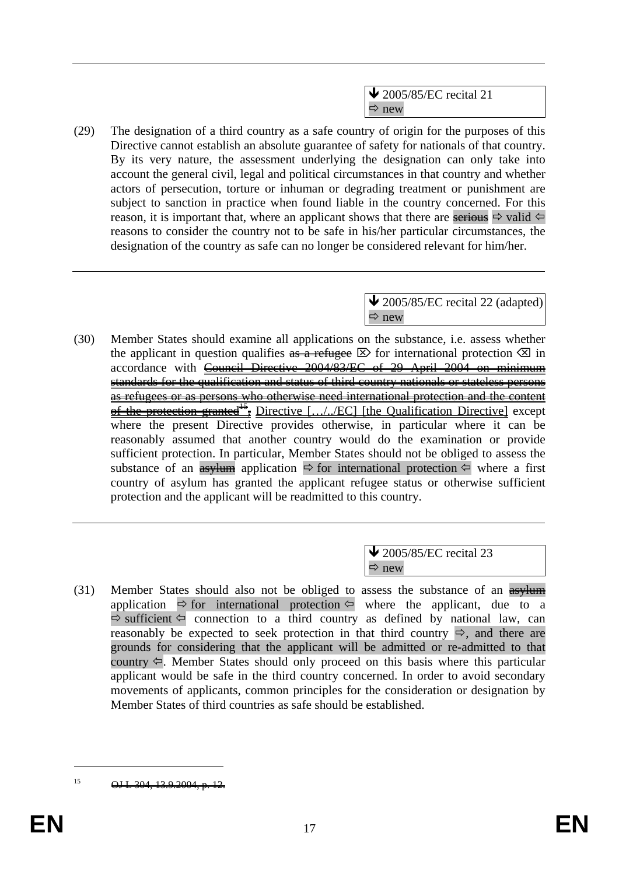$\blacktriangleright$  2005/85/EC recital 21  $\Rightarrow$  new

(29) The designation of a third country as a safe country of origin for the purposes of this Directive cannot establish an absolute guarantee of safety for nationals of that country. By its very nature, the assessment underlying the designation can only take into account the general civil, legal and political circumstances in that country and whether actors of persecution, torture or inhuman or degrading treatment or punishment are subject to sanction in practice when found liable in the country concerned. For this reason, it is important that, where an applicant shows that there are serious  $\Rightarrow$  valid  $\Leftarrow$ reasons to consider the country not to be safe in his/her particular circumstances, the designation of the country as safe can no longer be considered relevant for him/her.

> $\blacktriangleright$  2005/85/EC recital 22 (adapted)  $\Rightarrow$  new

(30) Member States should examine all applications on the substance, i.e. assess whether the applicant in question qualifies  $\overline{a}$  as  $\overline{a}$  refugee  $\boxtimes$  for international protection  $\boxtimes$  in accordance with Council Directive 2004/83/EC of 29 April 2004 on minimum standards for the qualification and status of third country nationals or stateless persons as refugees or as persons who otherwise need international protection and the content of the protection granted<sup>15</sup>, Directive  $[\ldots]$ . *EC*] [the Qualification Directive] except where the present Directive provides otherwise, in particular where it can be reasonably assumed that another country would do the examination or provide sufficient protection. In particular, Member States should not be obliged to assess the substance of an  $\frac{as}{\sqrt{m}}$  application  $\Rightarrow$  for international protection  $\Leftarrow$  where a first country of asylum has granted the applicant refugee status or otherwise sufficient protection and the applicant will be readmitted to this country.

> $\blacktriangleright$  2005/85/EC recital 23  $\Rightarrow$  new

(31) Member States should also not be obliged to assess the substance of an  $\frac{asylum}{asylum}$ application  $\Rightarrow$  for international protection  $\Leftrightarrow$  where the applicant, due to a  $\Rightarrow$  sufficient  $\Leftarrow$  connection to a third country as defined by national law, can reasonably be expected to seek protection in that third country  $\Rightarrow$ , and there are grounds for considering that the applicant will be admitted or re-admitted to that country  $\Leftrightarrow$ . Member States should only proceed on this basis where this particular applicant would be safe in the third country concerned. In order to avoid secondary movements of applicants, common principles for the consideration or designation by Member States of third countries as safe should be established.

 $15$  OJ L 304, 13.9.2004, p. 12.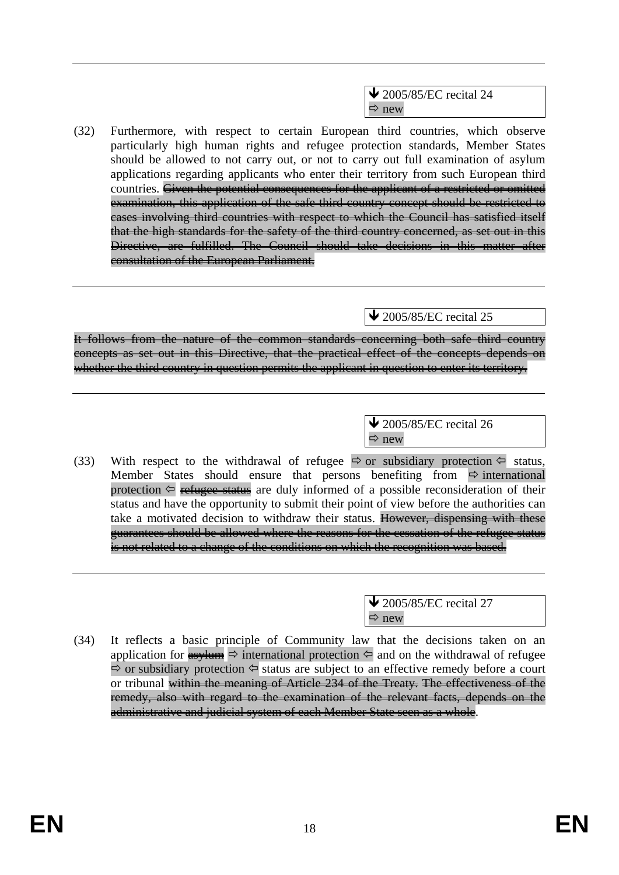$\triangle$  2005/85/EC recital 24  $\Rightarrow$  new

(32) Furthermore, with respect to certain European third countries, which observe particularly high human rights and refugee protection standards, Member States should be allowed to not carry out, or not to carry out full examination of asylum applications regarding applicants who enter their territory from such European third countries. Given the potential consequences for the applicant of a restricted or omitted examination, this application of the safe third country concept should be restricted to cases involving third countries with respect to which the Council has satisfied itself that the high standards for the safety of the third country concerned, as set out in this Directive, are fulfilled. The Council should take decisions in this matter after consultation of the European Parliament.

 $\sqrt{2005/85/EC}$  recital 25

It follows from the nature of the common standards concerning both safe third country concepts as set out in this Directive, that the practical effect of the concepts depends on whether the third country in question permits the applicant in question to enter its territory.

> $\blacktriangleright$  2005/85/EC recital 26  $\Rightarrow$  new

(33) With respect to the withdrawal of refugee  $\Rightarrow$  or subsidiary protection  $\Leftarrow$  status, Member States should ensure that persons benefiting from  $\Rightarrow$  international protection  $\Leftarrow$  refugee status are duly informed of a possible reconsideration of their status and have the opportunity to submit their point of view before the authorities can take a motivated decision to withdraw their status. However, dispensing with these guarantees should be allowed where the reasons for the cessation of the refugee status is not related to a change of the conditions on which the recognition was based.

> $\triangle$  2005/85/EC recital 27  $\Rightarrow$  new

(34) It reflects a basic principle of Community law that the decisions taken on an application for  $\frac{4s}{100}$   $\Rightarrow$  international protection  $\frac{1}{2}$  and on the withdrawal of refugee  $\Rightarrow$  or subsidiary protection  $\Leftrightarrow$  status are subject to an effective remedy before a court or tribunal within the meaning of Article 234 of the Treaty. The effectiveness of the remedy, also with regard to the examination of the relevant facts, depends on the administrative and judicial system of each Member State seen as a whole.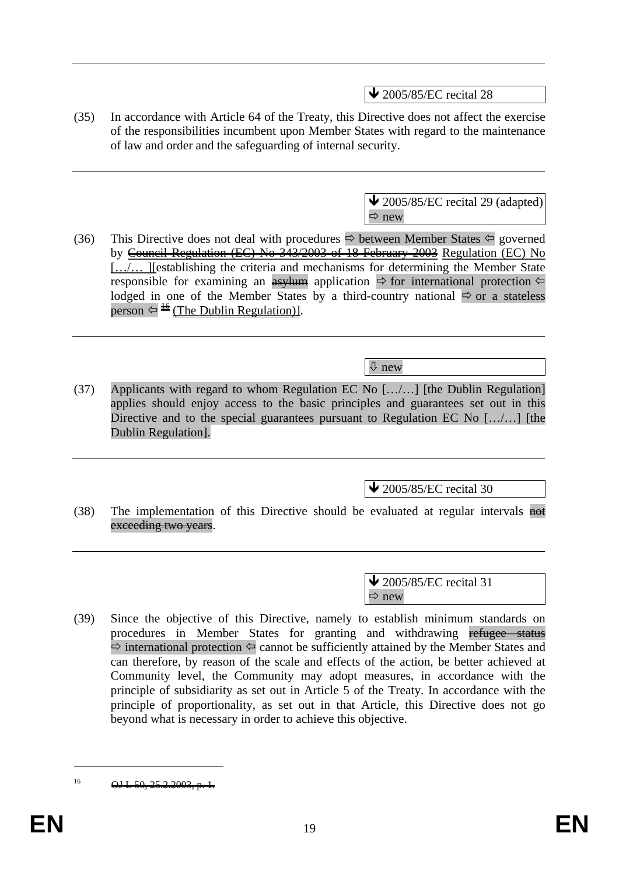$\blacktriangleright$  2005/85/EC recital 28

(35) In accordance with Article 64 of the Treaty, this Directive does not affect the exercise of the responsibilities incumbent upon Member States with regard to the maintenance of law and order and the safeguarding of internal security.

> $\bigvee$  2005/85/EC recital 29 (adapted)  $\Rightarrow$  new

(36) This Directive does not deal with procedures  $\Rightarrow$  between Member States  $\Leftarrow$  governed by Council Regulation (EC) No 343/2003 of 18 February 2003 Regulation (EC) No […/… ][establishing the criteria and mechanisms for determining the Member State responsible for examining an **asylum** application  $\Rightarrow$  for international protection  $\Leftarrow$ lodged in one of the Member States by a third-country national  $\Rightarrow$  or a stateless person  $\Leftrightarrow \triangleq$  (The Dublin Regulation)].

Ø new

(37) Applicants with regard to whom Regulation EC No […/…] [the Dublin Regulation] applies should enjoy access to the basic principles and guarantees set out in this Directive and to the special guarantees pursuant to Regulation EC No [.../...] [the Dublin Regulation].

 $\blacktriangleright$  2005/85/EC recital 30

(38) The implementation of this Directive should be evaluated at regular intervals  $\frac{1}{n}$ exceeding two years.

> $\blacktriangleright$  2005/85/EC recital 31  $\Rightarrow$  new

(39) Since the objective of this Directive, namely to establish minimum standards on procedures in Member States for granting and withdrawing refugee status  $\Rightarrow$  international protection  $\Leftrightarrow$  cannot be sufficiently attained by the Member States and can therefore, by reason of the scale and effects of the action, be better achieved at Community level, the Community may adopt measures, in accordance with the principle of subsidiarity as set out in Article 5 of the Treaty. In accordance with the principle of proportionality, as set out in that Article, this Directive does not go beyond what is necessary in order to achieve this objective.

 $16$  OJ L 50, 25.2.2003, p.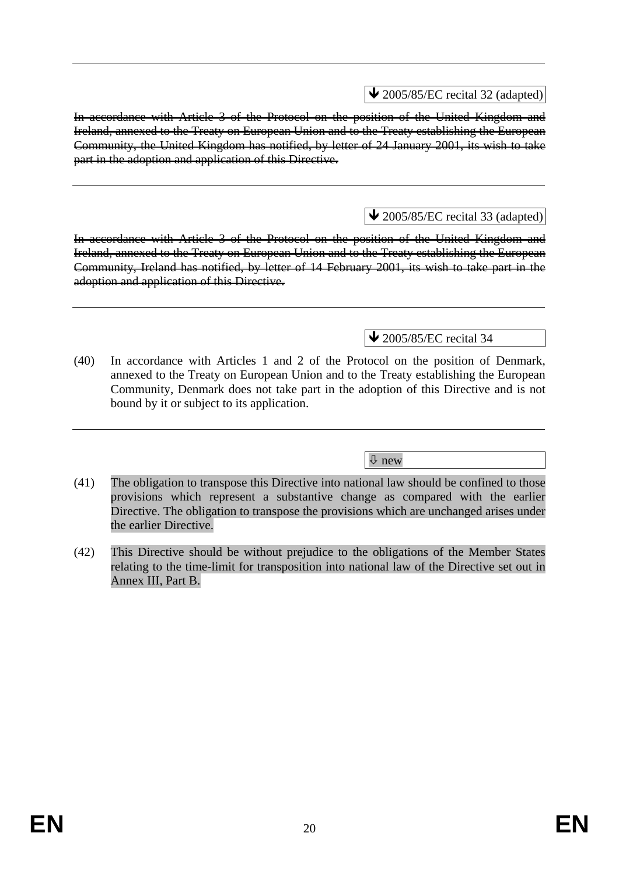$\triangle$  2005/85/EC recital 32 (adapted)

In accordance with Article 3 of the Protocol on the position of the United Kingdom and Ireland, annexed to the Treaty on European Union and to the Treaty establishing the European Community, the United Kingdom has notified, by letter of 24 January 2001, its wish to take part in the adoption and application of this Directive.

# $\triangle$  2005/85/EC recital 33 (adapted)

In accordance with Article 3 of the Protocol on the position of the United Kingdom and Ireland, annexed to the Treaty on European Union and to the Treaty establishing the European Community, Ireland has notified, by letter of 14 February 2001, its wish to take part in the adoption and application of this Directive.

# $\triangle$  2005/85/EC recital 34

(40) In accordance with Articles 1 and 2 of the Protocol on the position of Denmark, annexed to the Treaty on European Union and to the Treaty establishing the European Community, Denmark does not take part in the adoption of this Directive and is not bound by it or subject to its application.

Ø new

- (41) The obligation to transpose this Directive into national law should be confined to those provisions which represent a substantive change as compared with the earlier Directive. The obligation to transpose the provisions which are unchanged arises under the earlier Directive.
- (42) This Directive should be without prejudice to the obligations of the Member States relating to the time-limit for transposition into national law of the Directive set out in Annex III, Part B.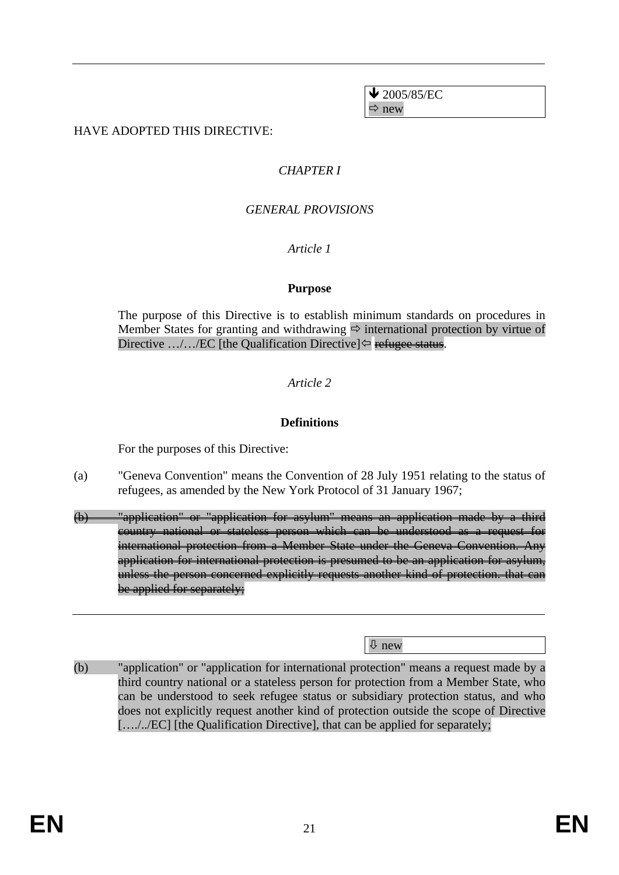$\bigvee$  2005/85/EC  $\Rightarrow$  new

### HAVE ADOPTED THIS DIRECTIVE:

### *CHAPTER I*

### *GENERAL PROVISIONS*

#### *Article 1*

#### **Purpose**

The purpose of this Directive is to establish minimum standards on procedures in Member States for granting and withdrawing  $\Rightarrow$  international protection by virtue of Directive .../.../EC [the Qualification Directive] $\Leftrightarrow$  refugee status.

# *Article 2*

#### **Definitions**

For the purposes of this Directive:

- (a) "Geneva Convention" means the Convention of 28 July 1951 relating to the status of refugees, as amended by the New York Protocol of 31 January 1967;
- (b) "application" or "application for asylum" means an application made by a third country national or stateless person which can be understood as a request for international protection from a Member State under the Geneva Convention. Any application for international protection is presumed to be an application for asylum, unless the person concerned explicitly requests another kind of protection. that can be applied for separately;

Ø new

(b) "application" or "application for international protection" means a request made by a third country national or a stateless person for protection from a Member State, who can be understood to seek refugee status or subsidiary protection status, and who does not explicitly request another kind of protection outside the scope of Directive […./../EC] [the Qualification Directive], that can be applied for separately;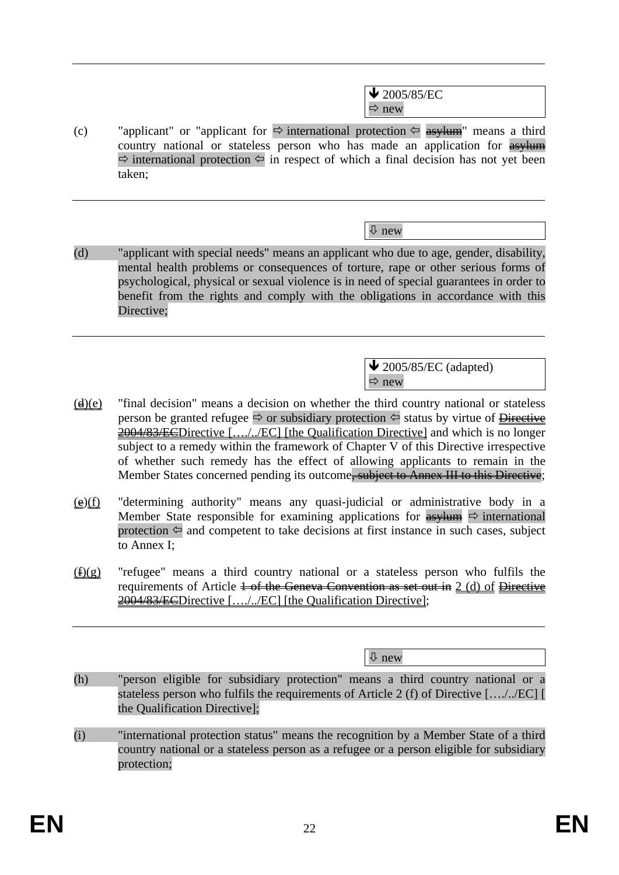$\bigvee$  2005/85/EC  $\Rightarrow$  new

(c) "applicant" or "applicant for  $\Rightarrow$  international protection  $\Leftarrow$  asylumed means a third country national or stateless person who has made an application for  $\frac{as}{lum}$  $\Rightarrow$  international protection  $\Leftarrow$  in respect of which a final decision has not yet been taken;

Ø new

(d) "applicant with special needs" means an applicant who due to age, gender, disability, mental health problems or consequences of torture, rape or other serious forms of psychological, physical or sexual violence is in need of special guarantees in order to benefit from the rights and comply with the obligations in accordance with this Directive;

> $\blacktriangleright$  2005/85/EC (adapted)  $\Rightarrow$  new

- $(d)(e)$  "final decision" means a decision on whether the third country national or stateless person be granted refugee  $\Rightarrow$  or subsidiary protection  $\Leftrightarrow$  status by virtue of  $\frac{\text{Directive}}{\text{Directive}}$ 2004/83/ECDirective […./../EC] [the Qualification Directive] and which is no longer subject to a remedy within the framework of Chapter V of this Directive irrespective of whether such remedy has the effect of allowing applicants to remain in the Member States concerned pending its outcome<del>, subject to Annex III to this Directive</del>;
- $(e)(f)$  "determining authority" means any quasi-judicial or administrative body in a Member State responsible for examining applications for  $\frac{asy \cdot 1}{\text{asy \cdot 1}}$   $\Rightarrow$  international protection  $\Leftarrow$  and competent to take decisions at first instance in such cases, subject to Annex I;
- $(f)(g)$  "refugee" means a third country national or a stateless person who fulfils the requirements of Article  $\frac{1}{1}$  of the Geneva Convention as set out in 2 (d) of Directive 2004/83/ECDirective [..../../EC] [the Qualification Directive];

Ø new

- (h) "person eligible for subsidiary protection" means a third country national or a stateless person who fulfils the requirements of Article 2 (f) of Directive […./../EC] [ the Qualification Directive];
- (i) "international protection status" means the recognition by a Member State of a third country national or a stateless person as a refugee or a person eligible for subsidiary protection;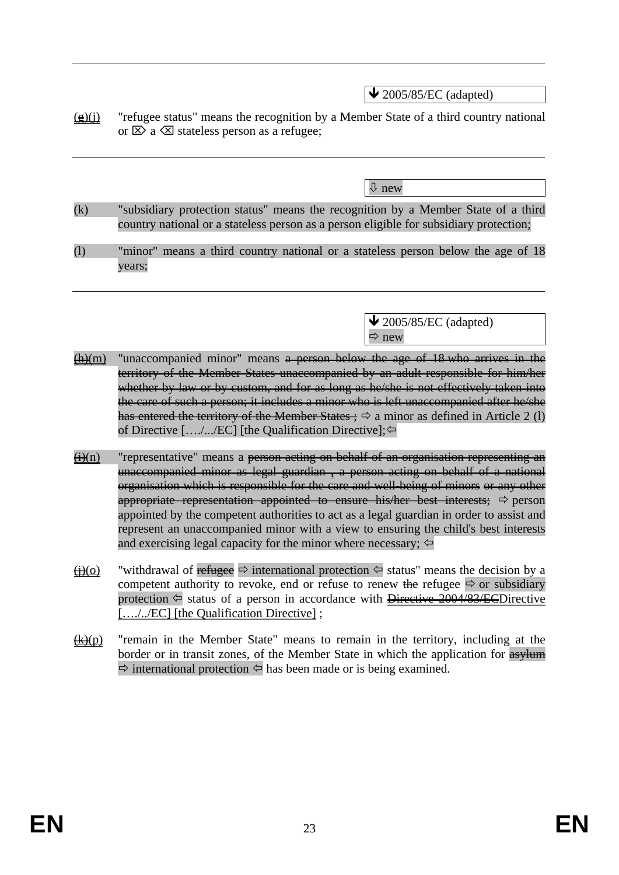$\blacktriangleright$  2005/85/EC (adapted)

 $(g)(j)$  "refugee status" means the recognition by a Member State of a third country national or  $\boxtimes$  a  $\boxtimes$  stateless person as a refugee;

Ø new

- (k) "subsidiary protection status" means the recognition by a Member State of a third country national or a stateless person as a person eligible for subsidiary protection;
- (l) "minor" means a third country national or a stateless person below the age of 18 years;

 $\blacktriangleright$  2005/85/EC (adapted)  $\Rightarrow$  new

- $(h)(m)$  "unaccompanied minor" means a person below the age of 18 who arrives in the territory of the Member States unaccompanied by an adult responsible for him/her whether by law or by custom, and for as long as he/she is not effectively taken into the care of such a person; it includes a minor who is left unaccompanied after he/she has entered the territory of the Member States  $\Rightarrow$  a minor as defined in Article 2 (1) of Directive [..../.../EC] [the Qualification Directive];⇔
- $\Theta(n)$  "representative" means a person acting on behalf of an organisation representing an unaccompanied minor as legal guardian , a person acting on behalf of a national organisation which is responsible for the care and well-being of minors or any other appropriate representation appointed to ensure his/her best interests;  $\Rightarrow$  person appointed by the competent authorities to act as a legal guardian in order to assist and represent an unaccompanied minor with a view to ensuring the child's best interests and exercising legal capacity for the minor where necessary;  $\Leftrightarrow$
- $\bigoplus$ (o) "withdrawal of refugee  $\Rightarrow$  international protection  $\Leftrightarrow$  status" means the decision by a competent authority to revoke, end or refuse to renew the refugee  $\Rightarrow$  or subsidiary protection  $\Leftarrow$  status of a person in accordance with Directive 2004/83/ECDirective […./../EC] [the Qualification Directive] ;
- $\frac{f(x)}{g(x)}$  "remain in the Member State" means to remain in the territory, including at the border or in transit zones, of the Member State in which the application for **asylum**  $\Rightarrow$  international protection  $\Leftarrow$  has been made or is being examined.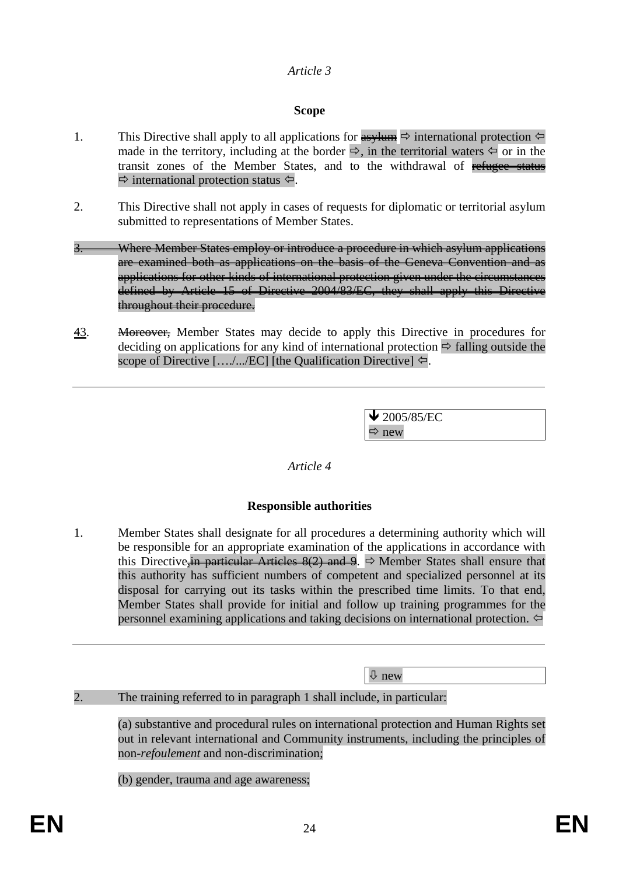### *Article 3*

### **Scope**

- 1. This Directive shall apply to all applications for  $\frac{1}{\sqrt{2}}$  international protection  $\leftarrow$ made in the territory, including at the border  $\Rightarrow$ , in the territorial waters  $\Leftarrow$  or in the transit zones of the Member States, and to the withdrawal of refugee status  $\Rightarrow$  international protection status  $\Leftarrow$ .
- 2. This Directive shall not apply in cases of requests for diplomatic or territorial asylum submitted to representations of Member States.
- Where Member States employ or introduce a procedure in which asylum applications are examined both as applications on the basis of the Geneva Convention and as applications for other kinds of international protection given under the circumstances defined by Article 15 of Directive 2004/83/EC, they shall apply this Directive throughout their procedure.
- 43. Moreover, Member States may decide to apply this Directive in procedures for deciding on applications for any kind of international protection  $\Rightarrow$  falling outside the scope of Directive  $[.../(ECI)]$  [the Qualification Directive]  $\Leftarrow$ .

 $\blacktriangleright$  2005/85/EC  $\Rightarrow$  new

#### *Article 4*

# **Responsible authorities**

1. Member States shall designate for all procedures a determining authority which will be responsible for an appropriate examination of the applications in accordance with this Directive, in particular Articles  $8(2)$  and 9.  $\Rightarrow$  Member States shall ensure that this authority has sufficient numbers of competent and specialized personnel at its disposal for carrying out its tasks within the prescribed time limits. To that end, Member States shall provide for initial and follow up training programmes for the personnel examining applications and taking decisions on international protection.  $\Leftrightarrow$ 

Ø new

# 2. The training referred to in paragraph 1 shall include, in particular:

(a) substantive and procedural rules on international protection and Human Rights set out in relevant international and Community instruments, including the principles of non-*refoulement* and non-discrimination;

(b) gender, trauma and age awareness;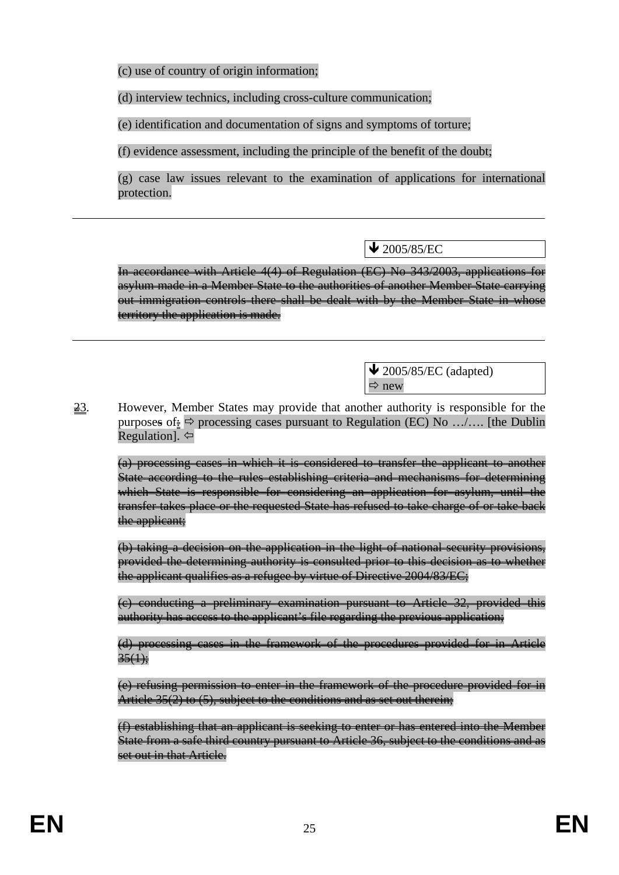(c) use of country of origin information;

(d) interview technics, including cross-culture communication;

(e) identification and documentation of signs and symptoms of torture;

(f) evidence assessment, including the principle of the benefit of the doubt;

(g) case law issues relevant to the examination of applications for international protection.

 $\sqrt{2005/85/EC}$ 

In accordance with Article 4(4) of Regulation (EC) No 343/2003, applications for asylum made in a Member State to the authorities of another Member State carrying out immigration controls there shall be dealt with by the Member State in whose territory the application is made.

> $\triangle$  2005/85/EC (adapted)  $\Rightarrow$  new

23. However, Member States may provide that another authority is responsible for the purposes of  $\frac{1}{2}$   $\Rightarrow$  processing cases pursuant to Regulation (EC) No .../.... [the Dublin Regulation].  $\Leftrightarrow$ 

(a) processing cases in which it is considered to transfer the applicant to another State according to the rules establishing criteria and mechanisms for determining which State is responsible for considering an application for asylum, until the transfer takes place or the requested State has refused to take charge of or take back the applicant;

(b) taking a decision on the application in the light of national security provisions, provided the determining authority is consulted prior to this decision as to whether the applicant qualifies as a refugee by virtue of Directive 2004/83/EC;

(c) conducting a preliminary examination pursuant to Article 32, provided this authority has access to the applicant's file regarding the previous application;

(d) processing cases in the framework of the procedures provided for in Article  $35(1)$ :

(e) refusing permission to enter in the framework of the procedure provided for in Article 35(2) to (5), subject to the conditions and as set out therein;

(f) establishing that an applicant is seeking to enter or has entered into the Member State from a safe third country pursuant to Article 36, subject to the conditions and as set out in that Article.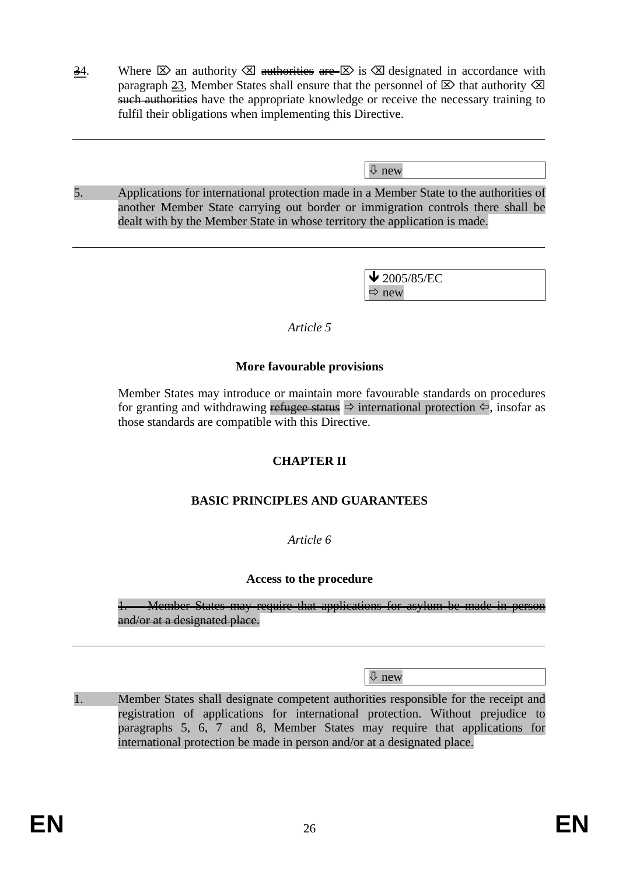$\frac{34}{10}$ . Where  $\boxtimes$  an authority  $\boxtimes$  authorities are  $\boxtimes$  is  $\boxtimes$  designated in accordance with paragraph  $\geq 3$ , Member States shall ensure that the personnel of  $\boxtimes$  that authority  $\boxtimes$ such authorities have the appropriate knowledge or receive the necessary training to fulfil their obligations when implementing this Directive.

Ø new

5. Applications for international protection made in a Member State to the authorities of another Member State carrying out border or immigration controls there shall be dealt with by the Member State in whose territory the application is made.

> $\blacktriangleright$  2005/85/EC  $\Rightarrow$  new

#### *Article 5*

### **More favourable provisions**

Member States may introduce or maintain more favourable standards on procedures for granting and withdrawing refugee status  $\Rightarrow$  international protection  $\Leftarrow$ , insofar as those standards are compatible with this Directive.

# **CHAPTER II**

# **BASIC PRINCIPLES AND GUARANTEES**

# *Article 6*

#### **Access to the procedure**

1. Member States may require that applications for asylum be made in person and/or at a designated place.

Ø new

1. Member States shall designate competent authorities responsible for the receipt and registration of applications for international protection. Without prejudice to paragraphs 5, 6, 7 and 8, Member States may require that applications for international protection be made in person and/or at a designated place.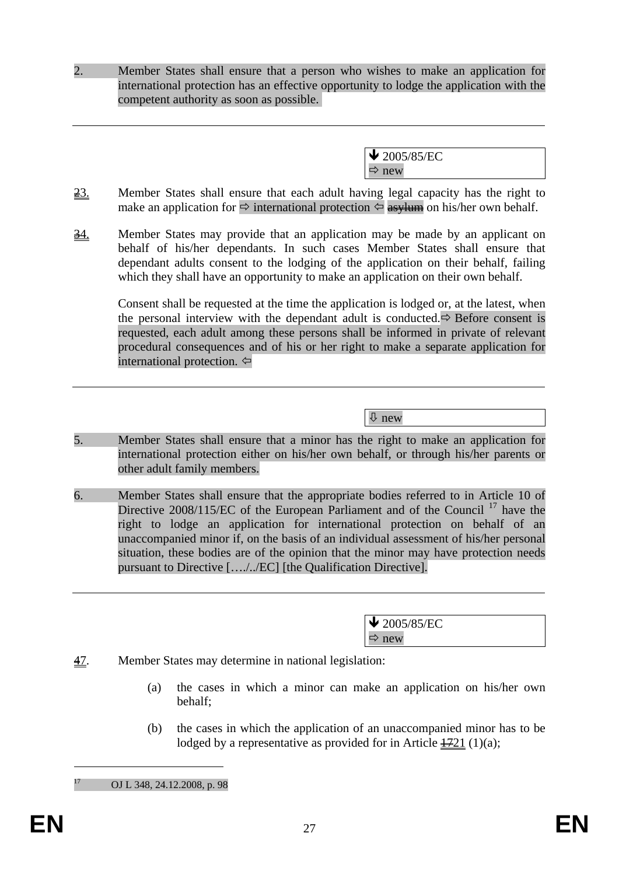2. Member States shall ensure that a person who wishes to make an application for international protection has an effective opportunity to lodge the application with the competent authority as soon as possible.

> $\bigvee$  2005/85/EC  $\Rightarrow$  new

- $\frac{23}{23}$ . Member States shall ensure that each adult having legal capacity has the right to make an application for  $\Rightarrow$  international protection  $\Leftarrow$  asylum on his/her own behalf.
- 34. Member States may provide that an application may be made by an applicant on behalf of his/her dependants. In such cases Member States shall ensure that dependant adults consent to the lodging of the application on their behalf, failing which they shall have an opportunity to make an application on their own behalf.

Consent shall be requested at the time the application is lodged or, at the latest, when the personal interview with the dependant adult is conducted. $\Rightarrow$  Before consent is requested, each adult among these persons shall be informed in private of relevant procedural consequences and of his or her right to make a separate application for international protection. ⇔

Ø new

- 5. Member States shall ensure that a minor has the right to make an application for international protection either on his/her own behalf, or through his/her parents or other adult family members.
- 6. Member States shall ensure that the appropriate bodies referred to in Article 10 of Directive 2008/115/EC of the European Parliament and of the Council <sup>17</sup> have the right to lodge an application for international protection on behalf of an unaccompanied minor if, on the basis of an individual assessment of his/her personal situation, these bodies are of the opinion that the minor may have protection needs pursuant to Directive […./../EC] [the Qualification Directive].

 $\blacktriangleright$  2005/85/EC  $\Rightarrow$  new

- 47. Member States may determine in national legislation:
	- (a) the cases in which a minor can make an application on his/her own behalf;
	- (b) the cases in which the application of an unaccompanied minor has to be lodged by a representative as provided for in Article  $\frac{1721}{10}$  (1)(a);

OJ L 348, 24.12.2008, p. 98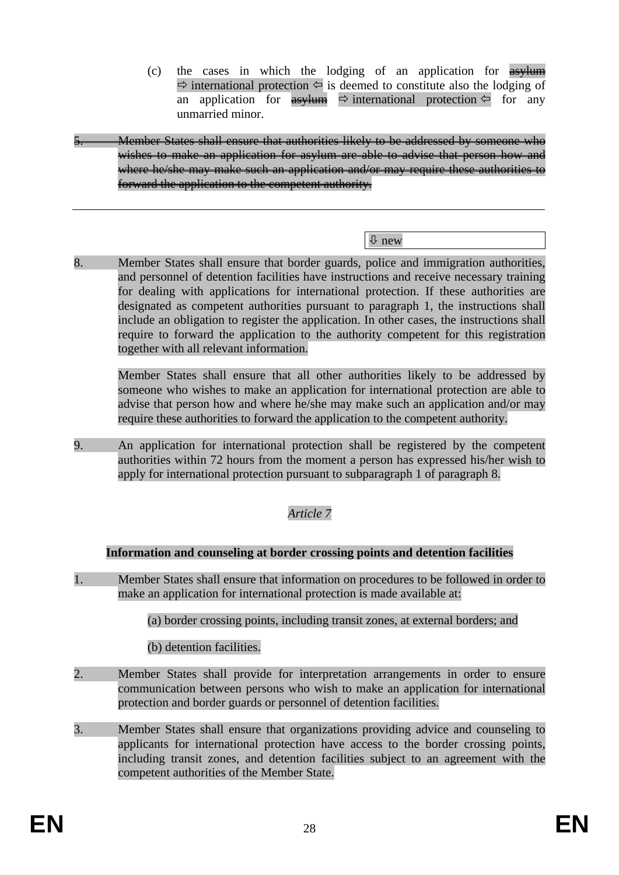(c) the cases in which the lodging of an application for asylum  $\Rightarrow$  international protection  $\Leftarrow$  is deemed to constitute also the lodging of an application for  $\frac{as}{\sqrt{m}} \Leftrightarrow$  international protection  $\leftarrow$  for any unmarried minor.

Member States shall ensure that authorities likely to be addressed by someone who wishes to make an application for asylum are able to advise that person how and where he/she may make such an application and/or may require these authorities to forward the application to the competent authority.

### Ø new

8. Member States shall ensure that border guards, police and immigration authorities, and personnel of detention facilities have instructions and receive necessary training for dealing with applications for international protection. If these authorities are designated as competent authorities pursuant to paragraph 1, the instructions shall include an obligation to register the application. In other cases, the instructions shall require to forward the application to the authority competent for this registration together with all relevant information.

Member States shall ensure that all other authorities likely to be addressed by someone who wishes to make an application for international protection are able to advise that person how and where he/she may make such an application and/or may require these authorities to forward the application to the competent authority.

9. An application for international protection shall be registered by the competent authorities within 72 hours from the moment a person has expressed his/her wish to apply for international protection pursuant to subparagraph 1 of paragraph 8.

# *Article 7*

#### **Information and counseling at border crossing points and detention facilities**

1. Member States shall ensure that information on procedures to be followed in order to make an application for international protection is made available at:

(a) border crossing points, including transit zones, at external borders; and

(b) detention facilities.

- 2. Member States shall provide for interpretation arrangements in order to ensure communication between persons who wish to make an application for international protection and border guards or personnel of detention facilities.
- 3. Member States shall ensure that organizations providing advice and counseling to applicants for international protection have access to the border crossing points, including transit zones, and detention facilities subject to an agreement with the competent authorities of the Member State.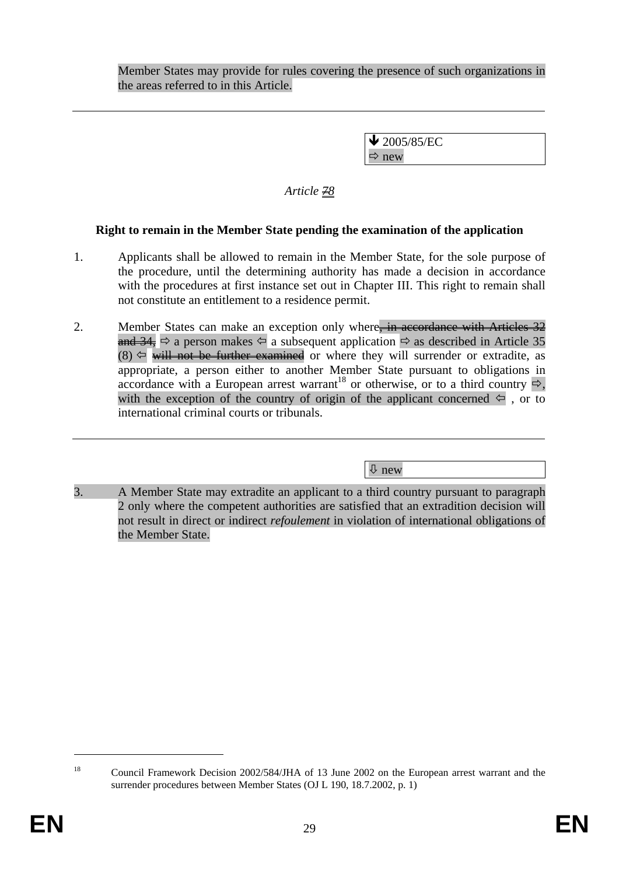Member States may provide for rules covering the presence of such organizations in the areas referred to in this Article.

> $\bigvee$  2005/85/EC  $\Rightarrow$  new

# *Article 78*

# **Right to remain in the Member State pending the examination of the application**

- 1. Applicants shall be allowed to remain in the Member State, for the sole purpose of the procedure, until the determining authority has made a decision in accordance with the procedures at first instance set out in Chapter III. This right to remain shall not constitute an entitlement to a residence permit.
- 2. Member States can make an exception only where, in accordance with Articles 32 and 34,  $\Rightarrow$  a person makes  $\Leftarrow$  a subsequent application  $\Rightarrow$  as described in Article 35  $(8) \Leftrightarrow$  will not be further examined or where they will surrender or extradite, as appropriate, a person either to another Member State pursuant to obligations in accordance with a European arrest warrant<sup>18</sup> or otherwise, or to a third country  $\Rightarrow$ , with the exception of the country of origin of the applicant concerned  $\Leftarrow$ , or to international criminal courts or tribunals.

Ø new

3. A Member State may extradite an applicant to a third country pursuant to paragraph 2 only where the competent authorities are satisfied that an extradition decision will not result in direct or indirect *refoulement* in violation of international obligations of the Member State.

<sup>&</sup>lt;sup>18</sup> Council Framework Decision 2002/584/JHA of 13 June 2002 on the European arrest warrant and the surrender procedures between Member States (OJ L 190, 18.7.2002, p. 1)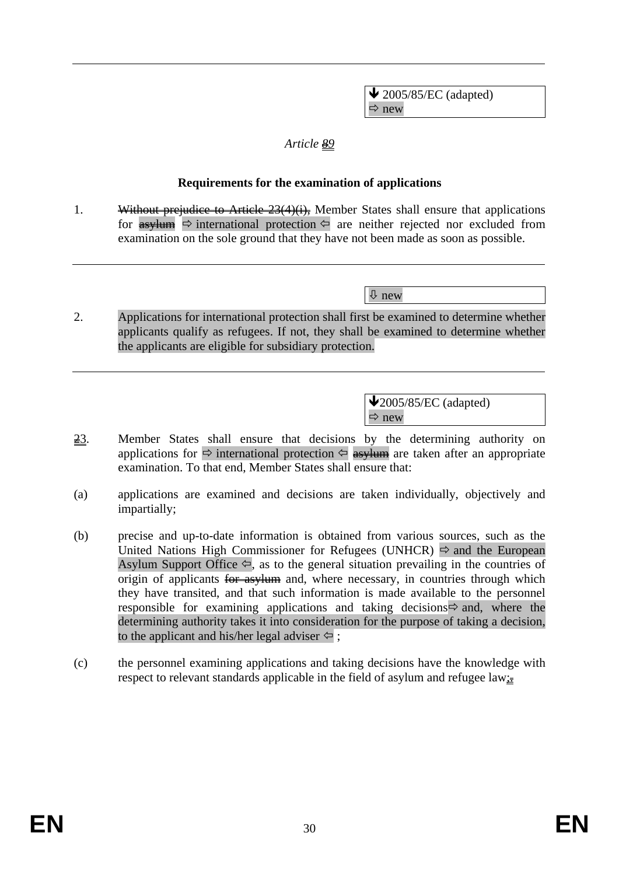$\blacktriangleright$  2005/85/EC (adapted)  $\Rightarrow$  new

### *Article 89*

### **Requirements for the examination of applications**

1. Without prejudice to Article 23(4)(i), Member States shall ensure that applications for  $\frac{1}{\sqrt{2}}$  international protection  $\Leftrightarrow$  are neither rejected nor excluded from examination on the sole ground that they have not been made as soon as possible.

Ø new

2. Applications for international protection shall first be examined to determine whether applicants qualify as refugees. If not, they shall be examined to determine whether the applicants are eligible for subsidiary protection.

> $\sqrt{2005/85/EC}$  (adapted)  $\Rightarrow$  new

- 23. Member States shall ensure that decisions by the determining authority on applications for  $\Rightarrow$  international protection  $\Leftarrow$  asylum are taken after an appropriate examination. To that end, Member States shall ensure that:
- (a) applications are examined and decisions are taken individually, objectively and impartially;
- (b) precise and up-to-date information is obtained from various sources, such as the United Nations High Commissioner for Refugees (UNHCR)  $\Rightarrow$  and the European Asylum Support Office  $\Leftarrow$ , as to the general situation prevailing in the countries of origin of applicants for asylum and, where necessary, in countries through which they have transited, and that such information is made available to the personnel responsible for examining applications and taking decisions  $\Rightarrow$  and, where the determining authority takes it into consideration for the purpose of taking a decision, to the applicant and his/her legal adviser  $\Leftrightarrow$ ;
- (c) the personnel examining applications and taking decisions have the knowledge with respect to relevant standards applicable in the field of asylum and refugee law $\mathbf{r}$ .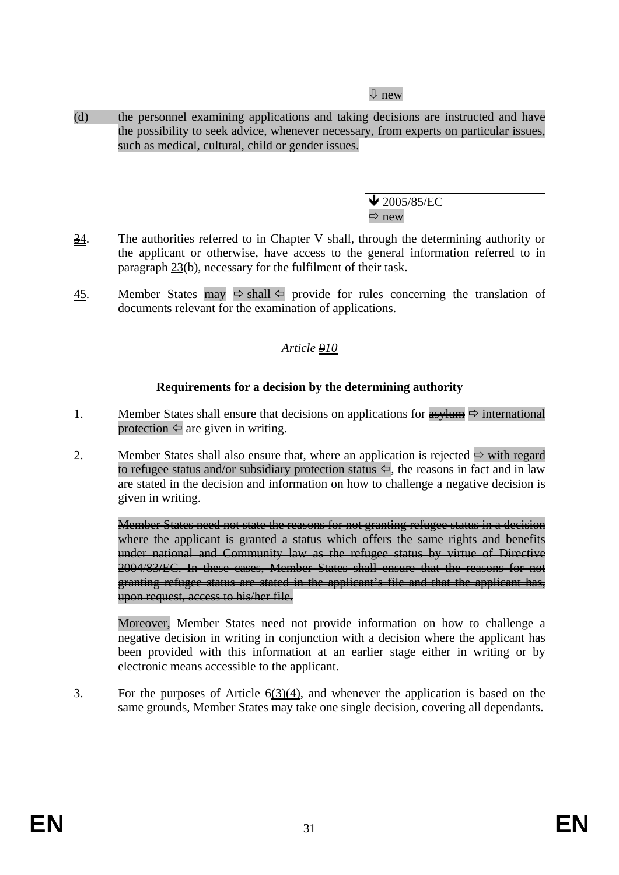Ø new

(d) the personnel examining applications and taking decisions are instructed and have the possibility to seek advice, whenever necessary, from experts on particular issues, such as medical, cultural, child or gender issues.

| $\bigvee$ 2005/85/EC |  |
|----------------------|--|
| ıΑï                  |  |

- $\frac{34}{10}$ . The authorities referred to in Chapter V shall, through the determining authority or the applicant or otherwise, have access to the general information referred to in paragraph  $\frac{23}{b}$ , necessary for the fulfilment of their task.
- 45. Member States  $\frac{m}{m}$   $\Rightarrow$  shall  $\Leftarrow$  provide for rules concerning the translation of documents relevant for the examination of applications.

# *Article 910*

# **Requirements for a decision by the determining authority**

- 1. Member States shall ensure that decisions on applications for  $\frac{as}{\sqrt{1}} \Rightarrow$  international protection  $\Leftrightarrow$  are given in writing.
- 2. Member States shall also ensure that, where an application is rejected  $\Rightarrow$  with regard to refugee status and/or subsidiary protection status  $\Leftrightarrow$ , the reasons in fact and in law are stated in the decision and information on how to challenge a negative decision is given in writing.

Member States need not state the reasons for not granting refugee status in a decision where the applicant is granted a status which offers the same rights and benefits under national and Community law as the refugee status by virtue of Directive 2004/83/EC. In these cases, Member States shall ensure that the reasons for not granting refugee status are stated in the applicant's file and that the applicant has, upon request, access to his/her file.

Moreover. Member States need not provide information on how to challenge a negative decision in writing in conjunction with a decision where the applicant has been provided with this information at an earlier stage either in writing or by electronic means accessible to the applicant.

3. For the purposes of Article  $6(3)(4)$ , and whenever the application is based on the same grounds, Member States may take one single decision, covering all dependants.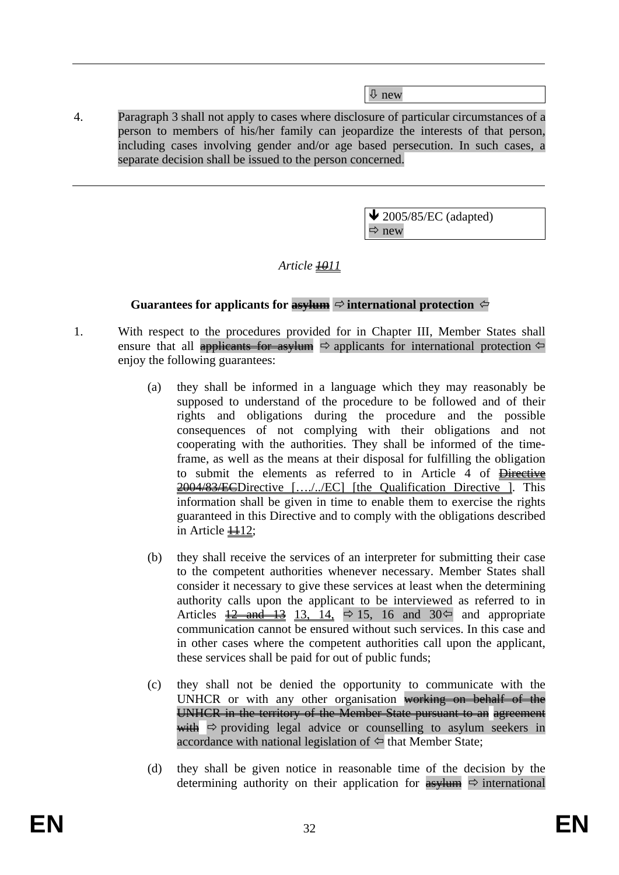Ø new

4. Paragraph 3 shall not apply to cases where disclosure of particular circumstances of a person to members of his/her family can jeopardize the interests of that person, including cases involving gender and/or age based persecution. In such cases, a separate decision shall be issued to the person concerned.

> $\blacktriangleright$  2005/85/EC (adapted)  $\Rightarrow$  new

*Article*  $\frac{1011}{100}$ 

# **Guarantees for applicants for**  $\frac{a^2}{b^2}$  **international protection**  $\leftarrow$

- 1. With respect to the procedures provided for in Chapter III, Member States shall ensure that all applicants for asylum  $\Rightarrow$  applicants for international protection  $\Leftarrow$ enjoy the following guarantees:
	- (a) they shall be informed in a language which they may reasonably be supposed to understand of the procedure to be followed and of their rights and obligations during the procedure and the possible consequences of not complying with their obligations and not cooperating with the authorities. They shall be informed of the timeframe, as well as the means at their disposal for fulfilling the obligation to submit the elements as referred to in Article 4 of Directive 2004/83/ECDirective […./../EC] [the Qualification Directive ]. This information shall be given in time to enable them to exercise the rights guaranteed in this Directive and to comply with the obligations described in Article  $\textcolor{blue}{\textbf{112}}$ ;
	- (b) they shall receive the services of an interpreter for submitting their case to the competent authorities whenever necessary. Member States shall consider it necessary to give these services at least when the determining authority calls upon the applicant to be interviewed as referred to in Articles  $\frac{12}{2}$  and  $\frac{13}{2}$  13, 14,  $\Rightarrow$  15, 16 and 30 $\Leftarrow$  and appropriate communication cannot be ensured without such services. In this case and in other cases where the competent authorities call upon the applicant, these services shall be paid for out of public funds;
	- (c) they shall not be denied the opportunity to communicate with the UNHCR or with any other organisation working on behalf of the UNHCR in the territory of the Member State pursuant to an agreement with  $\Rightarrow$  providing legal advice or counselling to asylum seekers in accordance with national legislation of  $\Leftrightarrow$  that Member State;
	- (d) they shall be given notice in reasonable time of the decision by the determining authority on their application for  $\frac{4s}{100}$   $\Rightarrow$  international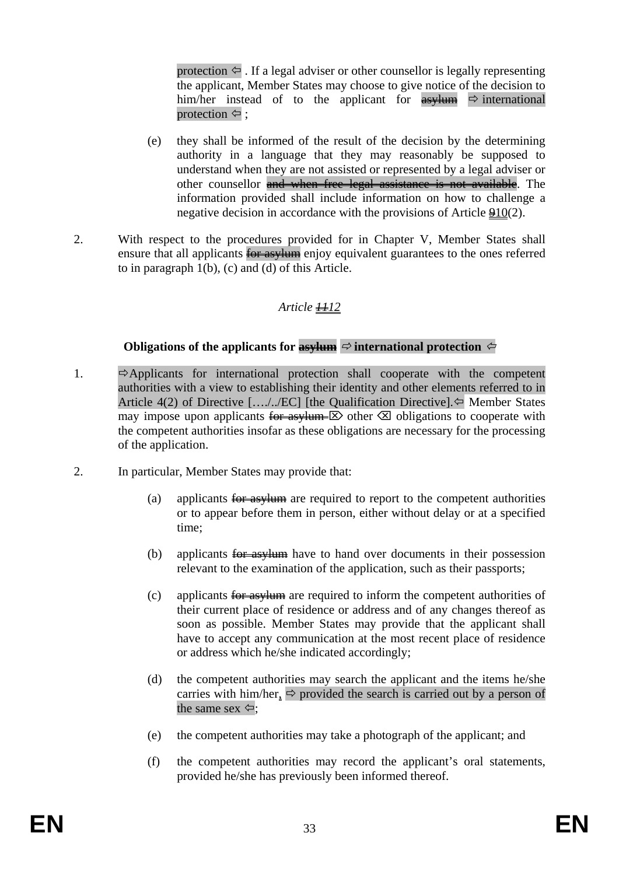protection  $\Leftarrow$ . If a legal adviser or other counsellor is legally representing the applicant, Member States may choose to give notice of the decision to him/her instead of to the applicant for  $\frac{as}{\sqrt{m}} \Rightarrow$  international protection  $\Leftrightarrow$ ;

- (e) they shall be informed of the result of the decision by the determining authority in a language that they may reasonably be supposed to understand when they are not assisted or represented by a legal adviser or other counsellor and when free legal assistance is not available. The information provided shall include information on how to challenge a negative decision in accordance with the provisions of Article 910(2).
- 2. With respect to the procedures provided for in Chapter V, Member States shall ensure that all applicants for asylum enjoy equivalent guarantees to the ones referred to in paragraph 1(b), (c) and (d) of this Article.

# *Article 1112*

# **Obligations of the applicants for asylum**  $\Rightarrow$  international protection  $\Leftarrow$

- 1.  $\Rightarrow$  Applicants for international protection shall cooperate with the competent authorities with a view to establishing their identity and other elements referred to in Article 4(2) of Directive [..../../EC] [the Qualification Directive]. $\Leftrightarrow$  Member States may impose upon applicants  $\overline{\text{for } \text{as } y}$  other  $\otimes$  obligations to cooperate with the competent authorities insofar as these obligations are necessary for the processing of the application.
- 2. In particular, Member States may provide that:
	- (a) applicants for asylum are required to report to the competent authorities or to appear before them in person, either without delay or at a specified time;
	- (b) applicants for asylum have to hand over documents in their possession relevant to the examination of the application, such as their passports;
	- (c) applicants  $\frac{1}{2}$  asylum are required to inform the competent authorities of their current place of residence or address and of any changes thereof as soon as possible. Member States may provide that the applicant shall have to accept any communication at the most recent place of residence or address which he/she indicated accordingly;
	- (d) the competent authorities may search the applicant and the items he/she carries with him/her,  $\Rightarrow$  provided the search is carried out by a person of the same sex  $\Leftrightarrow$ ;
	- (e) the competent authorities may take a photograph of the applicant; and
	- (f) the competent authorities may record the applicant's oral statements, provided he/she has previously been informed thereof.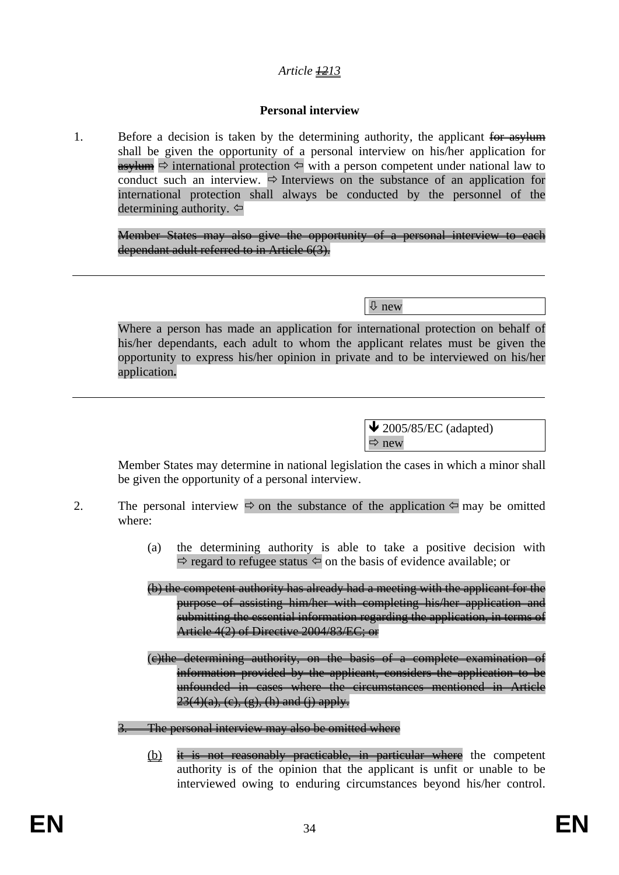# *Article 1213*

### **Personal interview**

1. Before a decision is taken by the determining authority, the applicant for asylum shall be given the opportunity of a personal interview on his/her application for  $\overline{\text{asylum}} \Rightarrow$  international protection  $\leftarrow$  with a person competent under national law to conduct such an interview.  $\Rightarrow$  Interviews on the substance of an application for international protection shall always be conducted by the personnel of the determining authority.  $\Leftrightarrow$ 

Member States may also give the opportunity of a personal interview to each dependant adult referred to in Article 6(3).

Ø new

Where a person has made an application for international protection on behalf of his/her dependants, each adult to whom the applicant relates must be given the opportunity to express his/her opinion in private and to be interviewed on his/her application**.**

> $\bigvee$  2005/85/EC (adapted)  $\Rightarrow$  new

Member States may determine in national legislation the cases in which a minor shall be given the opportunity of a personal interview.

- 2. The personal interview  $\Rightarrow$  on the substance of the application  $\Leftarrow$  may be omitted where:
	- (a) the determining authority is able to take a positive decision with  $\Rightarrow$  regard to refugee status  $\Leftarrow$  on the basis of evidence available; or

(b) the competent authority has already had a meeting with the applicant for the purpose of assisting him/her with completing his/her application and submitting the essential information regarding the application, in terms of Article 4(2) of Directive 2004/83/EC; or

(c)the determining authority, on the basis of a complete examination of information provided by the applicant, considers the application to be unfounded in cases where the circumstances mentioned in Article  $23(4)(a)$ , (c), (g), (h) and (i) apply.

The personal interview may also be omitted where

 $(b)$  it is not reasonably practicable, in particular where the competent authority is of the opinion that the applicant is unfit or unable to be interviewed owing to enduring circumstances beyond his/her control.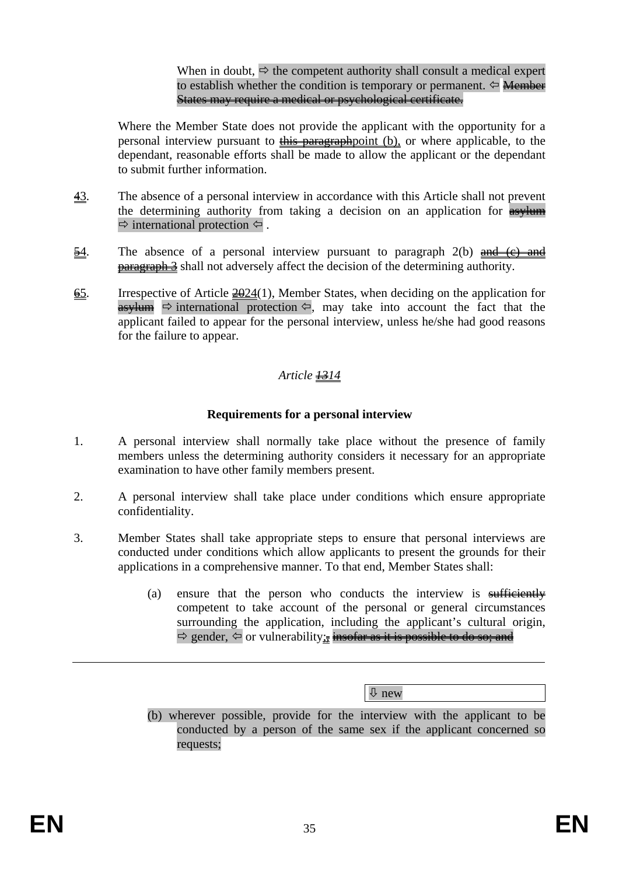When in doubt,  $\Rightarrow$  the competent authority shall consult a medical expert to establish whether the condition is temporary or permanent.  $\Leftarrow$  Member States may require a medical or psychological certificate.

Where the Member State does not provide the applicant with the opportunity for a personal interview pursuant to the paragraphpoint (b), or where applicable, to the dependant, reasonable efforts shall be made to allow the applicant or the dependant to submit further information.

- 43. The absence of a personal interview in accordance with this Article shall not prevent the determining authority from taking a decision on an application for **asylum**  $\Rightarrow$  international protection  $\Leftrightarrow$ .
- $\frac{54}{10}$ . The absence of a personal interview pursuant to paragraph 2(b) and (c) and **paragraph 3** shall not adversely affect the decision of the determining authority.
- $\overline{65}$ . Irrespective of Article  $\frac{2024}{1}$ , Member States, when deciding on the application for asylum  $\Rightarrow$  international protection  $\Leftarrow$ , may take into account the fact that the applicant failed to appear for the personal interview, unless he/she had good reasons for the failure to appear.

# *Article 1314*

### **Requirements for a personal interview**

- 1. A personal interview shall normally take place without the presence of family members unless the determining authority considers it necessary for an appropriate examination to have other family members present.
- 2. A personal interview shall take place under conditions which ensure appropriate confidentiality.
- 3. Member States shall take appropriate steps to ensure that personal interviews are conducted under conditions which allow applicants to present the grounds for their applications in a comprehensive manner. To that end, Member States shall:
	- (a) ensure that the person who conducts the interview is  $\frac{\text{stfficiently}}{\text{stfficiently}}$ competent to take account of the personal or general circumstances surrounding the application, including the applicant's cultural origin,  $\Rightarrow$  gender,  $\Leftarrow$  or vulnerability; insofar as it is possible to do so; and

Ø new

(b) wherever possible, provide for the interview with the applicant to be conducted by a person of the same sex if the applicant concerned so requests;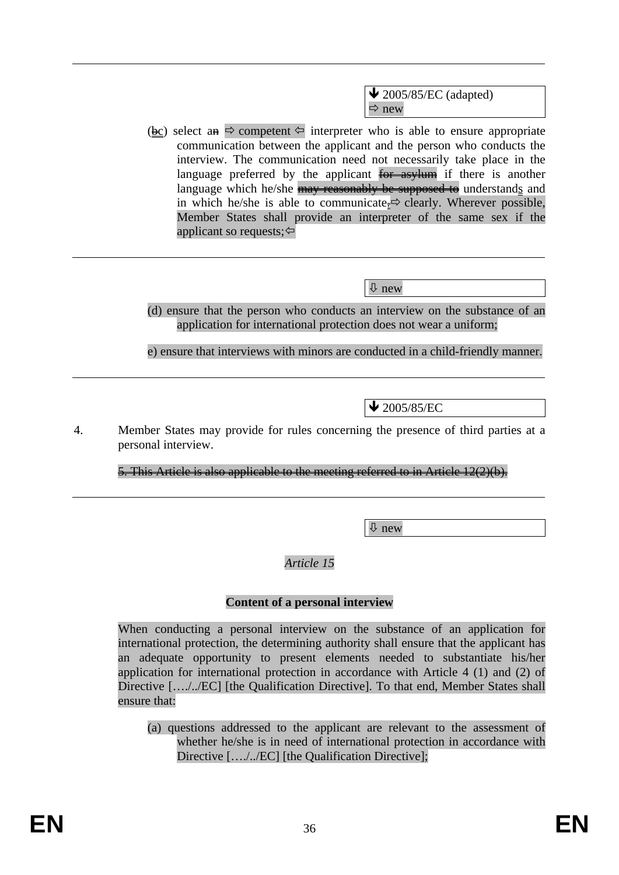$\blacktriangleright$  2005/85/EC (adapted)  $\Rightarrow$  new

(bc) select an  $\Rightarrow$  competent  $\Leftarrow$  interpreter who is able to ensure appropriate communication between the applicant and the person who conducts the interview. The communication need not necessarily take place in the language preferred by the applicant  $\frac{1}{2}$  for asylum if there is another language which he/she may reasonably be supposed to understands and in which he/she is able to communicate.<sup> $\Rightarrow$ </sup> clearly. Wherever possible, Member States shall provide an interpreter of the same sex if the applicant so requests;  $\Leftrightarrow$ 

Ø new

(d) ensure that the person who conducts an interview on the substance of an application for international protection does not wear a uniform;

e) ensure that interviews with minors are conducted in a child-friendly manner.

 $\bigvee$  2005/85/EC

4. Member States may provide for rules concerning the presence of third parties at a personal interview.

5. This Article is also applicable to the meeting referred to in Article 12(2)(b).

Ø new

*Article 15* 

#### **Content of a personal interview**

When conducting a personal interview on the substance of an application for international protection, the determining authority shall ensure that the applicant has an adequate opportunity to present elements needed to substantiate his/her application for international protection in accordance with Article 4 (1) and (2) of Directive […./../EC] [the Qualification Directive]. To that end, Member States shall ensure that:

(a) questions addressed to the applicant are relevant to the assessment of whether he/she is in need of international protection in accordance with Directive [..../../EC] [the Qualification Directive];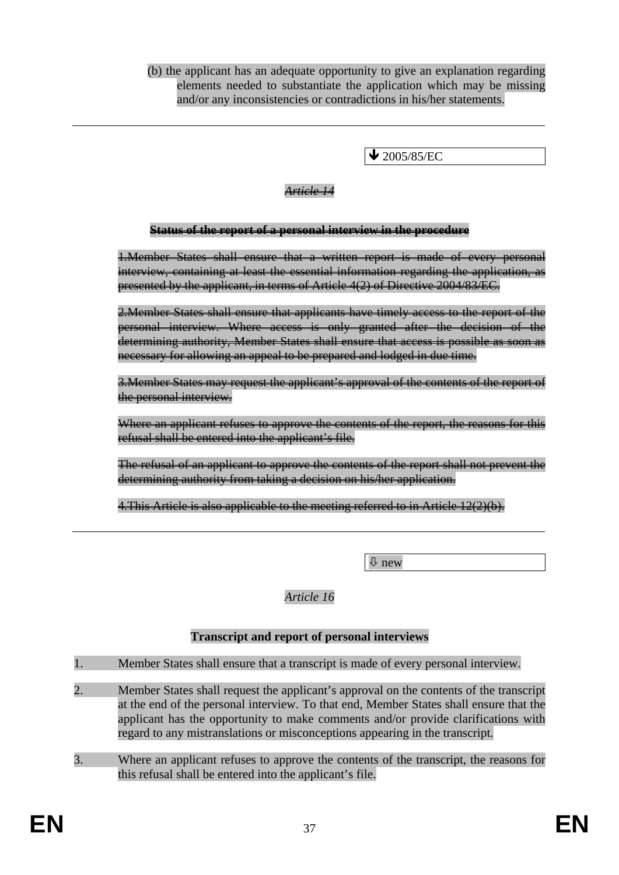(b) the applicant has an adequate opportunity to give an explanation regarding elements needed to substantiate the application which may be missing and/or any inconsistencies or contradictions in his/her statements.

 $\blacktriangleright$  2005/85/EC

#### *Article 14*

#### **Status of the report of a personal interview in the procedure**

1.Member States shall ensure that a written report is made of every personal interview, containing at least the essential information regarding the application, as presented by the applicant, in terms of Article 4(2) of Directive 2004/83/EC.

2. Member States shall ensure that applicants have timely access to the report of the personal interview. Where access is only granted after the decision of the determining authority, Member States shall ensure that access is possible as soon as necessary for allowing an appeal to be prepared and lodged in due time.

3.Member States may request the applicant's approval of the contents of the report of the personal interview.

Where an applicant refuses to approve the contents of the report, the reasons for this refusal shall be entered into the applicant's file.

The refusal of an applicant to approve the contents of the report shall not prevent the determining authority from taking a decision on his/her application.

4. This Article is also applicable to the meeting referred to in Article 12(2)(b).

Ø new

### *Article 16*

#### **Transcript and report of personal interviews**

- 1. Member States shall ensure that a transcript is made of every personal interview.
- 2. Member States shall request the applicant's approval on the contents of the transcript at the end of the personal interview. To that end, Member States shall ensure that the applicant has the opportunity to make comments and/or provide clarifications with regard to any mistranslations or misconceptions appearing in the transcript.
- 3. Where an applicant refuses to approve the contents of the transcript, the reasons for this refusal shall be entered into the applicant's file.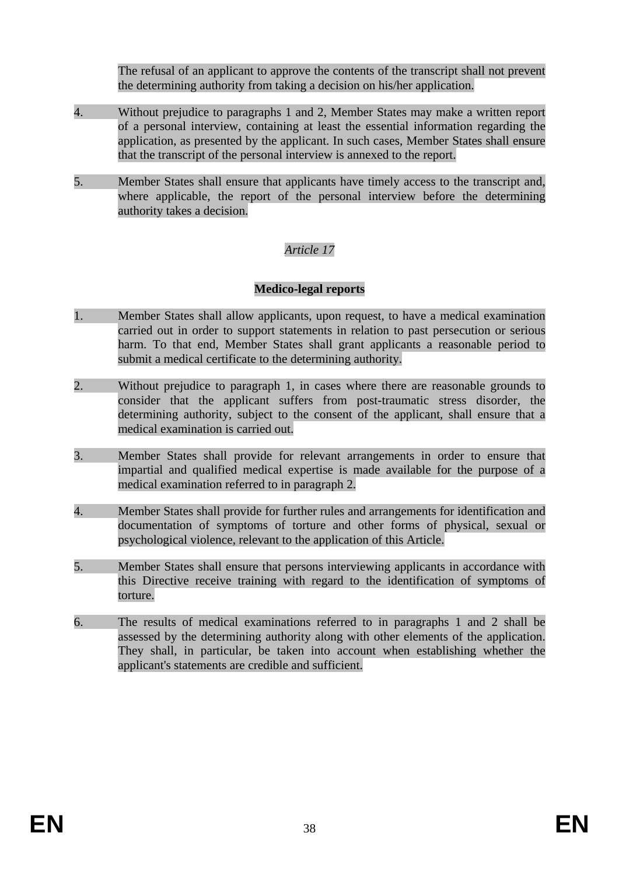The refusal of an applicant to approve the contents of the transcript shall not prevent the determining authority from taking a decision on his/her application.

- 4. Without prejudice to paragraphs 1 and 2, Member States may make a written report of a personal interview, containing at least the essential information regarding the application, as presented by the applicant. In such cases, Member States shall ensure that the transcript of the personal interview is annexed to the report.
- 5. Member States shall ensure that applicants have timely access to the transcript and, where applicable, the report of the personal interview before the determining authority takes a decision.

# *Article 17*

### **Medico-legal reports**

- 1. Member States shall allow applicants, upon request, to have a medical examination carried out in order to support statements in relation to past persecution or serious harm. To that end, Member States shall grant applicants a reasonable period to submit a medical certificate to the determining authority.
- 2. Without prejudice to paragraph 1, in cases where there are reasonable grounds to consider that the applicant suffers from post-traumatic stress disorder, the determining authority, subject to the consent of the applicant, shall ensure that a medical examination is carried out.
- 3. Member States shall provide for relevant arrangements in order to ensure that impartial and qualified medical expertise is made available for the purpose of a medical examination referred to in paragraph 2.
- 4. Member States shall provide for further rules and arrangements for identification and documentation of symptoms of torture and other forms of physical, sexual or psychological violence, relevant to the application of this Article.
- 5. Member States shall ensure that persons interviewing applicants in accordance with this Directive receive training with regard to the identification of symptoms of torture.
- 6. The results of medical examinations referred to in paragraphs 1 and 2 shall be assessed by the determining authority along with other elements of the application. They shall, in particular, be taken into account when establishing whether the applicant's statements are credible and sufficient.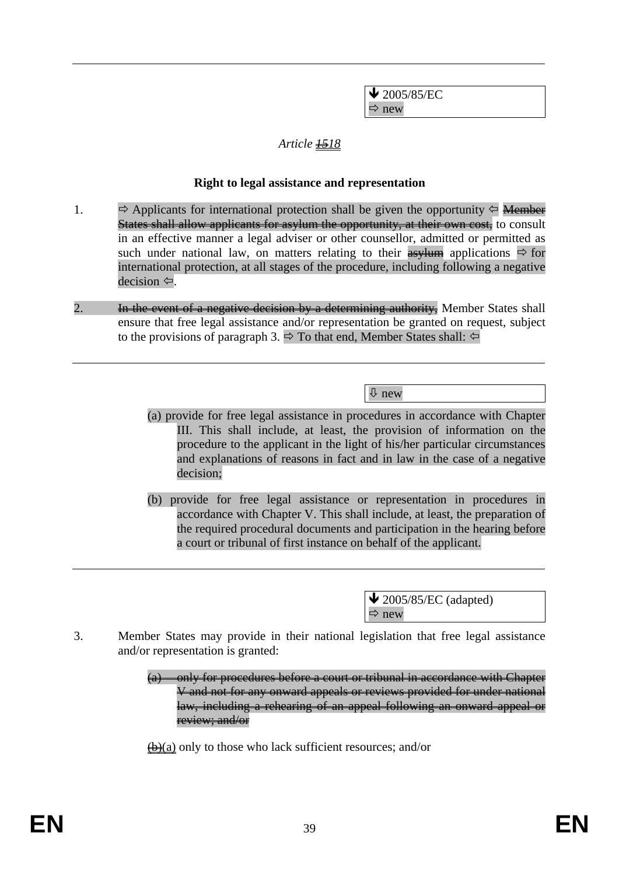$\bigvee$  2005/85/EC  $\Rightarrow$  new

### *Article 1518*

#### **Right to legal assistance and representation**

- 1.  $\Rightarrow$  Applicants for international protection shall be given the opportunity  $\Leftarrow$  Member States shall allow applicants for asylum the opportunity, at their own cost, to consult in an effective manner a legal adviser or other counsellor, admitted or permitted as such under national law, on matters relating to their  $\frac{1}{\sqrt{2}}$  applications  $\Rightarrow$  for international protection, at all stages of the procedure, including following a negative  $decision \Leftrightarrow$ .
- 2. **In the event of a negative decision by a determining authority,** Member States shall ensure that free legal assistance and/or representation be granted on request, subject to the provisions of paragraph 3.  $\Rightarrow$  To that end, Member States shall:  $\Leftarrow$

Ø new

- (a) provide for free legal assistance in procedures in accordance with Chapter III. This shall include, at least, the provision of information on the procedure to the applicant in the light of his/her particular circumstances and explanations of reasons in fact and in law in the case of a negative decision;
- (b) provide for free legal assistance or representation in procedures in accordance with Chapter V. This shall include, at least, the preparation of the required procedural documents and participation in the hearing before a court or tribunal of first instance on behalf of the applicant.

 $\triangle$  2005/85/EC (adapted)  $\Rightarrow$  new

- 3. Member States may provide in their national legislation that free legal assistance and/or representation is granted:
	- (a) only for procedures before a court or tribunal in accordance with Chapter V and not for any onward appeals or reviews provided for under national law, including a rehearing of an appeal following an onward appeal or review; and/or

 $\bigoplus$ (a) only to those who lack sufficient resources; and/or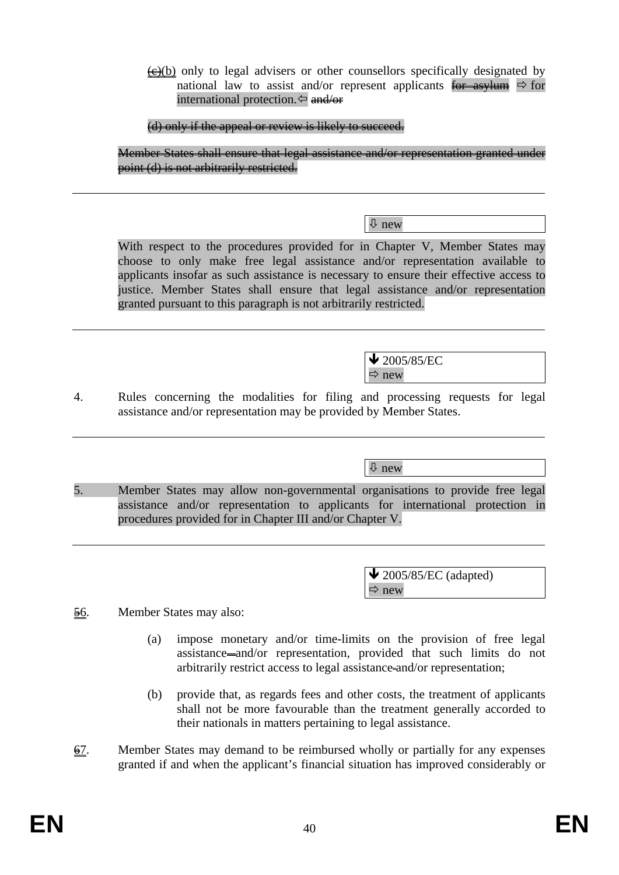$\overline{\left(\frac{e}{c}\right)}$  only to legal advisers or other counsellors specifically designated by national law to assist and/or represent applicants for asylum  $\Rightarrow$  for international protection.  $\Leftarrow$  and/or

(d) only if the appeal or review is likely to succeed.

Member States shall ensure that legal assistance and/or representation granted under point (d) is not arbitrarily restricted.

Ø new

With respect to the procedures provided for in Chapter V, Member States may choose to only make free legal assistance and/or representation available to applicants insofar as such assistance is necessary to ensure their effective access to justice. Member States shall ensure that legal assistance and/or representation granted pursuant to this paragraph is not arbitrarily restricted.

> $\blacktriangleright$  2005/85/EC  $\Rightarrow$  new

4. Rules concerning the modalities for filing and processing requests for legal assistance and/or representation may be provided by Member States.

Ø new

5. Member States may allow non-governmental organisations to provide free legal assistance and/or representation to applicants for international protection in procedures provided for in Chapter III and/or Chapter V.

> $\triangle$  2005/85/EC (adapted)  $\Rightarrow$  new

- 56. Member States may also:
	- (a) impose monetary and/or time-limits on the provision of free legal assistance and/or representation, provided that such limits do not arbitrarily restrict access to legal assistance and/or representation;
	- (b) provide that, as regards fees and other costs, the treatment of applicants shall not be more favourable than the treatment generally accorded to their nationals in matters pertaining to legal assistance.
- $\overline{67}$ . Member States may demand to be reimbursed wholly or partially for any expenses granted if and when the applicant's financial situation has improved considerably or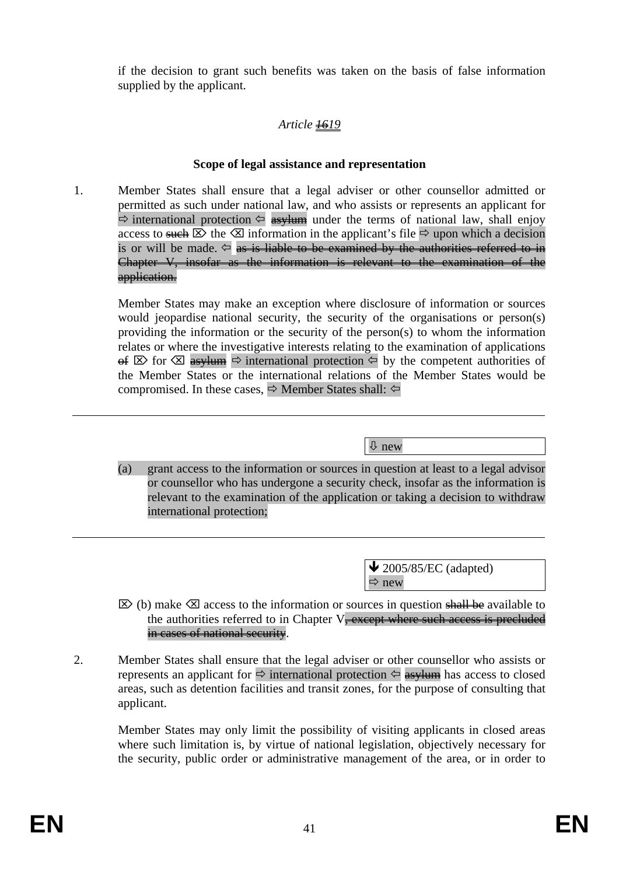if the decision to grant such benefits was taken on the basis of false information supplied by the applicant.

# *Article 1619*

### **Scope of legal assistance and representation**

1. Member States shall ensure that a legal adviser or other counsellor admitted or permitted as such under national law, and who assists or represents an applicant for  $\Rightarrow$  international protection  $\Leftarrow$  asylum under the terms of national law, shall enjoy access to such  $\boxtimes$  the  $\boxtimes$  information in the applicant's file  $\Rightarrow$  upon which a decision is or will be made.  $\Leftarrow$  as is liable to be examined by the authorities referred to in Chapter V, insofar as the information is relevant to the examination of the application.

Member States may make an exception where disclosure of information or sources would jeopardise national security, the security of the organisations or person(s) providing the information or the security of the person(s) to whom the information relates or where the investigative interests relating to the examination of applications  $\Theta$  for  $\boxtimes$  asylum  $\Rightarrow$  international protection  $\Leftarrow$  by the competent authorities of the Member States or the international relations of the Member States would be compromised. In these cases,  $\Rightarrow$  Member States shall:  $\Leftrightarrow$ 

Ø new

(a) grant access to the information or sources in question at least to a legal advisor or counsellor who has undergone a security check, insofar as the information is relevant to the examination of the application or taking a decision to withdraw international protection;

> $\triangle$  2005/85/EC (adapted)  $\Rightarrow$  new

- $\boxtimes$  (b) make  $\boxtimes$  access to the information or sources in question shall be available to the authorities referred to in Chapter  $V$ <del>, except where such access is precluded</del> in cases of national security.
- 2. Member States shall ensure that the legal adviser or other counsellor who assists or represents an applicant for  $\Rightarrow$  international protection  $\Leftrightarrow$  asylum has access to closed areas, such as detention facilities and transit zones, for the purpose of consulting that applicant.

Member States may only limit the possibility of visiting applicants in closed areas where such limitation is, by virtue of national legislation, objectively necessary for the security, public order or administrative management of the area, or in order to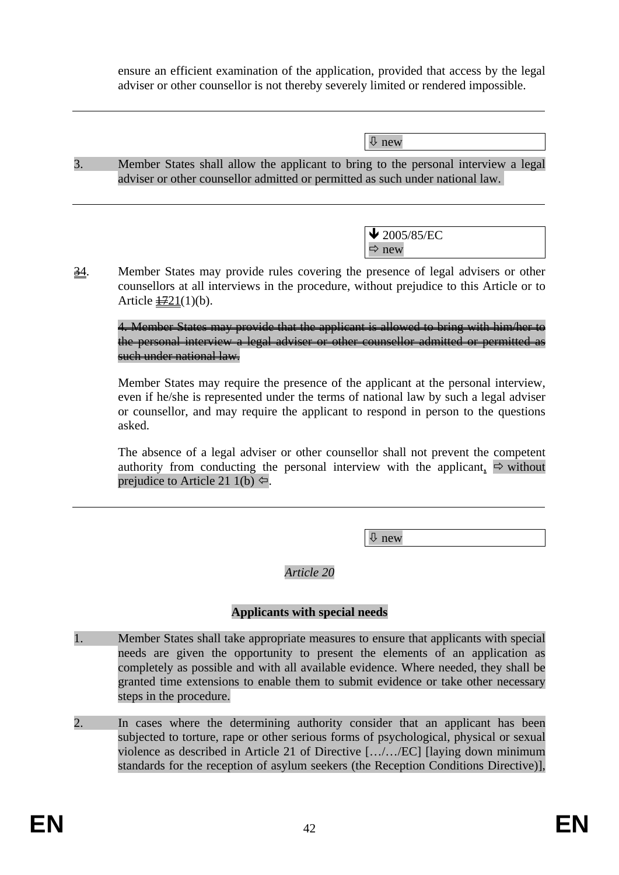ensure an efficient examination of the application, provided that access by the legal adviser or other counsellor is not thereby severely limited or rendered impossible.

| $\sqrt{\Psi}$ new |
|-------------------|
|                   |

3. Member States shall allow the applicant to bring to the personal interview a legal adviser or other counsellor admitted or permitted as such under national law.

> $\bigvee$  2005/85/EC  $\Rightarrow$  new

34. Member States may provide rules covering the presence of legal advisers or other counsellors at all interviews in the procedure, without prejudice to this Article or to Article  $\frac{1721(1)}{b}$ .

4. Member States may provide that the applicant is allowed to bring with him/her to the personal interview a legal adviser or other counsellor admitted or permitted as such under national law.

Member States may require the presence of the applicant at the personal interview, even if he/she is represented under the terms of national law by such a legal adviser or counsellor, and may require the applicant to respond in person to the questions asked.

The absence of a legal adviser or other counsellor shall not prevent the competent authority from conducting the personal interview with the applicant,  $\Rightarrow$  without prejudice to Article 21 1(b)  $\Leftrightarrow$ .

Ø new

*Article 20* 

### **Applicants with special needs**

- 1. Member States shall take appropriate measures to ensure that applicants with special needs are given the opportunity to present the elements of an application as completely as possible and with all available evidence. Where needed, they shall be granted time extensions to enable them to submit evidence or take other necessary steps in the procedure.
- 2. In cases where the determining authority consider that an applicant has been subjected to torture, rape or other serious forms of psychological, physical or sexual violence as described in Article 21 of Directive […/…/EC] [laying down minimum standards for the reception of asylum seekers (the Reception Conditions Directive)],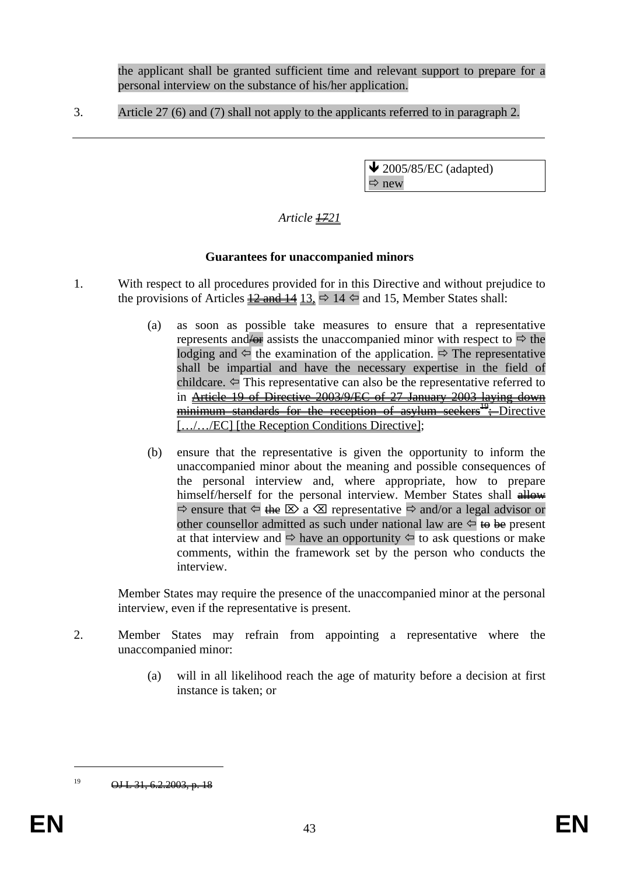the applicant shall be granted sufficient time and relevant support to prepare for a personal interview on the substance of his/her application.

3. Article 27 (6) and (7) shall not apply to the applicants referred to in paragraph 2.

 $\blacktriangleright$  2005/85/EC (adapted)  $\Rightarrow$  new

# *Article*  $#21$

#### **Guarantees for unaccompanied minors**

- 1. With respect to all procedures provided for in this Directive and without prejudice to the provisions of Articles  $\frac{12 \text{ and } 14}{13} \Rightarrow 14 \Leftrightarrow$  and 15, Member States shall:
	- (a) as soon as possible take measures to ensure that a representative represents and  $\leftrightarrow$  assists the unaccompanied minor with respect to  $\Rightarrow$  the lodging and  $\Leftarrow$  the examination of the application.  $\Rightarrow$  The representative shall be impartial and have the necessary expertise in the field of childcare.  $\Leftarrow$  This representative can also be the representative referred to in Article 19 of Directive 2003/9/EC of 27 January 2003 laying down minimum standards for the reception of asylum seekers<sup>19</sup>; Directive [.../.../EC] [the Reception Conditions Directive];
	- (b) ensure that the representative is given the opportunity to inform the unaccompanied minor about the meaning and possible consequences of the personal interview and, where appropriate, how to prepare himself/herself for the personal interview. Member States shall allow- $\Rightarrow$  ensure that  $\Leftarrow$  the  $\boxtimes$  a  $\boxtimes$  representative  $\Rightarrow$  and/or a legal advisor or other counsellor admitted as such under national law are  $\Leftrightarrow$  to be present at that interview and  $\Rightarrow$  have an opportunity  $\Leftarrow$  to ask questions or make comments, within the framework set by the person who conducts the interview.

Member States may require the presence of the unaccompanied minor at the personal interview, even if the representative is present.

- 2. Member States may refrain from appointing a representative where the unaccompanied minor:
	- (a) will in all likelihood reach the age of maturity before a decision at first instance is taken; or

 $\overline{a}$ 

 $19$  OJ L 31, 6.2.2003, p. 18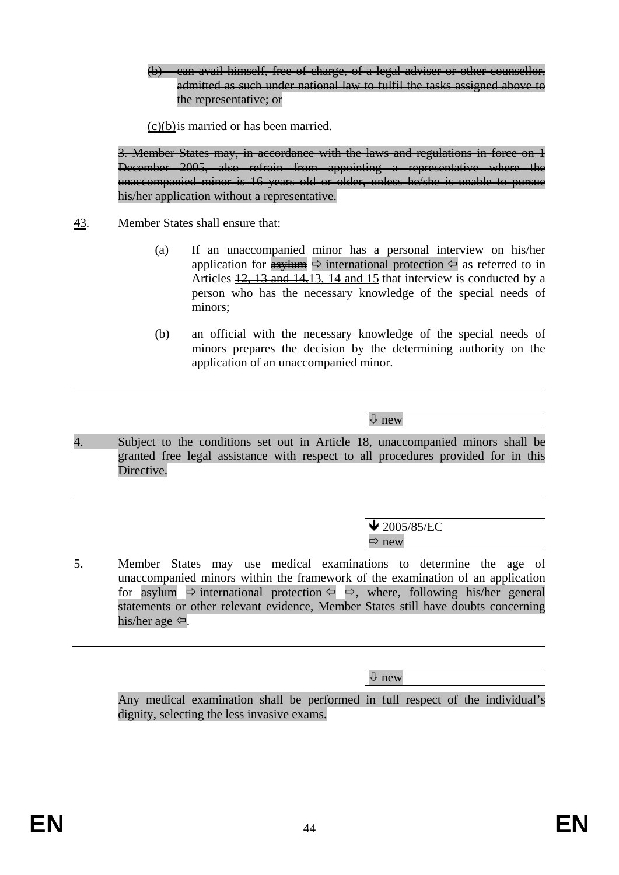(b) can avail himself, free of charge, of a legal adviser or other counsellor, admitted as such under national law to fulfil the tasks assigned above to the representative; or

 $\leftrightarrow$  (b) is married or has been married.

3. Member States may, in accordance with the laws and regulations in force on 1 December 2005, also refrain from appointing a representative where the unaccompanied minor is 16 years old or older, unless he/she is unable to pursue his/her application without a representative.

- 43. Member States shall ensure that:
	- (a) If an unaccompanied minor has a personal interview on his/her application for  $\frac{4s}{2}$  international protection  $\leftarrow$  as referred to in Articles  $\frac{12}{13}$  and  $\frac{14}{13}$ , 14 and 15 that interview is conducted by a person who has the necessary knowledge of the special needs of minors;
	- (b) an official with the necessary knowledge of the special needs of minors prepares the decision by the determining authority on the application of an unaccompanied minor.

Ø new

4. Subject to the conditions set out in Article 18, unaccompanied minors shall be granted free legal assistance with respect to all procedures provided for in this Directive.

> $\bigvee$  2005/85/EC  $\Rightarrow$  new

5. Member States may use medical examinations to determine the age of unaccompanied minors within the framework of the examination of an application for  $\frac{as}_{\text{H}}$   $\Rightarrow$  international protection  $\Leftrightarrow$   $\Leftrightarrow$ , where, following his/her general statements or other relevant evidence, Member States still have doubts concerning his/her age  $\Leftrightarrow$ .

Ø new

Any medical examination shall be performed in full respect of the individual's dignity, selecting the less invasive exams.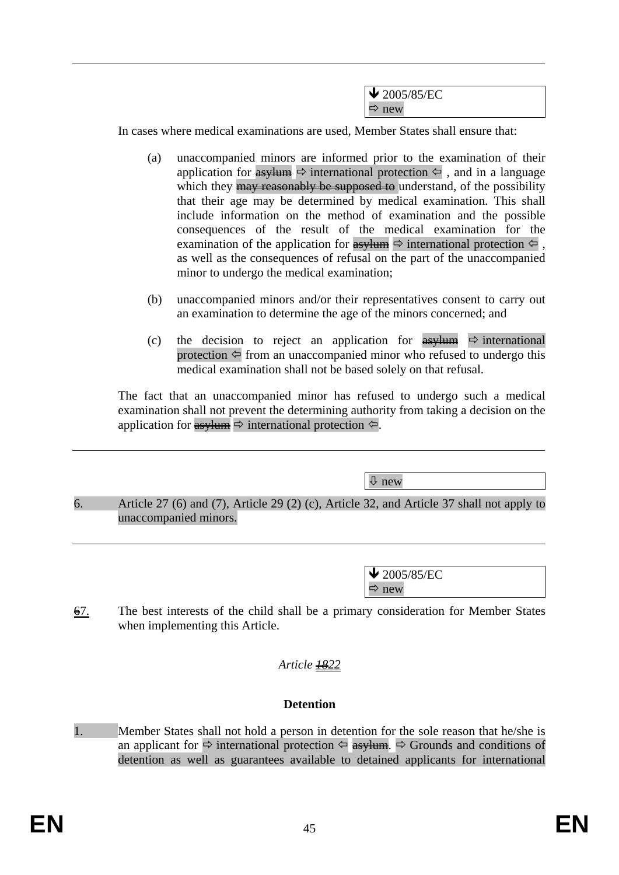| $\bigvee$ 2005/85/EC |
|----------------------|
| $\Rightarrow$ new    |

In cases where medical examinations are used, Member States shall ensure that:

- (a) unaccompanied minors are informed prior to the examination of their application for  $\frac{as}{\sqrt{m}} \Leftrightarrow$  international protection  $\leftarrow$ , and in a language which they may reasonably be supposed to understand, of the possibility that their age may be determined by medical examination. This shall include information on the method of examination and the possible consequences of the result of the medical examination for the examination of the application for asylum Ö international protection , as well as the consequences of refusal on the part of the unaccompanied minor to undergo the medical examination;
- (b) unaccompanied minors and/or their representatives consent to carry out an examination to determine the age of the minors concerned; and
- (c) the decision to reject an application for  $\frac{as}{\sqrt{um}} \Rightarrow$  international protection  $\Leftarrow$  from an unaccompanied minor who refused to undergo this medical examination shall not be based solely on that refusal.

The fact that an unaccompanied minor has refused to undergo such a medical examination shall not prevent the determining authority from taking a decision on the application for  $\frac{as}_{\text{sym}} \Rightarrow$  international protection  $\leftarrow$ .

Ø new

6. Article 27 (6) and (7), Article 29 (2) (c), Article 32, and Article 37 shall not apply to unaccompanied minors.

> $\bigvee$  2005/85/EC  $\Rightarrow$  new

 $\overline{67}$ . The best interests of the child shall be a primary consideration for Member States when implementing this Article.

### *Article 1822*

### **Detention**

1. Member States shall not hold a person in detention for the sole reason that he/she is an applicant for  $\Rightarrow$  international protection  $\Leftarrow$  **asylum.**  $\Rightarrow$  Grounds and conditions of detention as well as guarantees available to detained applicants for international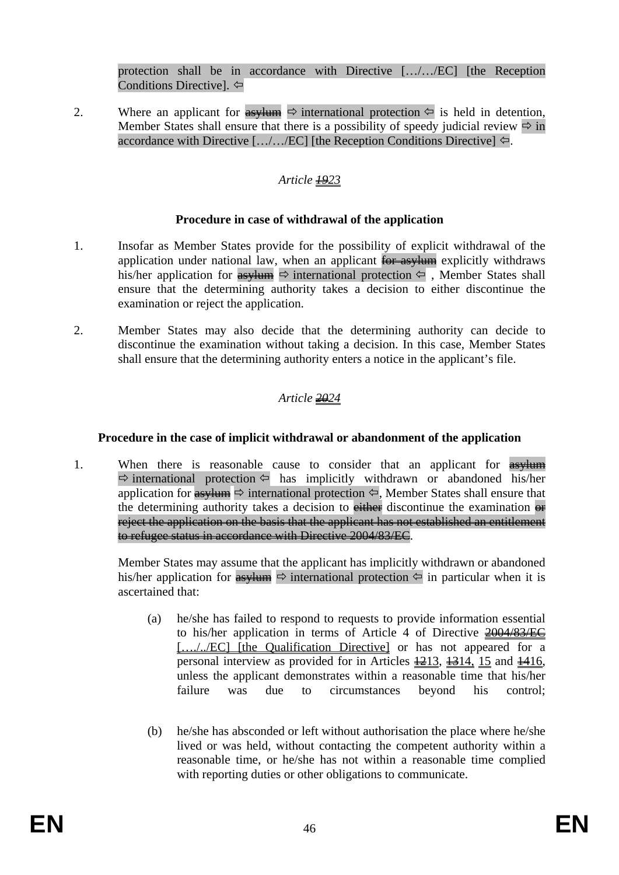protection shall be in accordance with Directive […/…/EC] [the Reception Conditions Directive].  $\Leftrightarrow$ 

2. Where an applicant for  $\frac{as}{y \to 0}$  international protection  $\leftarrow$  is held in detention, Member States shall ensure that there is a possibility of speedy judicial review  $\Rightarrow$  in accordance with Directive  $[\ldots, \ldots, \text{EC}]$  [the Reception Conditions Directive]  $\Leftarrow$ .

## *Article 1923*

### **Procedure in case of withdrawal of the application**

- 1. Insofar as Member States provide for the possibility of explicit withdrawal of the application under national law, when an applicant for asylum explicitly withdraws his/her application for  $\frac{1}{\sqrt{2}}$  international protection  $\leftarrow$ , Member States shall ensure that the determining authority takes a decision to either discontinue the examination or reject the application.
- 2. Member States may also decide that the determining authority can decide to discontinue the examination without taking a decision. In this case, Member States shall ensure that the determining authority enters a notice in the applicant's file.

# *Article 2024*

### **Procedure in the case of implicit withdrawal or abandonment of the application**

1. When there is reasonable cause to consider that an applicant for  $\frac{1}{\text{asylum}}$  $\Rightarrow$  international protection  $\Leftarrow$  has implicitly withdrawn or abandoned his/her application for  $\overrightarrow{as}$  international protection  $\Leftrightarrow$ , Member States shall ensure that the determining authority takes a decision to either discontinue the examination  $\theta$ reject the application on the basis that the applicant has not established an entitlement to refugee status in accordance with Directive 2004/83/EC.

Member States may assume that the applicant has implicitly withdrawn or abandoned his/her application for  $\frac{as}{ }$   $\Rightarrow$  international protection  $\Leftarrow$  in particular when it is ascertained that:

- (a) he/she has failed to respond to requests to provide information essential to his/her application in terms of Article 4 of Directive 2004/83/EC [..../../EC] [the Qualification Directive] or has not appeared for a personal interview as provided for in Articles  $\frac{1213}{1214}$ ,  $\frac{1514}{15}$  and  $\frac{1416}{1416}$ , unless the applicant demonstrates within a reasonable time that his/her failure was due to circumstances beyond his control;
- (b) he/she has absconded or left without authorisation the place where he/she lived or was held, without contacting the competent authority within a reasonable time, or he/she has not within a reasonable time complied with reporting duties or other obligations to communicate.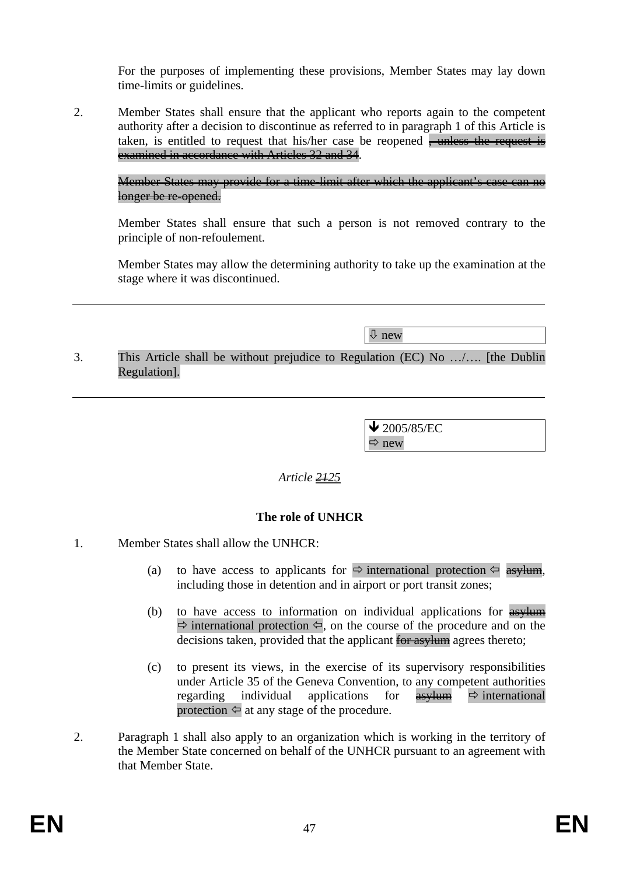For the purposes of implementing these provisions, Member States may lay down time-limits or guidelines.

2. Member States shall ensure that the applicant who reports again to the competent authority after a decision to discontinue as referred to in paragraph 1 of this Article is taken, is entitled to request that his/her case be reopened  $\frac{1}{2}$  unless the request is examined in accordance with Articles 32 and 34.

Member States may provide for a time-limit after which the applicant's case can no longer be re-opened.

Member States shall ensure that such a person is not removed contrary to the principle of non-refoulement.

Member States may allow the determining authority to take up the examination at the stage where it was discontinued.

Ø new

3. This Article shall be without prejudice to Regulation (EC) No …/…. [the Dublin Regulation].

> $\bigvee$  2005/85/EC  $\Rightarrow$  new

# *Article 2125*

### **The role of UNHCR**

- 1. Member States shall allow the UNHCR:
	- (a) to have access to applicants for  $\Rightarrow$  international protection  $\Leftarrow$  asylum, including those in detention and in airport or port transit zones;
	- (b) to have access to information on individual applications for  $\frac{asv \cdot \cdot b}{\cdot}$  $\Rightarrow$  international protection  $\Leftarrow$ , on the course of the procedure and on the decisions taken, provided that the applicant for asylum agrees thereto;
	- (c) to present its views, in the exercise of its supervisory responsibilities under Article 35 of the Geneva Convention, to any competent authorities regarding individual applications for  $\frac{1}{\sqrt{2}}$  international protection  $\Leftrightarrow$  at any stage of the procedure.
- 2. Paragraph 1 shall also apply to an organization which is working in the territory of the Member State concerned on behalf of the UNHCR pursuant to an agreement with that Member State.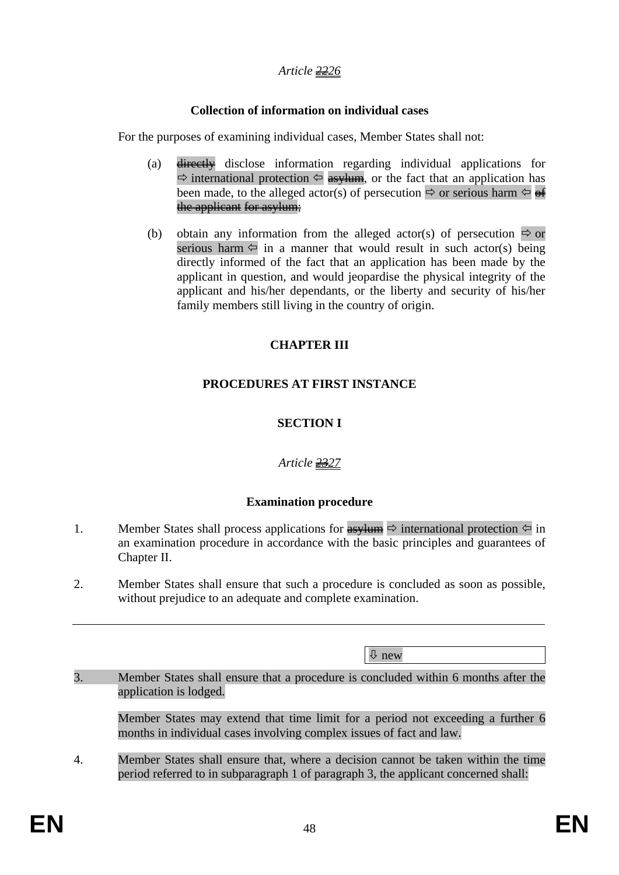### *Article 2226*

### **Collection of information on individual cases**

For the purposes of examining individual cases, Member States shall not:

- (a) directly disclose information regarding individual applications for  $\Rightarrow$  international protection  $\Leftarrow$  asylum, or the fact that an application has been made, to the alleged actor(s) of persecution  $\Rightarrow$  or serious harm  $\Leftrightarrow$  of the applicant for asylum;
- (b) obtain any information from the alleged actor(s) of persecution  $\Rightarrow$  or serious harm  $\Leftarrow$  in a manner that would result in such actor(s) being directly informed of the fact that an application has been made by the applicant in question, and would jeopardise the physical integrity of the applicant and his/her dependants, or the liberty and security of his/her family members still living in the country of origin.

### **CHAPTER III**

# **PROCEDURES AT FIRST INSTANCE**

# **SECTION I**

# *Article 2327*

### **Examination procedure**

- 1. Member States shall process applications for  $\frac{as}{w}$  international protection  $\leftarrow$  in an examination procedure in accordance with the basic principles and guarantees of Chapter II.
- 2. Member States shall ensure that such a procedure is concluded as soon as possible, without prejudice to an adequate and complete examination.

Ø new

3. Member States shall ensure that a procedure is concluded within 6 months after the application is lodged.

Member States may extend that time limit for a period not exceeding a further 6 months in individual cases involving complex issues of fact and law.

4. Member States shall ensure that, where a decision cannot be taken within the time period referred to in subparagraph 1 of paragraph 3, the applicant concerned shall: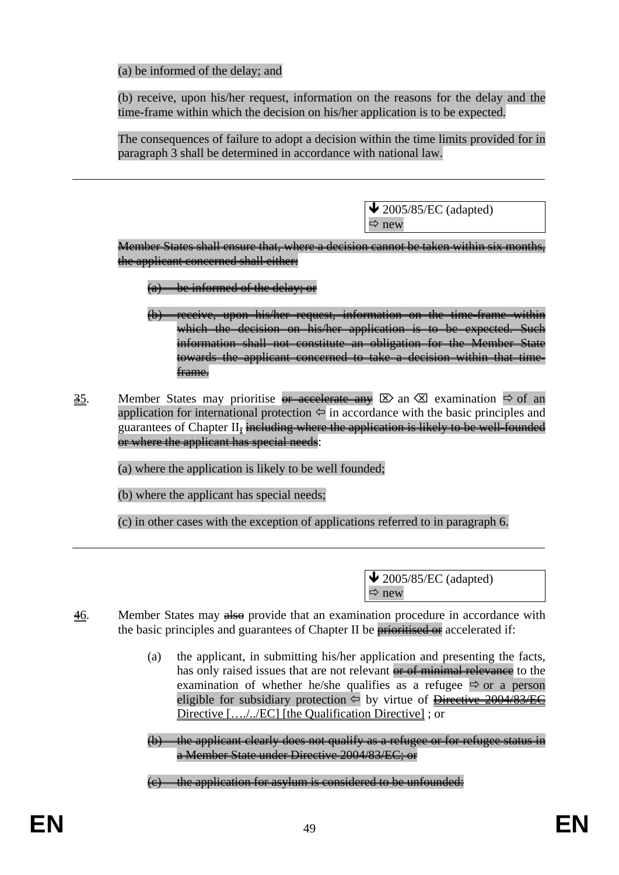(a) be informed of the delay; and

(b) receive, upon his/her request, information on the reasons for the delay and the time-frame within which the decision on his/her application is to be expected.

The consequences of failure to adopt a decision within the time limits provided for in paragraph 3 shall be determined in accordance with national law.

> $\blacktriangleright$  2005/85/EC (adapted)  $\Rightarrow$  new

Member States shall ensure that, where a decision cannot be taken within six months, the applicant concerned shall either:

- (a) be informed of the delay; or
- (b) receive, upon his/her request, information on the time-frame within which the decision on his/her application is to be expected. Such information shall not constitute an obligation for the Member State towards the applicant concerned to take a decision within that timeframe.
- 35. Member States may prioritise or accelerate any  $\boxtimes$  an  $\boxtimes$  examination  $\Rightarrow$  of an application for international protection  $\Leftrightarrow$  in accordance with the basic principles and guarantees of Chapter II<sub>z</sub> including where the application is likely to be well-founded or where the applicant has special needs:
	- (a) where the application is likely to be well founded;
	- (b) where the applicant has special needs;
	- (c) in other cases with the exception of applications referred to in paragraph 6.

 $\triangle$  2005/85/EC (adapted)  $\Rightarrow$  new

- 46. Member States may also provide that an examination procedure in accordance with the basic principles and guarantees of Chapter II be **prioritised or** accelerated if:
	- (a) the applicant, in submitting his/her application and presenting the facts, has only raised issues that are not relevant or of minimal relevance to the examination of whether he/she qualifies as a refugee  $\Rightarrow$  or a person eligible for subsidiary protection  $\leftarrow$  by virtue of Directive 2004/83/EC Directive […./../EC] [the Qualification Directive] ; or
	- (b) the applicant clearly does not qualify as a refugee or for refugee status in a Member State under Directive 2004/83/EC; or
	- (c) the application for asylum is considered to be unfounded: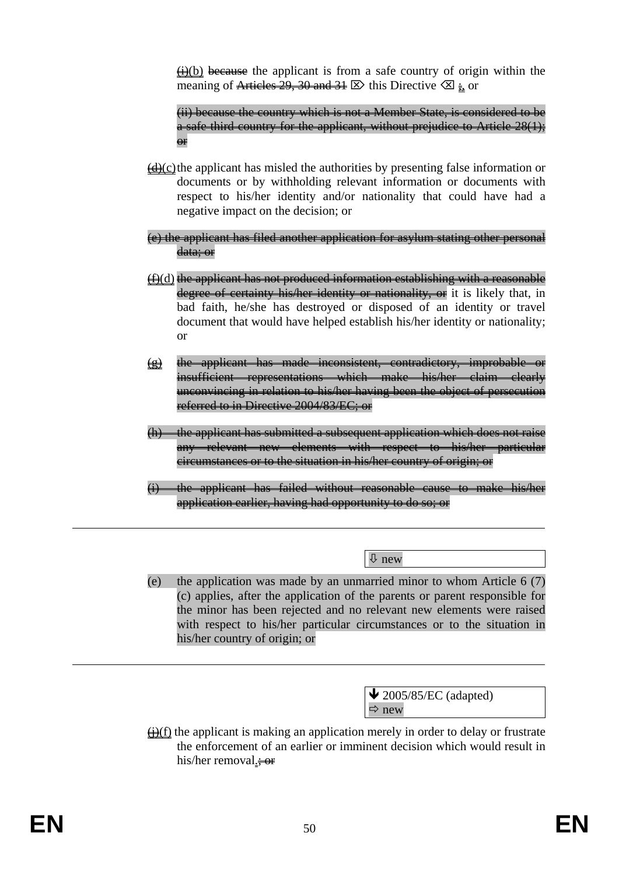$\overline{(\dagger)}$ (b) because the applicant is from a safe country of origin within the meaning of Articles 29, 30 and 31  $\mathbb{Z}$  this Directive  $\mathbb{Z}$  ; or

 (ii) because the country which is not a Member State, is considered to be a safe third country for the applicant, without prejudice to Article 28(1); or

- $\frac{d}{dx}$ (c) the applicant has misled the authorities by presenting false information or documents or by withholding relevant information or documents with respect to his/her identity and/or nationality that could have had a negative impact on the decision; or
- (e) the applicant has filed another application for asylum stating other personal data; or
- $(f)(d)$  the applicant has not produced information establishing with a reasonable degree of certainty his/her identity or nationality, or it is likely that, in bad faith, he/she has destroyed or disposed of an identity or travel document that would have helped establish his/her identity or nationality; or
- $(g)$  the applicant has made inconsistent, contradictory, improbable insufficient representations which make his/her claim clearly unconvincing in relation to his/her having been the object of persecution referred to in Directive 2004/83/EC; or
- (h) the applicant has submitted a subsequent application which does not raise any relevant new elements with respect to his/her particular circumstances or to the situation in his/her country of origin; or
- (i) the applicant has failed without reasonable cause to make his/her application earlier, having had opportunity to do so; or

Ø new

(e) the application was made by an unmarried minor to whom Article 6 (7) (c) applies, after the application of the parents or parent responsible for the minor has been rejected and no relevant new elements were raised with respect to his/her particular circumstances or to the situation in his/her country of origin; or

> $\blacktriangleright$  2005/85/EC (adapted)  $\Rightarrow$  new

 $\bigoplus$ (f) the applicant is making an application merely in order to delay or frustrate the enforcement of an earlier or imminent decision which would result in his/her removal. $\div$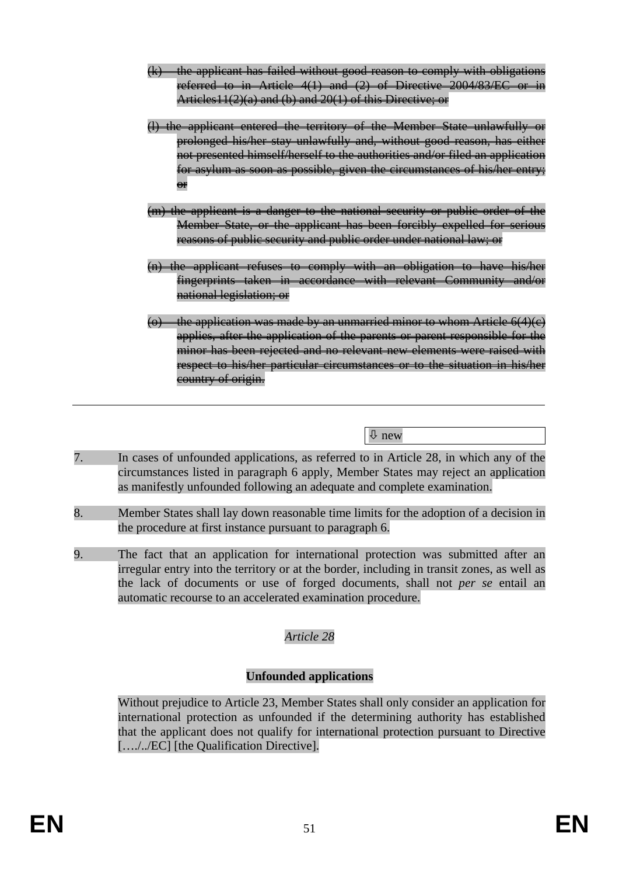- (k) the applicant has failed without good reason to comply with obligations referred to in Article  $4(1)$  and  $(2)$  of Directive 2004/83/EC Articles11(2)(a) and (b) and 20(1) of this Directive; or
- (l) the applicant entered the territory of the Member State unlawfully or prolonged his/her stay unlawfully and, without good reason, has either not presented himself/herself to the authorities and/or filed an application for asylum as soon as possible, given the circumstances of his/her entry; **e**r
- (m) the applicant is a danger to the national security or public order of the Member State, or the applicant has been forcibly expelled for serious reasons of public security and public order under national law; or
- (n) the applicant refuses to comply with an obligation to have his/her fingerprints taken in accordance with relevant Community and/or national legislation; or
- (o) the application was made by an unmarried minor to whom Article  $6(4)(e)$ applies, after the application of the parents or parent responsible for the minor has been rejected and no relevant new elements were raised with respect to his/her particular circumstances or to the situation in his/her country of origin.

Ø new

- 7. In cases of unfounded applications, as referred to in Article 28, in which any of the circumstances listed in paragraph 6 apply, Member States may reject an application as manifestly unfounded following an adequate and complete examination.
- 8. Member States shall lay down reasonable time limits for the adoption of a decision in the procedure at first instance pursuant to paragraph 6.
- 9. The fact that an application for international protection was submitted after an irregular entry into the territory or at the border, including in transit zones, as well as the lack of documents or use of forged documents, shall not *per se* entail an automatic recourse to an accelerated examination procedure.

### *Article 28*

### **Unfounded applications**

Without prejudice to Article 23, Member States shall only consider an application for international protection as unfounded if the determining authority has established that the applicant does not qualify for international protection pursuant to Directive […./../EC] [the Qualification Directive].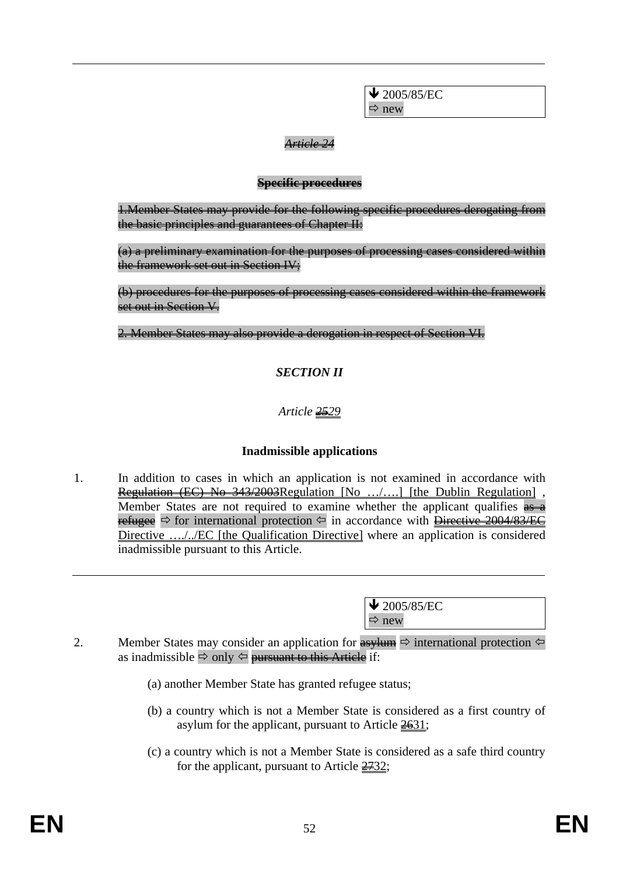$\bigvee$  2005/85/EC  $\Rightarrow$  new

#### *Article 24*

#### **Specific procedures**

1.Member States may provide for the following specific procedures derogating from the basic principles and guarantees of Chapter II:

(a) a preliminary examination for the purposes of processing cases considered within the framework set out in Section IV;

(b) procedures for the purposes of processing cases considered within the framework set out in Section V.

2. Member States may also provide a derogation in respect of Section VI.

### *SECTION II*

### *Article 2529*

### **Inadmissible applications**

1. In addition to cases in which an application is not examined in accordance with Regulation (EC) No 343/2003 Regulation [No .../....] [the Dublin Regulation], Member States are not required to examine whether the applicant qualifies  $\frac{1}{\sqrt{2}}$ refugee  $\Rightarrow$  for international protection  $\Leftarrow$  in accordance with Directive 2004/83/EC Directive ..../../EC [the Qualification Directive] where an application is considered inadmissible pursuant to this Article.

> $\blacktriangleright$  2005/85/EC  $\Rightarrow$  new

- 2. Member States may consider an application for  $\frac{1}{\sqrt{2}}$  international protection  $\Leftrightarrow$ as inadmissible  $\Rightarrow$  only  $\Leftrightarrow$  pursuant to this Article if:
	- (a) another Member State has granted refugee status;
	- (b) a country which is not a Member State is considered as a first country of asylum for the applicant, pursuant to Article  $\frac{2631}{1}$ ;
	- (c) a country which is not a Member State is considered as a safe third country for the applicant, pursuant to Article  $\frac{2732}{52}$ ;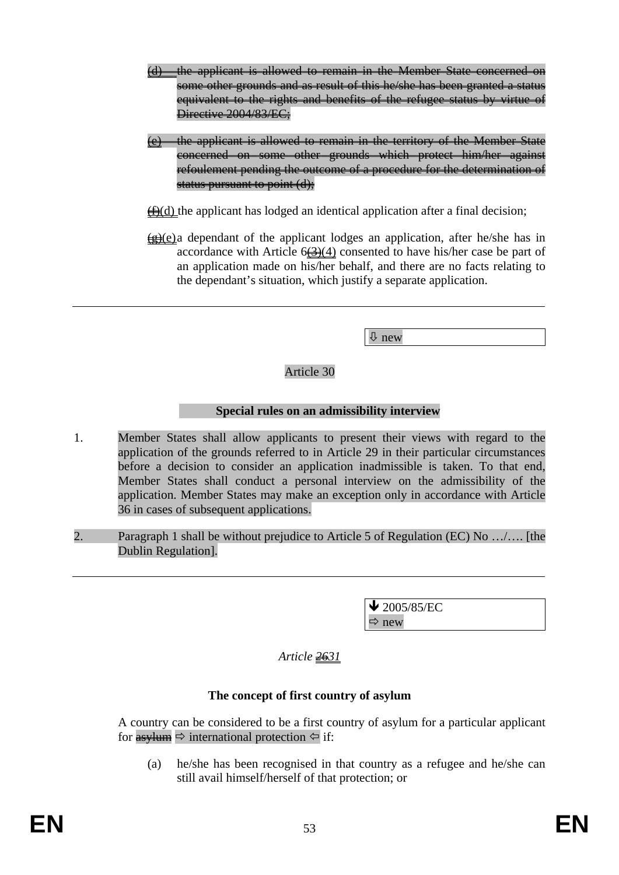- (d) the applicant is allowed to remain in the Member State concerned on some other grounds and as result of this he/she has been granted a status equivalent to the rights and benefits of the refugee status by virtue of Directive 2004/83/EC:
- the applicant is allowed to remain in the territory of the Member State concerned on some other grounds which protect him/her against refoulement pending the outcome of a procedure for the determination of status pursuant to point (d);
- $\bigoplus$ (d) the applicant has lodged an identical application after a final decision;
- $(g)(e)$  a dependant of the applicant lodges an application, after he/she has in accordance with Article  $6\left(\frac{3}{2}\right)(4)$  consented to have his/her case be part of an application made on his/her behalf, and there are no facts relating to the dependant's situation, which justify a separate application.

Ø new

Article 30

### **Special rules on an admissibility interview**

- 1. Member States shall allow applicants to present their views with regard to the application of the grounds referred to in Article 29 in their particular circumstances before a decision to consider an application inadmissible is taken. To that end, Member States shall conduct a personal interview on the admissibility of the application. Member States may make an exception only in accordance with Article 36 in cases of subsequent applications.
- 2. Paragraph 1 shall be without prejudice to Article 5 of Regulation (EC) No …/…. [the Dublin Regulation].

 $\blacktriangleright$  2005/85/EC  $\Rightarrow$  new

### *Article 2631*

#### **The concept of first country of asylum**

A country can be considered to be a first country of asylum for a particular applicant for  $\frac{as}{\text{num}} \Rightarrow$  international protection  $\Leftrightarrow$  if:

(a) he/she has been recognised in that country as a refugee and he/she can still avail himself/herself of that protection; or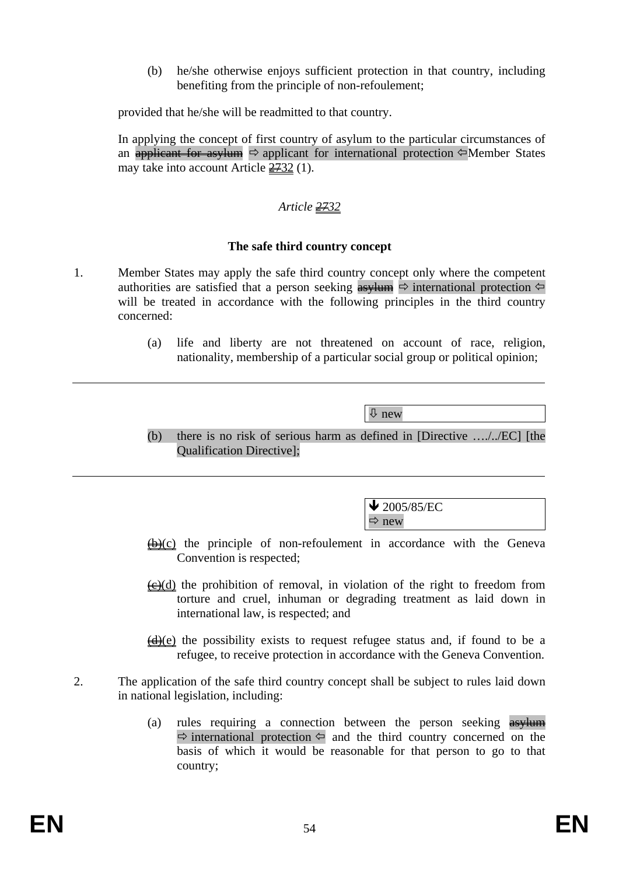(b) he/she otherwise enjoys sufficient protection in that country, including benefiting from the principle of non-refoulement;

provided that he/she will be readmitted to that country.

In applying the concept of first country of asylum to the particular circumstances of an applicant for asylum  $\Rightarrow$  applicant for international protection  $\Leftarrow$  Member States may take into account Article  $\frac{2732}{1}$ .

### *Article 2732*

#### **The safe third country concept**

- 1. Member States may apply the safe third country concept only where the competent authorities are satisfied that a person seeking  $\frac{1}{\sqrt{2}}$  international protection  $\Leftrightarrow$ will be treated in accordance with the following principles in the third country concerned:
	- (a) life and liberty are not threatened on account of race, religion, nationality, membership of a particular social group or political opinion;

Ø new

(b) there is no risk of serious harm as defined in [Directive …./../EC] [the Qualification Directive];

> $\bigvee$  2005/85/EC  $\Rightarrow$  new

- $\bigoplus$  (c) the principle of non-refoulement in accordance with the Geneva Convention is respected;
- $\overline{(e)}$ (d) the prohibition of removal, in violation of the right to freedom from torture and cruel, inhuman or degrading treatment as laid down in international law, is respected; and
- $\left(\frac{d}{dx}\right)(e)$  the possibility exists to request refugee status and, if found to be a refugee, to receive protection in accordance with the Geneva Convention.
- 2. The application of the safe third country concept shall be subject to rules laid down in national legislation, including:
	- (a) rules requiring a connection between the person seeking asylum  $\Rightarrow$  international protection  $\Leftarrow$  and the third country concerned on the basis of which it would be reasonable for that person to go to that country;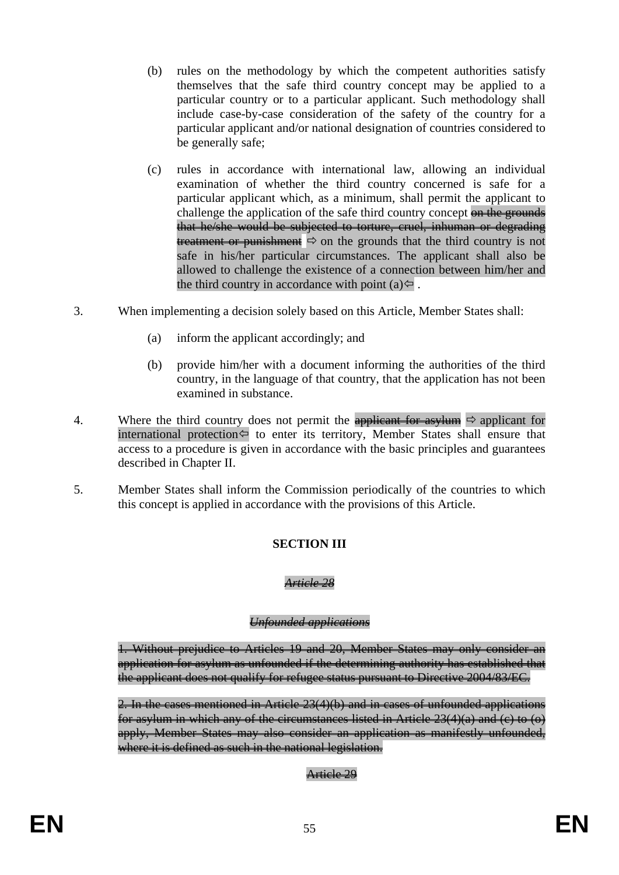- (b) rules on the methodology by which the competent authorities satisfy themselves that the safe third country concept may be applied to a particular country or to a particular applicant. Such methodology shall include case-by-case consideration of the safety of the country for a particular applicant and/or national designation of countries considered to be generally safe;
- (c) rules in accordance with international law, allowing an individual examination of whether the third country concerned is safe for a particular applicant which, as a minimum, shall permit the applicant to challenge the application of the safe third country concept on the grounds that he/she would be subjected to torture, cruel, inhuman or degrading treatment or punishment  $\Rightarrow$  on the grounds that the third country is not safe in his/her particular circumstances. The applicant shall also be allowed to challenge the existence of a connection between him/her and the third country in accordance with point (a) $\Leftrightarrow$ .
- 3. When implementing a decision solely based on this Article, Member States shall:
	- (a) inform the applicant accordingly; and
	- (b) provide him/her with a document informing the authorities of the third country, in the language of that country, that the application has not been examined in substance.
- 4. Where the third country does not permit the applicant for asylum  $\Rightarrow$  applicant for international protection  $\Leftrightarrow$  to enter its territory, Member States shall ensure that access to a procedure is given in accordance with the basic principles and guarantees described in Chapter II.
- 5. Member States shall inform the Commission periodically of the countries to which this concept is applied in accordance with the provisions of this Article.

# **SECTION III**

### *Article 28*

#### *Unfounded applications*

1. Without prejudice to Articles 19 and 20, Member States may only consider an application for asylum as unfounded if the determining authority has established that the applicant does not qualify for refugee status pursuant to Directive 2004/83/EC.

2. In the cases mentioned in Article 23(4)(b) and in cases of unfounded applications for asylum in which any of the circumstances listed in Article  $23(4)(a)$  and (c) to (o) apply, Member States may also consider an application as manifestly unfounded, where it is defined as such in the national legislation.

#### Article 29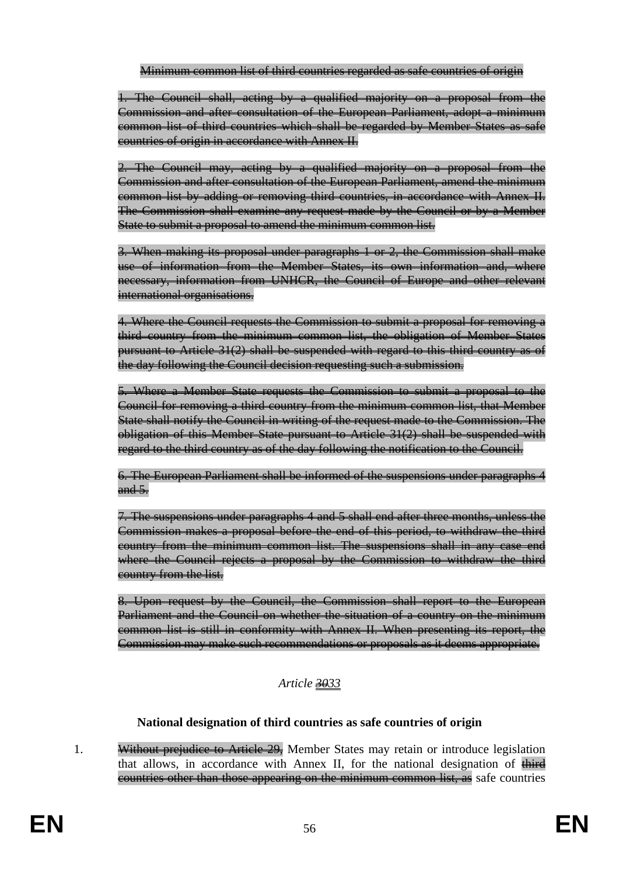Minimum common list of third countries regarded as safe countries of origin

1. The Council shall, acting by a qualified majority on a proposal from the Commission and after consultation of the European Parliament, adopt a minimum common list of third countries which shall be regarded by Member States as safe countries of origin in accordance with Annex II.

2. The Council may, acting by a qualified majority on a proposal from the Commission and after consultation of the European Parliament, amend the minimum common list by adding or removing third countries, in accordance with Annex II. The Commission shall examine any request made by the Council or by a Member State to submit a proposal to amend the minimum common list.

3. When making its proposal under paragraphs 1 or 2, the Commission shall make use of information from the Member States, its own information and, where necessary, information from UNHCR, the Council of Europe and other relevant international organisations.

4. Where the Council requests the Commission to submit a proposal for removing a third country from the minimum common list, the obligation of Member States pursuant to Article 31(2) shall be suspended with regard to this third country as of the day following the Council decision requesting such a submission.

5. Where a Member State requests the Commission to submit a proposal to the Council for removing a third country from the minimum common list, that Member State shall notify the Council in writing of the request made to the Commission. The obligation of this Member State pursuant to Article 31(2) shall be suspended with regard to the third country as of the day following the notification to the Council.

6. The European Parliament shall be informed of the suspensions under paragraphs 4 and 5.

7. The suspensions under paragraphs 4 and 5 shall end after three months, unless the Commission makes a proposal before the end of this period, to withdraw the third country from the minimum common list. The suspensions shall in any case end where the Council rejects a proposal by the Commission to withdraw the third country from the list.

8. Upon request by the Council, the Commission shall report to the European Parliament and the Council on whether the situation of a country on the minimum common list is still in conformity with Annex II. When presenting its report, the Commission may make such recommendations or proposals as it deems appropriate.

# *Article 3033*

# **National designation of third countries as safe countries of origin**

1. Without prejudice to Article 29, Member States may retain or introduce legislation that allows, in accordance with Annex II, for the national designation of  $\theta$ countries other than those appearing on the minimum common list, as safe countries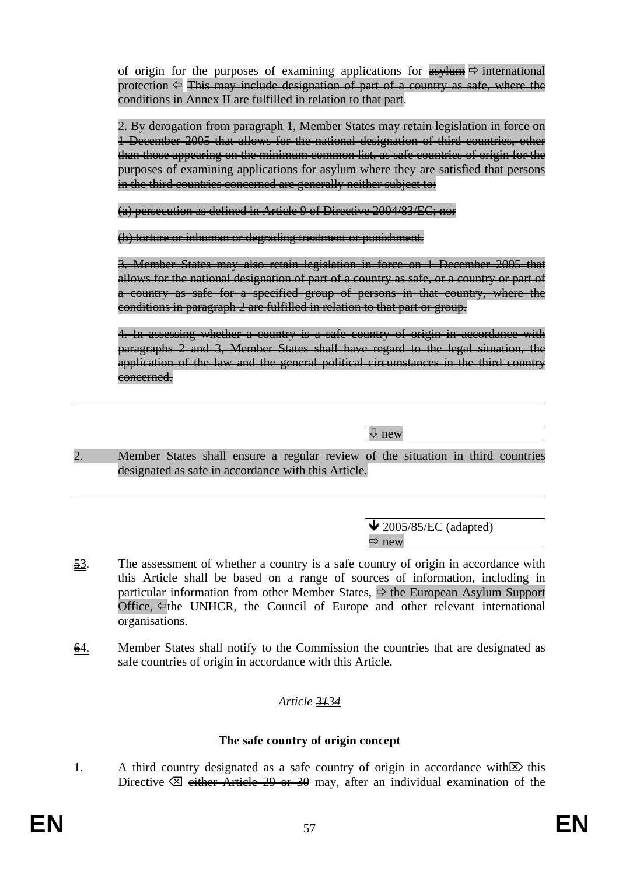of origin for the purposes of examining applications for  $\frac{1}{\text{as}}$  international protection  $\Diamond$  This may include designation of part of a country as safe, where the conditions in Annex II are fulfilled in relation to that part.

2. By derogation from paragraph 1, Member States may retain legislation in force on 1 December 2005 that allows for the national designation of third countries, other than those appearing on the minimum common list, as safe countries of origin for the purposes of examining applications for asylum where they are satisfied that persons in the third countries concerned are generally neither subject to:

(a) persecution as defined in Article 9 of Directive 2004/83/EC; nor

(b) torture or inhuman or degrading treatment or punishment.

3. Member States may also retain legislation in force on 1 December 2005 that allows for the national designation of part of a country as safe, or a country or part of a country as safe for a specified group of persons in that country, where the conditions in paragraph 2 are fulfilled in relation to that part or group.

4. In assessing whether a country is a safe country of origin in accordance with paragraphs 2 and 3, Member States shall have regard to the legal situation, the application of the law and the general political circumstances in the third country concerned.

Ø new

2. Member States shall ensure a regular review of the situation in third countries designated as safe in accordance with this Article.

> $\triangle$  2005/85/EC (adapted)  $\Rightarrow$  new

- $\frac{53}{2}$ . The assessment of whether a country is a safe country of origin in accordance with this Article shall be based on a range of sources of information, including in particular information from other Member States,  $\Rightarrow$  the European Asylum Support Office,  $\Leftarrow$  the UNHCR, the Council of Europe and other relevant international organisations.
- 64. Member States shall notify to the Commission the countries that are designated as safe countries of origin in accordance with this Article.

# *Article 3134*

### **The safe country of origin concept**

1. A third country designated as a safe country of origin in accordance with  $\mathbb{Z}$  this Directive  $\boxtimes$  either Article 29 or 30 may, after an individual examination of the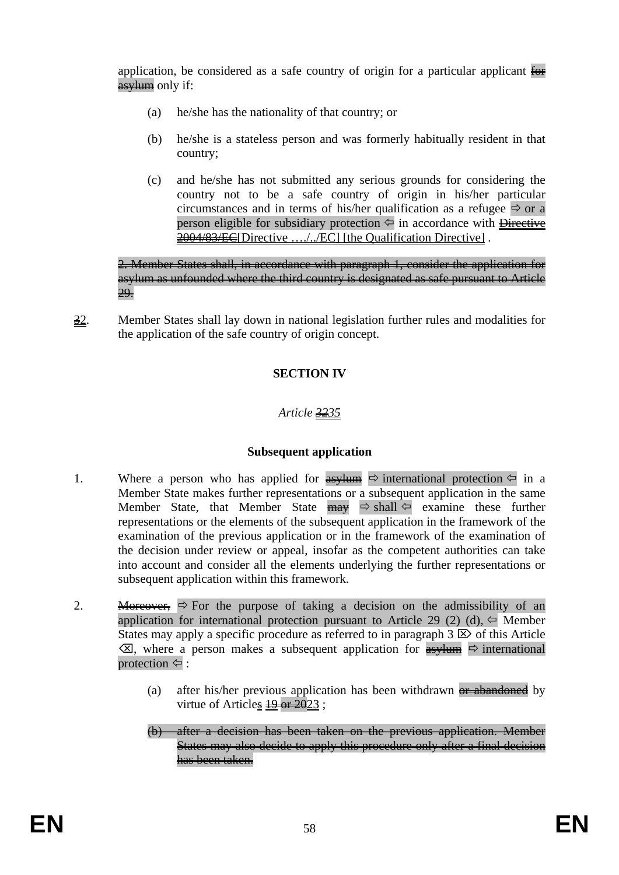application, be considered as a safe country of origin for a particular applicant  $\overline{\text{for}}$ asylum only if:

- (a) he/she has the nationality of that country; or
- (b) he/she is a stateless person and was formerly habitually resident in that country;
- (c) and he/she has not submitted any serious grounds for considering the country not to be a safe country of origin in his/her particular circumstances and in terms of his/her qualification as a refugee  $\Rightarrow$  or a person eligible for subsidiary protection  $\Diamond$  in accordance with Directive 2004/83/EC[Directive ..../../EC] [the Qualification Directive].

2. Member States shall, in accordance with paragraph 1, consider the application for asylum as unfounded where the third country is designated as safe pursuant to Article  $20.$ 

32. Member States shall lay down in national legislation further rules and modalities for the application of the safe country of origin concept.

# **SECTION IV**

# *Article 3235*

# **Subsequent application**

- 1. Where a person who has applied for  $\frac{4s}{3}$  where in a in a international protection  $\leftarrow$  in a Member State makes further representations or a subsequent application in the same Member State, that Member State  $\frac{m}{m}$   $\Rightarrow$  shall  $\Leftarrow$  examine these further representations or the elements of the subsequent application in the framework of the examination of the previous application or in the framework of the examination of the decision under review or appeal, insofar as the competent authorities can take into account and consider all the elements underlying the further representations or subsequent application within this framework.
- 2. Moreover,  $\Rightarrow$  For the purpose of taking a decision on the admissibility of an application for international protection pursuant to Article 29 (2) (d),  $\Leftarrow$  Member States may apply a specific procedure as referred to in paragraph  $3 \boxtimes$  of this Article  $\overline{\otimes}$ , where a person makes a subsequent application for  $\overline{\text{asy}}$  international protection  $\Leftrightarrow$  :
	- (a) after his/her previous application has been withdrawn  $\theta$  abandoned by virtue of Articles  $\frac{19}{20}$  or  $2023$ ;
	- (b) after a decision has been taken on the previous application. Member States may also decide to apply this procedure only after a final decision has been taken.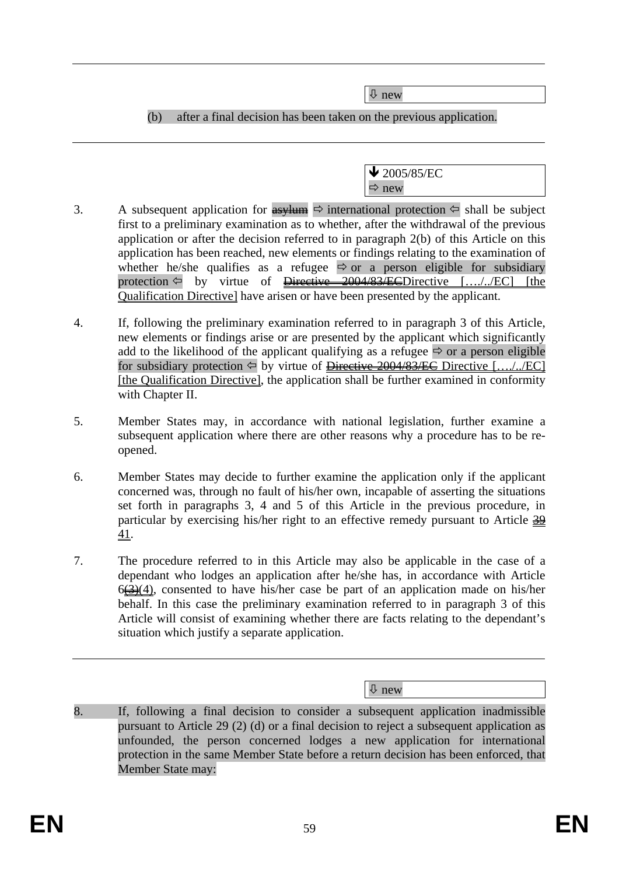Ø new

(b) after a final decision has been taken on the previous application.

 $\blacktriangleright$  2005/85/EC  $\Rightarrow$  new

- 3. A subsequent application for  $\frac{as}{\pm}$  international protection  $\Leftrightarrow$  shall be subject first to a preliminary examination as to whether, after the withdrawal of the previous application or after the decision referred to in paragraph 2(b) of this Article on this application has been reached, new elements or findings relating to the examination of whether he/she qualifies as a refugee  $\Rightarrow$  or a person eligible for subsidiary protection  $\Leftarrow$  by virtue of <del>Directive 2004/83/EC</del>Directive [..../../EC] [the Qualification Directive] have arisen or have been presented by the applicant.
- 4. If, following the preliminary examination referred to in paragraph 3 of this Article, new elements or findings arise or are presented by the applicant which significantly add to the likelihood of the applicant qualifying as a refugee  $\Rightarrow$  or a person eligible for subsidiary protection  $\Leftarrow$  by virtue of Directive 2004/83/EC Directive [..../../EC] [the Qualification Directive], the application shall be further examined in conformity with Chapter II.
- 5. Member States may, in accordance with national legislation, further examine a subsequent application where there are other reasons why a procedure has to be reopened.
- 6. Member States may decide to further examine the application only if the applicant concerned was, through no fault of his/her own, incapable of asserting the situations set forth in paragraphs 3, 4 and 5 of this Article in the previous procedure, in particular by exercising his/her right to an effective remedy pursuant to Article  $\frac{39}{29}$ 41.
- 7. The procedure referred to in this Article may also be applicable in the case of a dependant who lodges an application after he/she has, in accordance with Article  $6\left(\frac{3}{2}\right)(4)$ , consented to have his/her case be part of an application made on his/her behalf. In this case the preliminary examination referred to in paragraph 3 of this Article will consist of examining whether there are facts relating to the dependant's situation which justify a separate application.

Ø new

8. If, following a final decision to consider a subsequent application inadmissible pursuant to Article 29 (2) (d) or a final decision to reject a subsequent application as unfounded, the person concerned lodges a new application for international protection in the same Member State before a return decision has been enforced, that Member State may: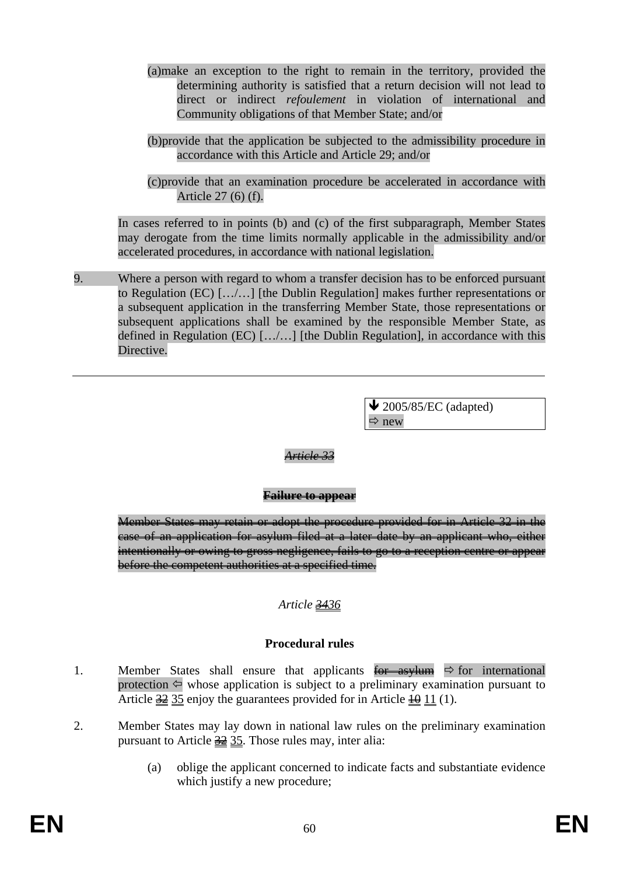- (a)make an exception to the right to remain in the territory, provided the determining authority is satisfied that a return decision will not lead to direct or indirect *refoulement* in violation of international and Community obligations of that Member State; and/or
- (b)provide that the application be subjected to the admissibility procedure in accordance with this Article and Article 29; and/or
- (c)provide that an examination procedure be accelerated in accordance with Article 27 (6) (f).

In cases referred to in points (b) and (c) of the first subparagraph, Member States may derogate from the time limits normally applicable in the admissibility and/or accelerated procedures, in accordance with national legislation.

9. Where a person with regard to whom a transfer decision has to be enforced pursuant to Regulation (EC) […/…] [the Dublin Regulation] makes further representations or a subsequent application in the transferring Member State, those representations or subsequent applications shall be examined by the responsible Member State, as defined in Regulation (EC)  $\left[\ldots\right]$ ....] [the Dublin Regulation], in accordance with this Directive.

> $\blacktriangleright$  2005/85/EC (adapted)  $\Rightarrow$  new

#### *Article 33*

#### **Failure to appear**

Member States may retain or adopt the procedure provided for in Article 32 in the case of an application for asylum filed at a later date by an applicant who, either intentionally or owing to gross negligence, fails to go to a reception centre or appear before the competent authorities at a specified time.

### *Article 3436*

#### **Procedural rules**

- 1. Member States shall ensure that applicants  $\overline{for}$  asylum  $\Rightarrow$  for international protection  $\Leftrightarrow$  whose application is subject to a preliminary examination pursuant to Article  $\frac{32}{23}$  35 enjoy the guarantees provided for in Article  $\frac{10}{21}$  (1).
- 2. Member States may lay down in national law rules on the preliminary examination pursuant to Article  $\frac{32}{25}$ . Those rules may, inter alia:
	- (a) oblige the applicant concerned to indicate facts and substantiate evidence which justify a new procedure;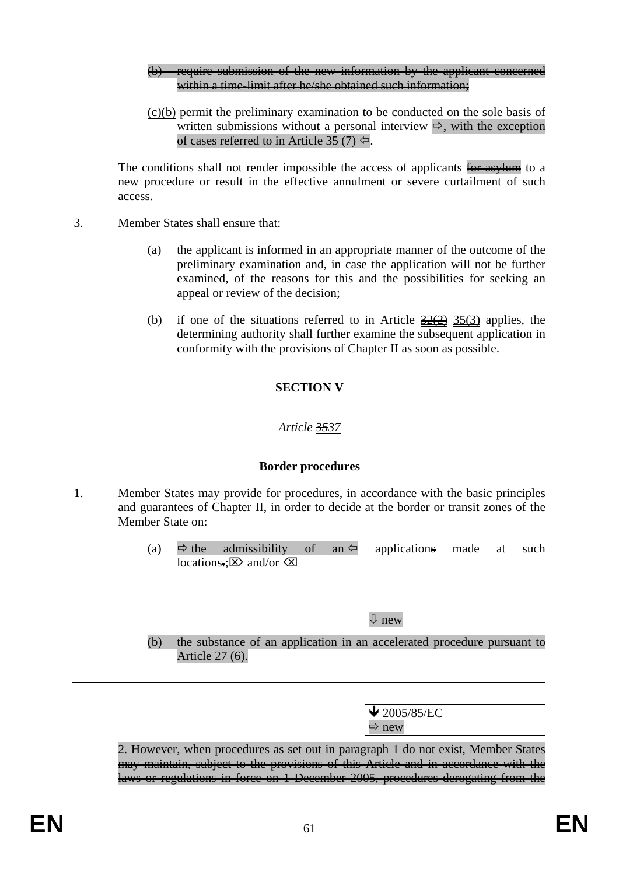#### (b) require submission of the new information by the applicant concerned within a time-limit after he/she obtained such information;

 $\leftrightarrow$  (b) permit the preliminary examination to be conducted on the sole basis of written submissions without a personal interview  $\Rightarrow$ , with the exception of cases referred to in Article 35 (7)  $\Leftrightarrow$ .

The conditions shall not render impossible the access of applicants for asylum to a new procedure or result in the effective annulment or severe curtailment of such access.

- 3. Member States shall ensure that:
	- (a) the applicant is informed in an appropriate manner of the outcome of the preliminary examination and, in case the application will not be further examined, of the reasons for this and the possibilities for seeking an appeal or review of the decision;
	- (b) if one of the situations referred to in Article  $\frac{32(2)}{25(3)}$  applies, the determining authority shall further examine the subsequent application in conformity with the provisions of Chapter II as soon as possible.

# **SECTION V**

# *Article 3537*

### **Border procedures**

- 1. Member States may provide for procedures, in accordance with the basic principles and guarantees of Chapter II, in order to decide at the border or transit zones of the Member State on:
	- (a)  $\Rightarrow$  the admissibility of an  $\Leftarrow$  applications made at such locations. $\Rightarrow$  and/or  $\otimes$

Ø new (b) the substance of an application in an accelerated procedure pursuant to Article 27 (6).  $\sqrt{2005/85/EC}$  $\Rightarrow$  new 2. However, when procedures as set out in paragraph 1 do not exist, Member States may maintain, subject to the provisions of this Article and in accordance with the laws or regulations in force on 1 December 2005, procedures derogating from the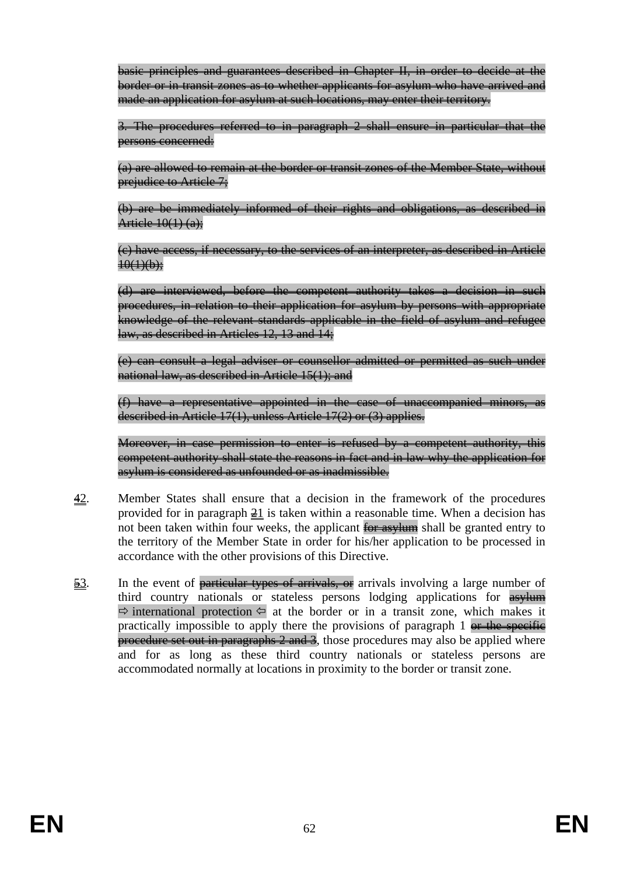basic principles and guarantees described in Chapter II, in order to decide at the border or in transit zones as to whether applicants for asylum who have arrived and made an application for asylum at such locations, may enter their territory.

3. The procedures referred to in paragraph 2 shall ensure in particular that the persons concerned:

(a) are allowed to remain at the border or transit zones of the Member State, without prejudice to Article 7;

(b) are be immediately informed of their rights and obligations, as described in Article  $10(1)$  (a):

(c) have access, if necessary, to the services of an interpreter, as described in Article  $10(1)(b)$ :

(d) are interviewed, before the competent authority takes a decision in such procedures, in relation to their application for asylum by persons with appropriate knowledge of the relevant standards applicable in the field of asylum and refugee law, as described in Articles 12, 13 and 14;

(e) can consult a legal adviser or counsellor admitted or permitted as such under national law, as described in Article 15(1); and

(f) have a representative appointed in the case of unaccompanied minors, as described in Article 17(1), unless Article 17(2) or (3) applies.

Moreover, in case permission to enter is refused by a competent authority, this competent authority shall state the reasons in fact and in law why the application for asylum is considered as unfounded or as inadmissible.

- 42. Member States shall ensure that a decision in the framework of the procedures provided for in paragraph  $\geq 1$  is taken within a reasonable time. When a decision has not been taken within four weeks, the applicant for asylum shall be granted entry to the territory of the Member State in order for his/her application to be processed in accordance with the other provisions of this Directive.
- $\frac{53}{2}$ . In the event of particular types of arrivals, or arrivals involving a large number of third country nationals or stateless persons lodging applications for  $\frac{1}{\text{asylum}}$  $\Rightarrow$  international protection  $\Leftarrow$  at the border or in a transit zone, which makes it practically impossible to apply there the provisions of paragraph  $1$  or the specific procedure set out in paragraphs 2 and 3, those procedures may also be applied where and for as long as these third country nationals or stateless persons are accommodated normally at locations in proximity to the border or transit zone.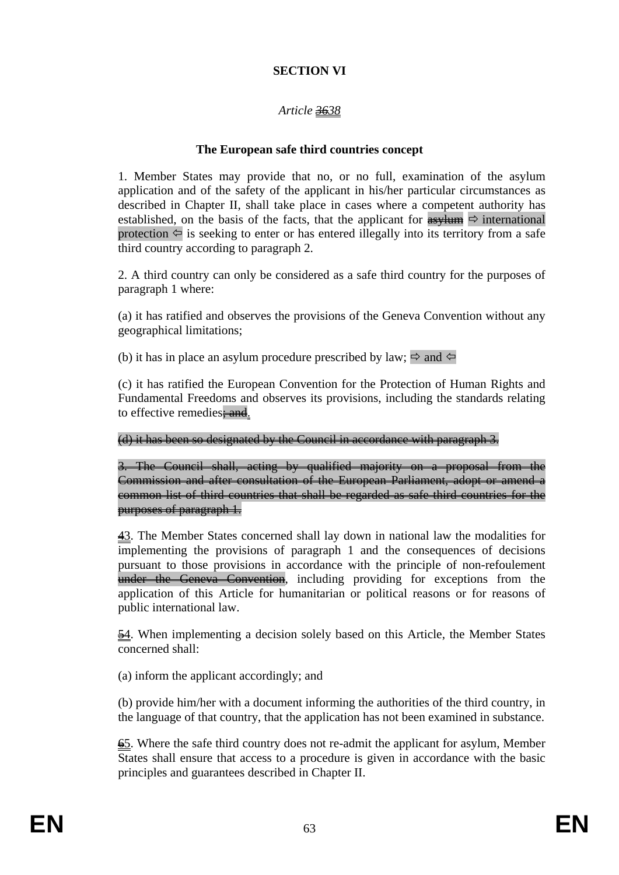## **SECTION VI**

# *Article 3638*

### **The European safe third countries concept**

1. Member States may provide that no, or no full, examination of the asylum application and of the safety of the applicant in his/her particular circumstances as described in Chapter II, shall take place in cases where a competent authority has established, on the basis of the facts, that the applicant for  $\frac{1}{\text{asylum}} \Rightarrow$  international protection  $\Leftarrow$  is seeking to enter or has entered illegally into its territory from a safe third country according to paragraph 2.

2. A third country can only be considered as a safe third country for the purposes of paragraph 1 where:

(a) it has ratified and observes the provisions of the Geneva Convention without any geographical limitations;

(b) it has in place an asylum procedure prescribed by law;  $\Rightarrow$  and  $\Leftarrow$ 

(c) it has ratified the European Convention for the Protection of Human Rights and Fundamental Freedoms and observes its provisions, including the standards relating to effective remedies: and.

(d) it has been so designated by the Council in accordance with paragraph 3.

3. The Council shall, acting by qualified majority on a proposal from the Commission and after consultation of the European Parliament, adopt or amend a common list of third countries that shall be regarded as safe third countries for the purposes of paragraph 1.

43. The Member States concerned shall lay down in national law the modalities for implementing the provisions of paragraph 1 and the consequences of decisions pursuant to those provisions in accordance with the principle of non-refoulement under the Geneva Convention, including providing for exceptions from the application of this Article for humanitarian or political reasons or for reasons of public international law.

54. When implementing a decision solely based on this Article, the Member States concerned shall:

(a) inform the applicant accordingly; and

(b) provide him/her with a document informing the authorities of the third country, in the language of that country, that the application has not been examined in substance.

65. Where the safe third country does not re-admit the applicant for asylum, Member States shall ensure that access to a procedure is given in accordance with the basic principles and guarantees described in Chapter II.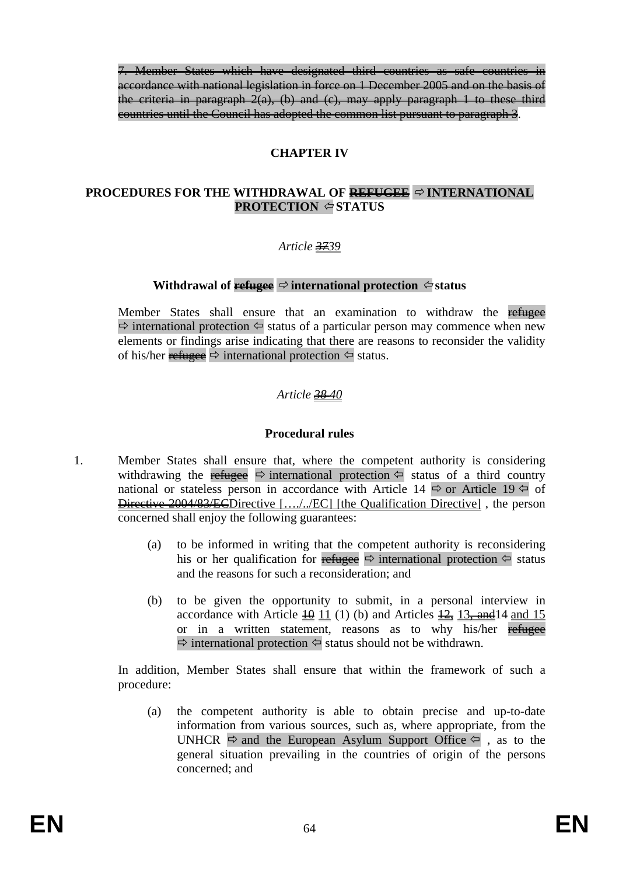7. Member States which have designated third countries as safe countries in accordance with national legislation in force on 1 December 2005 and on the basis of the criteria in paragraph  $2(a)$ , (b) and (c), may apply paragraph 1 to these third countries until the Council has adopted the common list pursuant to paragraph 3.

### **CHAPTER IV**

### **PROCEDURES FOR THE WITHDRAWAL OF REFUGEE**  $\Rightarrow$  **INTERNATIONAL PROTECTION STATUS**

### *Article 3739*

### **Withdrawal of**  $\frac{ref{degree}}{\Leftrightarrow}$  **international protection**  $\Leftrightarrow$  status

Member States shall ensure that an examination to withdraw the refugee  $\Rightarrow$  international protection  $\Leftarrow$  status of a particular person may commence when new elements or findings arise indicating that there are reasons to reconsider the validity of his/her refugee  $\Rightarrow$  international protection  $\Leftrightarrow$  status.

### *Article 38 40*

### **Procedural rules**

- 1. Member States shall ensure that, where the competent authority is considering withdrawing the refugee  $\Rightarrow$  international protection  $\Leftrightarrow$  status of a third country national or stateless person in accordance with Article 14  $\Rightarrow$  or Article 19  $\Leftarrow$  of Directive 2004/83/ECDirective […./../EC] [the Qualification Directive] , the person concerned shall enjoy the following guarantees:
	- (a) to be informed in writing that the competent authority is reconsidering his or her qualification for refugee  $\Rightarrow$  international protection  $\Leftarrow$  status and the reasons for such a reconsideration; and
	- (b) to be given the opportunity to submit, in a personal interview in accordance with Article  $\frac{10}{11}$  (1) (b) and Articles  $\frac{12}{12}$ ,  $\frac{13}{12}$ , and  $\frac{14}{12}$  and  $\frac{15}{12}$ or in a written statement, reasons as to why his/her refugee  $\Rightarrow$  international protection  $\Leftrightarrow$  status should not be withdrawn.

In addition, Member States shall ensure that within the framework of such a procedure:

(a) the competent authority is able to obtain precise and up-to-date information from various sources, such as, where appropriate, from the UNHCR  $\Rightarrow$  and the European Asylum Support Office  $\Leftarrow$ , as to the general situation prevailing in the countries of origin of the persons concerned; and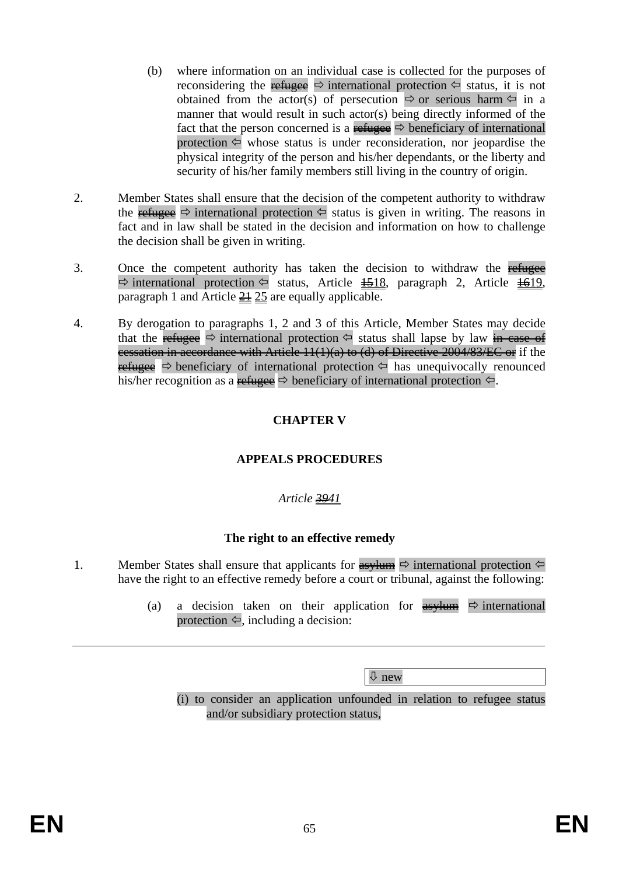- (b) where information on an individual case is collected for the purposes of reconsidering the refugee  $\Rightarrow$  international protection  $\Leftarrow$  status, it is not obtained from the actor(s) of persecution  $\Rightarrow$  or serious harm  $\Leftarrow$  in a manner that would result in such actor(s) being directly informed of the fact that the person concerned is a refugee  $\Rightarrow$  beneficiary of international protection  $\Leftarrow$  whose status is under reconsideration, nor jeopardise the physical integrity of the person and his/her dependants, or the liberty and security of his/her family members still living in the country of origin.
- 2. Member States shall ensure that the decision of the competent authority to withdraw the refugee  $\Rightarrow$  international protection  $\Leftarrow$  status is given in writing. The reasons in fact and in law shall be stated in the decision and information on how to challenge the decision shall be given in writing.
- 3. Once the competent authority has taken the decision to withdraw the refugee  $\Rightarrow$  international protection  $\Leftrightarrow$  status, Article  $\frac{1518}{161}$ , paragraph 2, Article  $\frac{1619}{161}$ paragraph 1 and Article  $\frac{21}{25}$  are equally applicable.
- 4. By derogation to paragraphs 1, 2 and 3 of this Article, Member States may decide that the refugee  $\Rightarrow$  international protection  $\Leftrightarrow$  status shall lapse by law in case of cessation in accordance with Article 11(1)(a) to (d) of Directive 2004/83/EC or if the refugee  $\Rightarrow$  beneficiary of international protection  $\Leftrightarrow$  has unequivocally renounced his/her recognition as a refugee  $\Rightarrow$  beneficiary of international protection  $\Leftarrow$ .

# **CHAPTER V**

# **APPEALS PROCEDURES**

# *Article 3941*

# **The right to an effective remedy**

- 1. Member States shall ensure that applicants for  $\frac{asy \text{ }}{x}$  international protection  $\Leftrightarrow$ have the right to an effective remedy before a court or tribunal, against the following:
	- (a) a decision taken on their application for  $\frac{as}{y \tan \phi}$  international protection  $\Leftarrow$ , including a decision:

Ø new

(i) to consider an application unfounded in relation to refugee status and/or subsidiary protection status,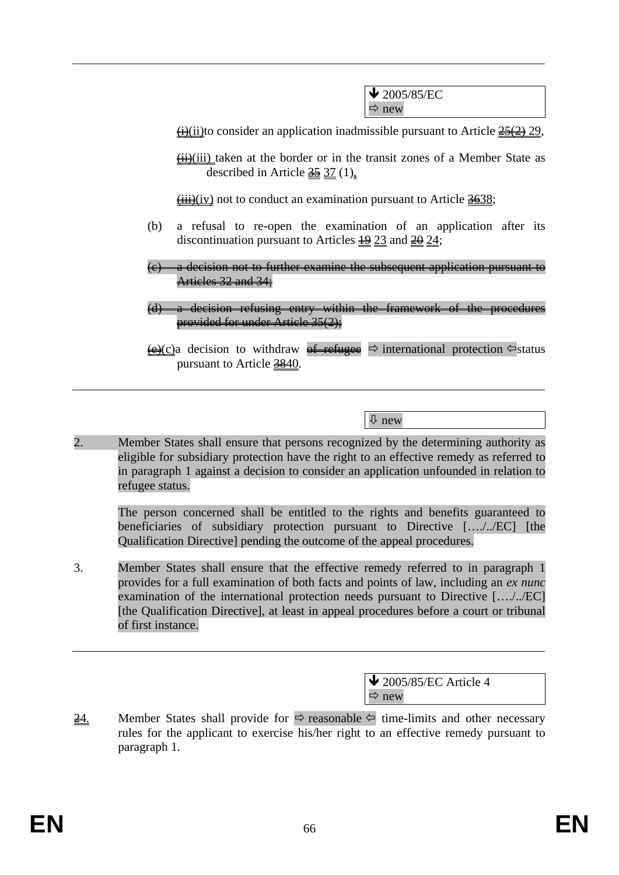$\bigvee$  2005/85/EC  $\Rightarrow$  new

 $\leftrightarrow$ (ii)to consider an application inadmissible pursuant to Article  $\frac{25(2)}{2}$  29,

 $\overrightarrow{H}$ (iii) taken at the border or in the transit zones of a Member State as described in Article  $\frac{35}{25}$  37 (1),

 $\overrightarrow{iii}$ (iv) not to conduct an examination pursuant to Article  $\frac{3638}{120}$ ;

- (b) a refusal to re-open the examination of an application after its discontinuation pursuant to Articles  $\frac{19}{23}$  and  $\frac{20}{24}$ ;
- (c) a decision not to further examine the subsequent application pursuant to Articles 32 and 34;
- (d) a decision refusing entry within the framework of the procedures provided for under Article 35(2);
- $\overline{\Theta}(c)$ a decision to withdraw of refugee  $\Rightarrow$  international protection  $\Leftarrow$  status pursuant to Article 3840.

Ø new

2. Member States shall ensure that persons recognized by the determining authority as eligible for subsidiary protection have the right to an effective remedy as referred to in paragraph 1 against a decision to consider an application unfounded in relation to refugee status.

The person concerned shall be entitled to the rights and benefits guaranteed to beneficiaries of subsidiary protection pursuant to Directive […./../EC] [the Qualification Directive] pending the outcome of the appeal procedures.

3. Member States shall ensure that the effective remedy referred to in paragraph 1 provides for a full examination of both facts and points of law, including an *ex nunc*  examination of the international protection needs pursuant to Directive […./../EC] [the Qualification Directive], at least in appeal procedures before a court or tribunal of first instance.

> $\bigvee$  2005/85/EC Article 4  $\Rightarrow$  new

 $\frac{24}{10}$  Member States shall provide for  $\Rightarrow$  reasonable  $\Leftarrow$  time-limits and other necessary rules for the applicant to exercise his/her right to an effective remedy pursuant to paragraph 1.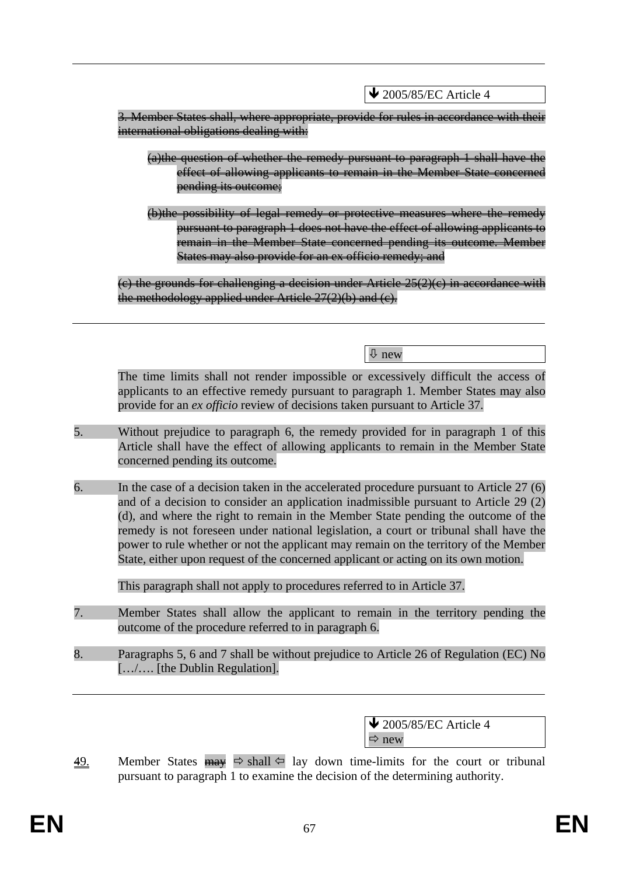$\bigvee$  2005/85/EC Article 4

3. Member States shall, where appropriate, provide for rules in accordance with their international obligations dealing with:

- (a)the question of whether the remedy pursuant to paragraph 1 shall have the effect of allowing applicants to remain in the Member State concerned pending its outcome;
- (b)the possibility of legal remedy or protective measures where the remedy pursuant to paragraph 1 does not have the effect of allowing applicants to remain in the Member State concerned pending its outcome. Member States may also provide for an ex officio remedy; and

 $(e)$  the grounds for challenging a decision under Article  $25(2)(e)$  in accordance with the methodology applied under Article  $27(2)(b)$  and  $(c)$ .

Ø new

The time limits shall not render impossible or excessively difficult the access of applicants to an effective remedy pursuant to paragraph 1. Member States may also provide for an *ex officio* review of decisions taken pursuant to Article 37.

- 5. Without prejudice to paragraph 6, the remedy provided for in paragraph 1 of this Article shall have the effect of allowing applicants to remain in the Member State concerned pending its outcome.
- 6. In the case of a decision taken in the accelerated procedure pursuant to Article 27 (6) and of a decision to consider an application inadmissible pursuant to Article 29 (2) (d), and where the right to remain in the Member State pending the outcome of the remedy is not foreseen under national legislation, a court or tribunal shall have the power to rule whether or not the applicant may remain on the territory of the Member State, either upon request of the concerned applicant or acting on its own motion.

This paragraph shall not apply to procedures referred to in Article 37.

- 7. Member States shall allow the applicant to remain in the territory pending the outcome of the procedure referred to in paragraph 6.
- 8. Paragraphs 5, 6 and 7 shall be without prejudice to Article 26 of Regulation (EC) No […/…. [the Dublin Regulation].

 $\overline{\text{4}}$  2005/85/EC Article 4  $\Rightarrow$  new

49. Member States  $\frac{m}{m}$   $\Rightarrow$  shall  $\Leftarrow$  lay down time-limits for the court or tribunal pursuant to paragraph 1 to examine the decision of the determining authority.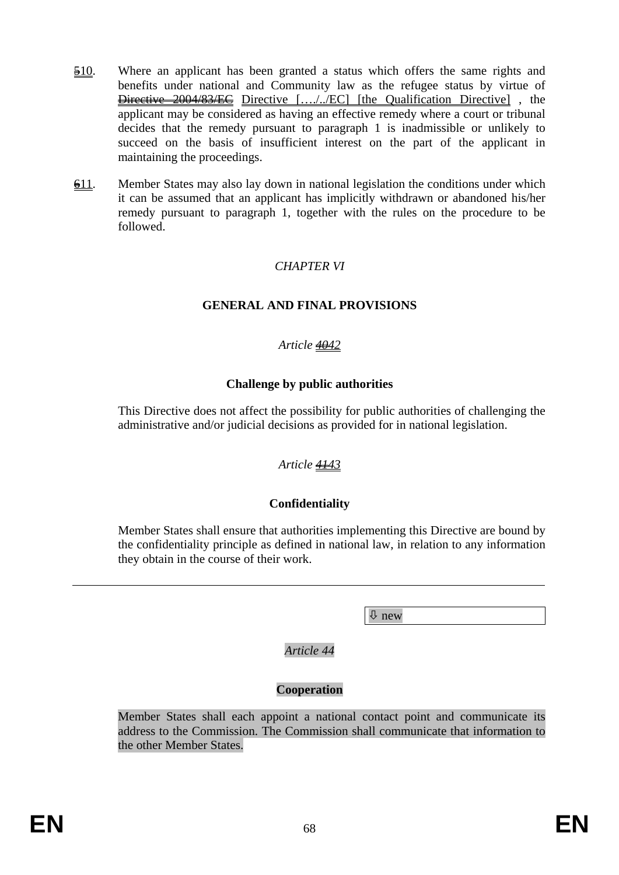- 510. Where an applicant has been granted a status which offers the same rights and benefits under national and Community law as the refugee status by virtue of Directive 2004/83/EC Directive […./../EC] [the Qualification Directive] , the applicant may be considered as having an effective remedy where a court or tribunal decides that the remedy pursuant to paragraph 1 is inadmissible or unlikely to succeed on the basis of insufficient interest on the part of the applicant in maintaining the proceedings.
- $\frac{611}{2}$ . Member States may also lay down in national legislation the conditions under which it can be assumed that an applicant has implicitly withdrawn or abandoned his/her remedy pursuant to paragraph 1, together with the rules on the procedure to be followed.

# *CHAPTER VI*

#### **GENERAL AND FINAL PROVISIONS**

#### *Article 4042*

#### **Challenge by public authorities**

This Directive does not affect the possibility for public authorities of challenging the administrative and/or judicial decisions as provided for in national legislation.

### *Article 4143*

### **Confidentiality**

Member States shall ensure that authorities implementing this Directive are bound by the confidentiality principle as defined in national law, in relation to any information they obtain in the course of their work.

Ø new

*Article 44* 

### **Cooperation**

Member States shall each appoint a national contact point and communicate its address to the Commission. The Commission shall communicate that information to the other Member States.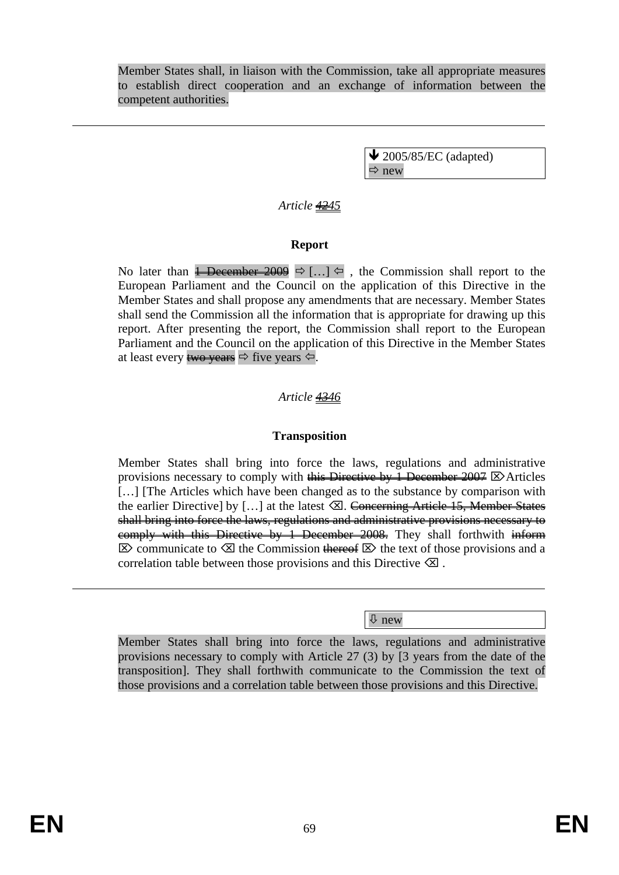Member States shall, in liaison with the Commission, take all appropriate measures to establish direct cooperation and an exchange of information between the competent authorities.

> $\blacktriangleright$  2005/85/EC (adapted)  $\Rightarrow$  new

## *Article 4245*

#### **Report**

No later than  $\frac{1}{2009}$   $\Rightarrow$  [...]  $\Leftarrow$  , the Commission shall report to the European Parliament and the Council on the application of this Directive in the Member States and shall propose any amendments that are necessary. Member States shall send the Commission all the information that is appropriate for drawing up this report. After presenting the report, the Commission shall report to the European Parliament and the Council on the application of this Directive in the Member States at least every two years  $\Leftrightarrow$  five years  $\Leftrightarrow$ .

#### *Article 4346*

#### **Transposition**

Member States shall bring into force the laws, regulations and administrative provisions necessary to comply with this Directive by 1 December 2007  $\boxtimes$  Articles [...] [The Articles which have been changed as to the substance by comparison with the earlier Directive] by [...] at the latest  $\boxtimes$ . Concerning Article 15, Member States shall bring into force the laws, regulations and administrative provisions necessary to eomply with this Directive by 1 December 2008. They shall forthwith inform  $\boxtimes$  communicate to  $\boxtimes$  the Commission thereof  $\boxtimes$  the text of those provisions and a correlation table between those provisions and this Directive  $\otimes$ .

Ø new

Member States shall bring into force the laws, regulations and administrative provisions necessary to comply with Article 27 (3) by [3 years from the date of the transposition]. They shall forthwith communicate to the Commission the text of those provisions and a correlation table between those provisions and this Directive.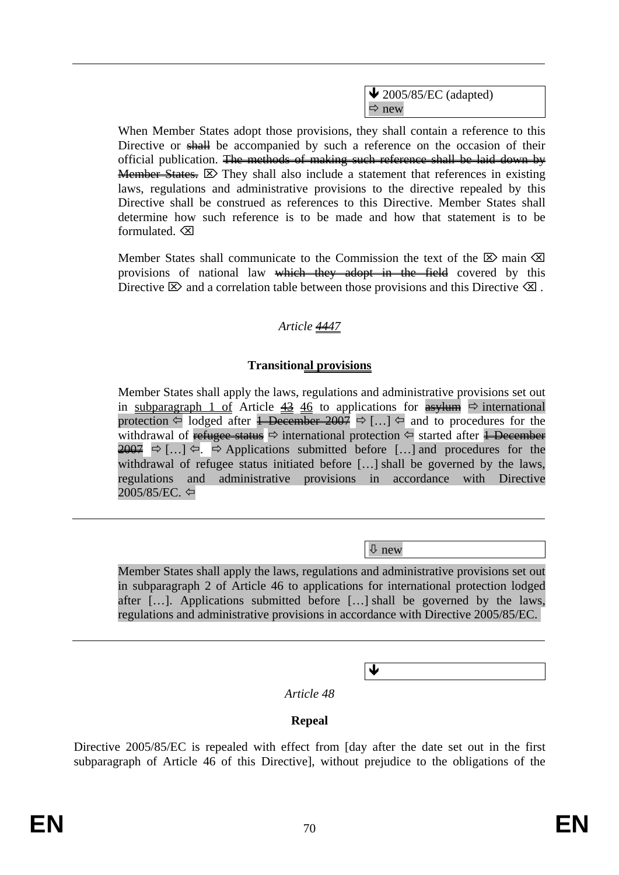$\blacktriangleright$  2005/85/EC (adapted)  $\Rightarrow$  new

When Member States adopt those provisions, they shall contain a reference to this Directive or shall be accompanied by such a reference on the occasion of their official publication. The methods of making such reference shall be laid down by **Member States.**  $\boxtimes$  They shall also include a statement that references in existing laws, regulations and administrative provisions to the directive repealed by this Directive shall be construed as references to this Directive. Member States shall determine how such reference is to be made and how that statement is to be formulated $\sqrt{\mathsf{X}}$ 

Member States shall communicate to the Commission the text of the  $\boxtimes$  main  $\boxtimes$ provisions of national law which they adopt in the field covered by this Directive  $\boxtimes$  and a correlation table between those provisions and this Directive  $\boxtimes$ .

### *Article 4447*

### **Transitional provisions**

Member States shall apply the laws, regulations and administrative provisions set out in subparagraph 1 of Article  $\frac{43}{46}$  to applications for  $\frac{4}{9}$  international protection  $\Leftarrow$  lodged after <del>1 December 2007</del>  $\Rightarrow$  [...]  $\Leftrightarrow$  and to procedures for the withdrawal of refugee status  $\Rightarrow$  international protection  $\Leftrightarrow$  started after <del>1 December</del>  $2007 \Rightarrow$  [...]  $\Leftrightarrow$   $\Rightarrow$  Applications submitted before [...] and procedures for the withdrawal of refugee status initiated before […] shall be governed by the laws, regulations and administrative provisions in accordance with Directive 2005/85/EC. ⇔

Ø new

Ð

Member States shall apply the laws, regulations and administrative provisions set out in subparagraph 2 of Article 46 to applications for international protection lodged after […]. Applications submitted before […] shall be governed by the laws, regulations and administrative provisions in accordance with Directive 2005/85/EC.

*Article 48* 

### **Repeal**

Directive 2005/85/EC is repealed with effect from [day after the date set out in the first subparagraph of Article 46 of this Directive], without prejudice to the obligations of the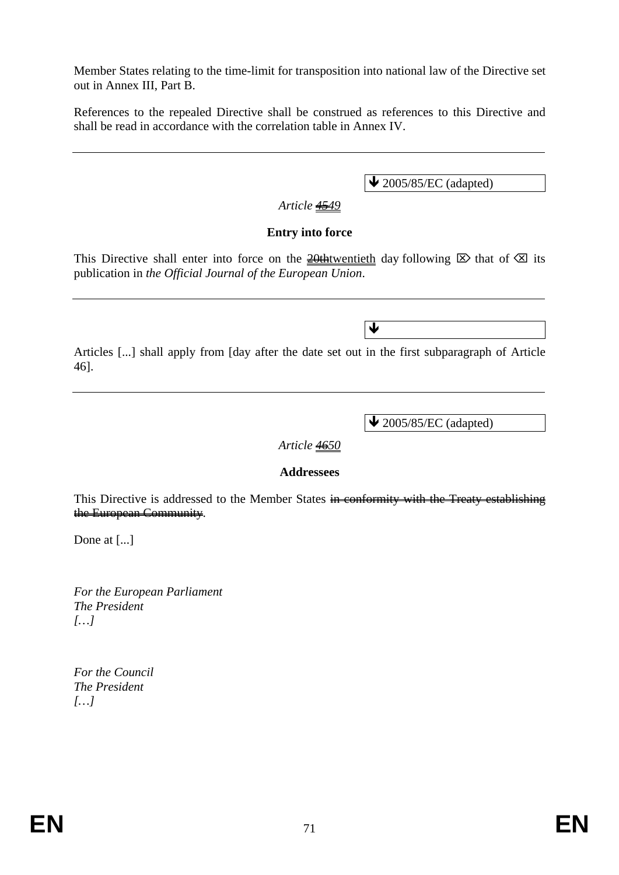Member States relating to the time-limit for transposition into national law of the Directive set out in Annex III, Part B.

References to the repealed Directive shall be construed as references to this Directive and shall be read in accordance with the correlation table in Annex IV.

 $\triangle$  2005/85/EC (adapted)

### *Article 4549*

#### **Entry into force**

This Directive shall enter into force on the  $\frac{20 \text{th} \text{t} \cdot \text{th}}{20 \text{th}}$  day following  $\boxtimes$  that of  $\boxtimes$  its publication in *the Official Journal of the European Union*.

Articles [...] shall apply from [day after the date set out in the first subparagraph of Article 46].

Ð

 $\blacktriangleright$  2005/85/EC (adapted)

#### *Article 4650*

#### **Addressees**

This Directive is addressed to the Member States in conformity with the Treaty establishing the European Community.

Done at [...]

*For the European Parliament The President […]* 

*For the Council The President […]*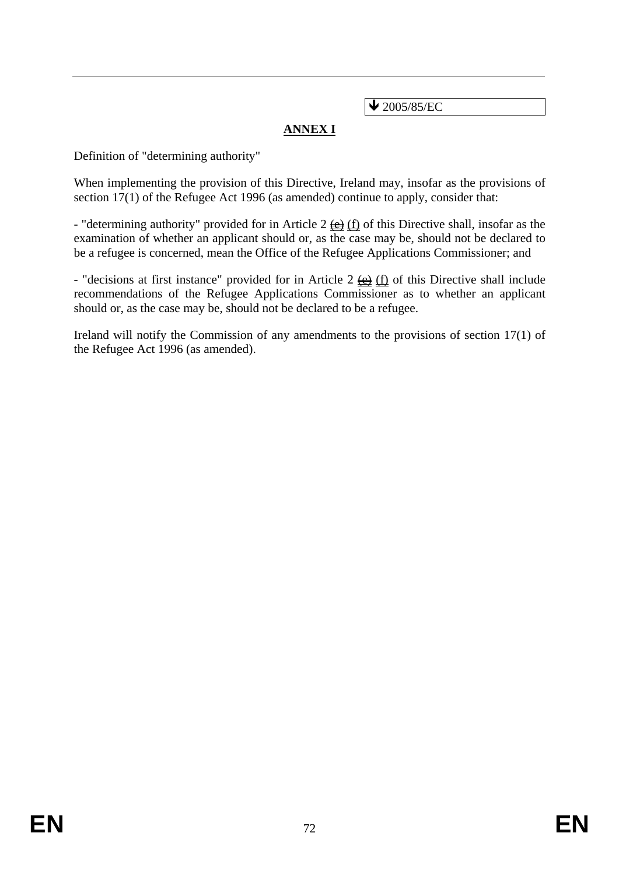$\bigvee$  2005/85/EC

# **ANNEX I**

Definition of "determining authority"

When implementing the provision of this Directive, Ireland may, insofar as the provisions of section 17(1) of the Refugee Act 1996 (as amended) continue to apply, consider that:

- "determining authority" provided for in Article 2  $\leftrightarrow$  (f) of this Directive shall, insofar as the examination of whether an applicant should or, as the case may be, should not be declared to be a refugee is concerned, mean the Office of the Refugee Applications Commissioner; and

- "decisions at first instance" provided for in Article 2  $\frac{1}{2}$  (f) of this Directive shall include recommendations of the Refugee Applications Commissioner as to whether an applicant should or, as the case may be, should not be declared to be a refugee.

Ireland will notify the Commission of any amendments to the provisions of section 17(1) of the Refugee Act 1996 (as amended).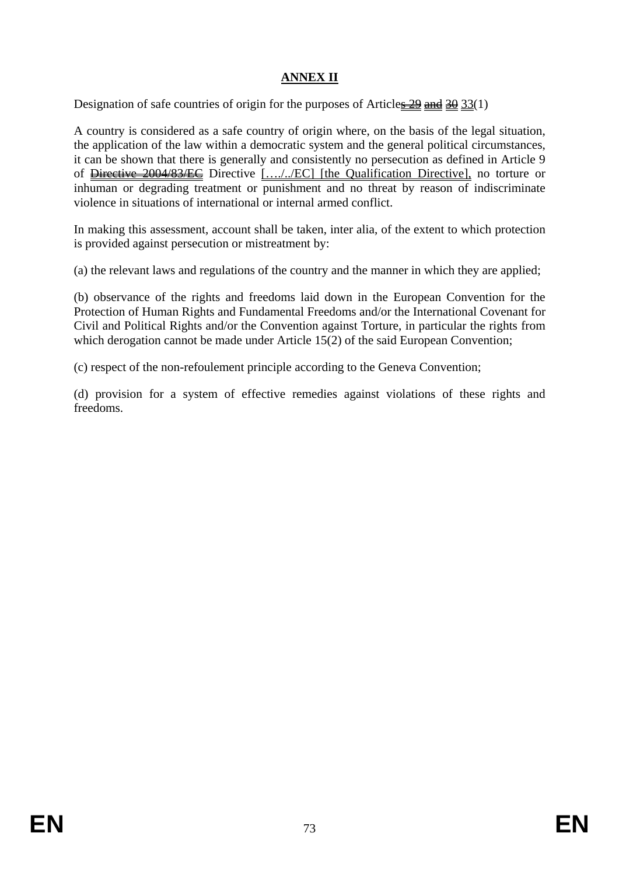## **ANNEX II**

Designation of safe countries of origin for the purposes of Articles  $\frac{29}{21}$  and  $\frac{30}{23}(1)$ 

A country is considered as a safe country of origin where, on the basis of the legal situation, the application of the law within a democratic system and the general political circumstances, it can be shown that there is generally and consistently no persecution as defined in Article 9 of Directive 2004/83/EC Directive […./../EC] [the Qualification Directive], no torture or inhuman or degrading treatment or punishment and no threat by reason of indiscriminate violence in situations of international or internal armed conflict.

In making this assessment, account shall be taken, inter alia, of the extent to which protection is provided against persecution or mistreatment by:

(a) the relevant laws and regulations of the country and the manner in which they are applied;

(b) observance of the rights and freedoms laid down in the European Convention for the Protection of Human Rights and Fundamental Freedoms and/or the International Covenant for Civil and Political Rights and/or the Convention against Torture, in particular the rights from which derogation cannot be made under Article 15(2) of the said European Convention;

(c) respect of the non-refoulement principle according to the Geneva Convention;

(d) provision for a system of effective remedies against violations of these rights and freedoms.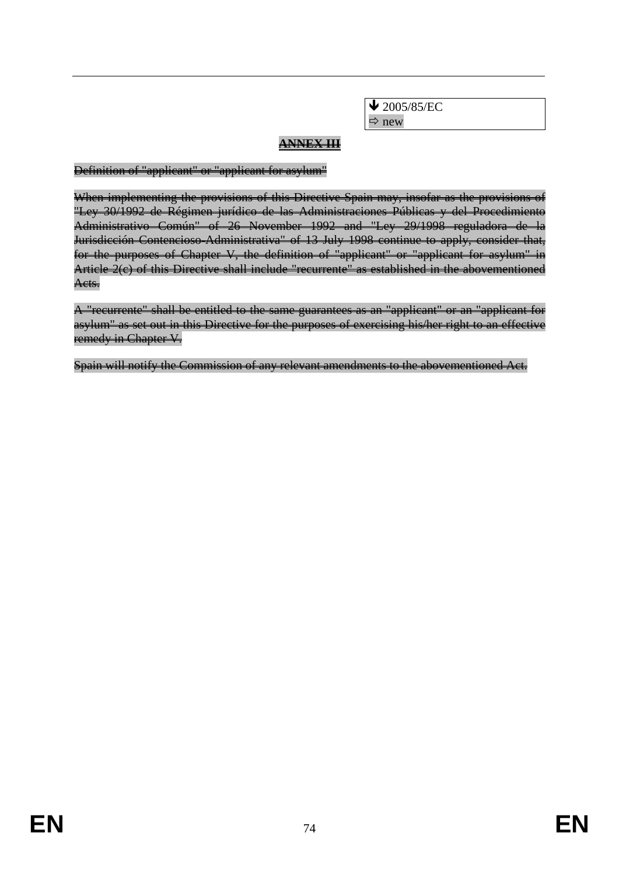$\bigvee$  2005/85/EC  $\Rightarrow$  new

## **ANNEX III**

Definition of "applicant" or "applicant for asylum"

When implementing the provisions of this Directive Spain may, insofar as the provisions of "Ley 30/1992 de Régimen jurídico de las Administraciones Públicas y del Procedimiento Administrativo Común" of 26 November 1992 and "Ley 29/1998 reguladora de la Jurisdicción Contencioso-Administrativa" of 13 July 1998 continue to apply, consider that, for the purposes of Chapter V, the definition of "applicant" or "applicant for asylum" in Article 2(c) of this Directive shall include "recurrente" as established in the abovementioned Acts.

A "recurrente" shall be entitled to the same guarantees as an "applicant" or an "applicant for asylum" as set out in this Directive for the purposes of exercising his/her right to an effective remedy in Chapter V.

Spain will notify the Commission of any relevant amendments to the abovementioned Act.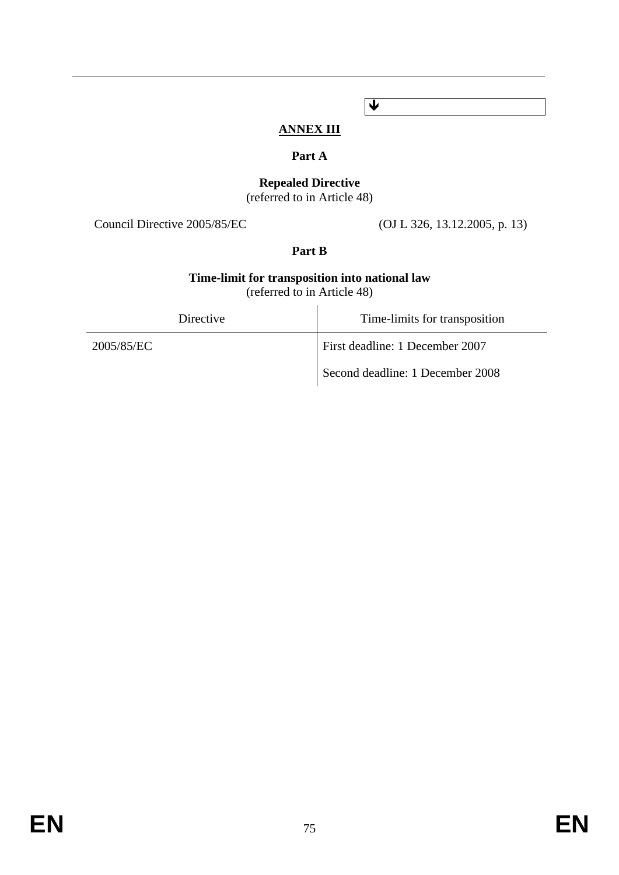# **ANNEX III**

Ð

## **Part A**

# **Repealed Directive**

(referred to in Article 48)

Council Directive 2005/85/EC (OJ L 326, 13.12.2005, p. 13)

## **Part B**

### **Time-limit for transposition into national law**  (referred to in Article 48)

| Directive  | Time-limits for transposition    |
|------------|----------------------------------|
| 2005/85/EC | First deadline: 1 December 2007  |
|            | Second deadline: 1 December 2008 |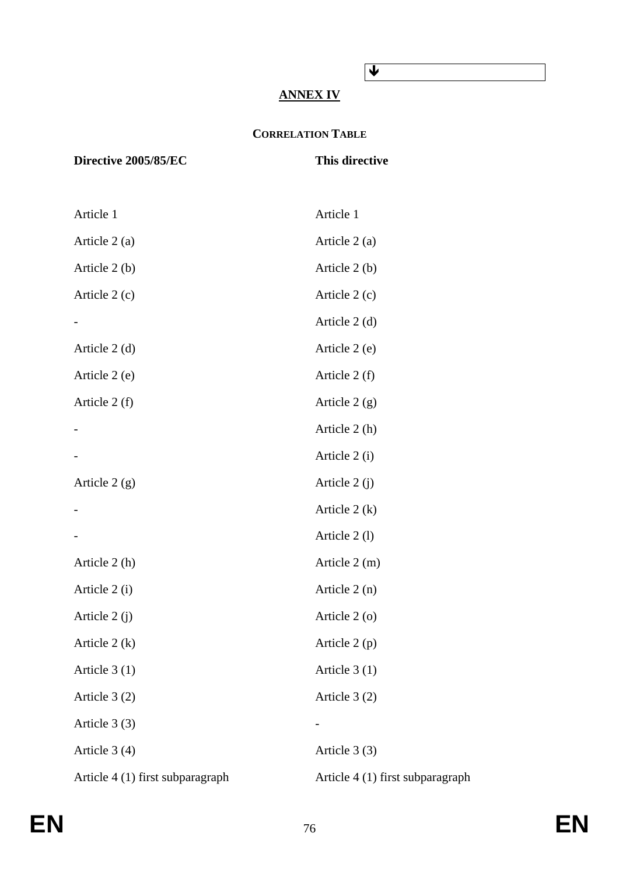## Ð

## **ANNEX IV**

## **CORRELATION TABLE**

## **Directive 2005/85/EC** This directive

| Article 1                        | Article 1                        |
|----------------------------------|----------------------------------|
| Article 2 (a)                    | Article 2 (a)                    |
| Article $2(b)$                   | Article 2 (b)                    |
| Article $2(c)$                   | Article $2(c)$                   |
|                                  | Article $2(d)$                   |
| Article $2(d)$                   | Article 2 (e)                    |
| Article 2 (e)                    | Article $2(f)$                   |
| Article $2(f)$                   | Article $2(g)$                   |
|                                  | Article 2 (h)                    |
|                                  | Article 2 (i)                    |
| Article $2(g)$                   | Article $2(j)$                   |
|                                  | Article $2(k)$                   |
|                                  | Article 2(1)                     |
| Article 2 (h)                    | Article $2(m)$                   |
| Article 2 (i)                    | Article $2(n)$                   |
| Article $2(j)$                   | Article 2 (o)                    |
| Article $2(k)$                   | Article $2(p)$                   |
| Article $3(1)$                   | Article $3(1)$                   |
| Article $3(2)$                   | Article 3 (2)                    |
| Article $3(3)$                   |                                  |
| Article $3(4)$                   | Article 3 (3)                    |
| Article 4 (1) first subparagraph | Article 4 (1) first subparagraph |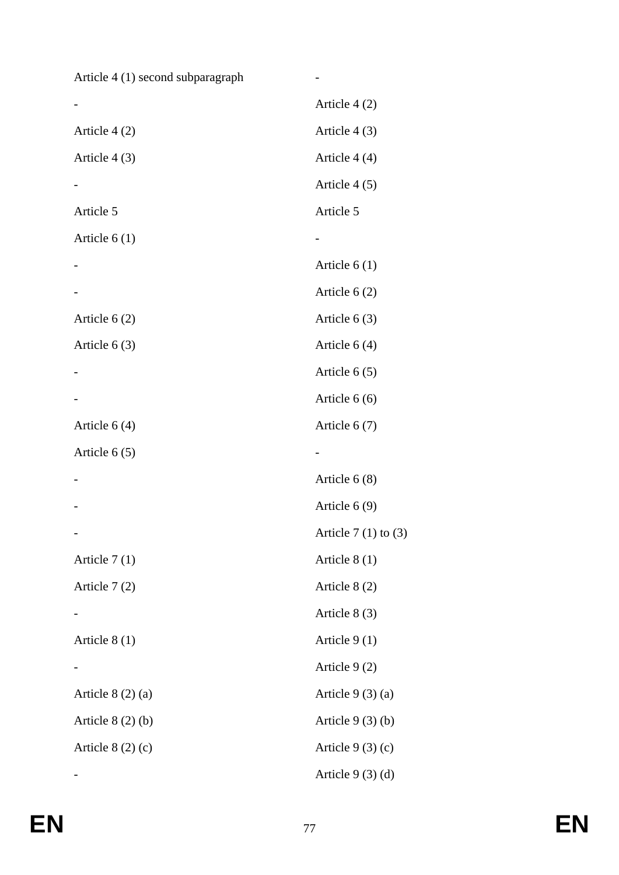Article 4 (1) second subparagraph -

|                   | Article $4(2)$          |
|-------------------|-------------------------|
| Article 4 (2)     | Article $4(3)$          |
| Article $4(3)$    | Article 4 (4)           |
|                   | Article 4 (5)           |
| Article 5         | Article 5               |
| Article $6(1)$    |                         |
|                   | Article $6(1)$          |
|                   | Article $6(2)$          |
| Article $6(2)$    | Article $6(3)$          |
| Article $6(3)$    | Article $6(4)$          |
|                   | Article $6(5)$          |
|                   | Article $6(6)$          |
| Article $6(4)$    | Article $6(7)$          |
| Article $6(5)$    |                         |
|                   | Article $6(8)$          |
|                   | Article $6(9)$          |
|                   | Article $7(1)$ to $(3)$ |
| Article $7(1)$    | Article 8 (1)           |
| Article $7(2)$    | Article 8 (2)           |
|                   | Article $8(3)$          |
| Article $8(1)$    | Article $9(1)$          |
|                   | Article $9(2)$          |
| Article $8(2)(a)$ | Article $9(3)(a)$       |
| Article $8(2)(b)$ | Article $9(3)(b)$       |
| Article $8(2)(c)$ | Article $9(3)(c)$       |
|                   | Article $9(3)(d)$       |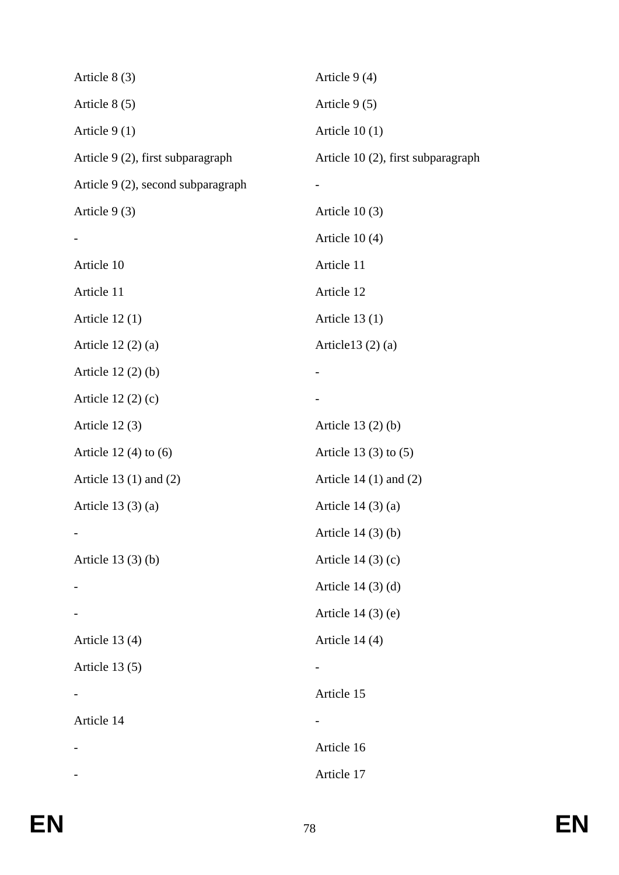| Article $8(3)$                     | Article 9 (4)                      |
|------------------------------------|------------------------------------|
| Article $8(5)$                     | Article 9 (5)                      |
| Article $9(1)$                     | Article $10(1)$                    |
| Article 9 (2), first subparagraph  | Article 10 (2), first subparagraph |
| Article 9 (2), second subparagraph |                                    |
| Article $9(3)$                     | Article $10(3)$                    |
|                                    | Article $10(4)$                    |
| Article 10                         | Article 11                         |
| Article 11                         | Article 12                         |
| Article $12(1)$                    | Article $13(1)$                    |
| Article $12(2)(a)$                 | Article $13(2)(a)$                 |
| Article $12(2)(b)$                 |                                    |
| Article $12(2)(c)$                 |                                    |
| Article $12(3)$                    | Article $13(2)(b)$                 |
| Article $12(4)$ to $(6)$           | Article $13(3)$ to $(5)$           |
| Article 13 $(1)$ and $(2)$         | Article 14 $(1)$ and $(2)$         |
| Article $13(3)(a)$                 | Article $14(3)(a)$                 |
|                                    | Article $14(3)(b)$                 |
| Article $13(3)(b)$                 | Article $14(3)(c)$                 |
|                                    | Article $14(3)(d)$                 |
|                                    | Article $14(3)$ (e)                |
| Article $13(4)$                    | Article $14(4)$                    |
| Article 13 (5)                     |                                    |
|                                    | Article 15                         |
| Article 14                         |                                    |
|                                    | Article 16                         |
|                                    | Article 17                         |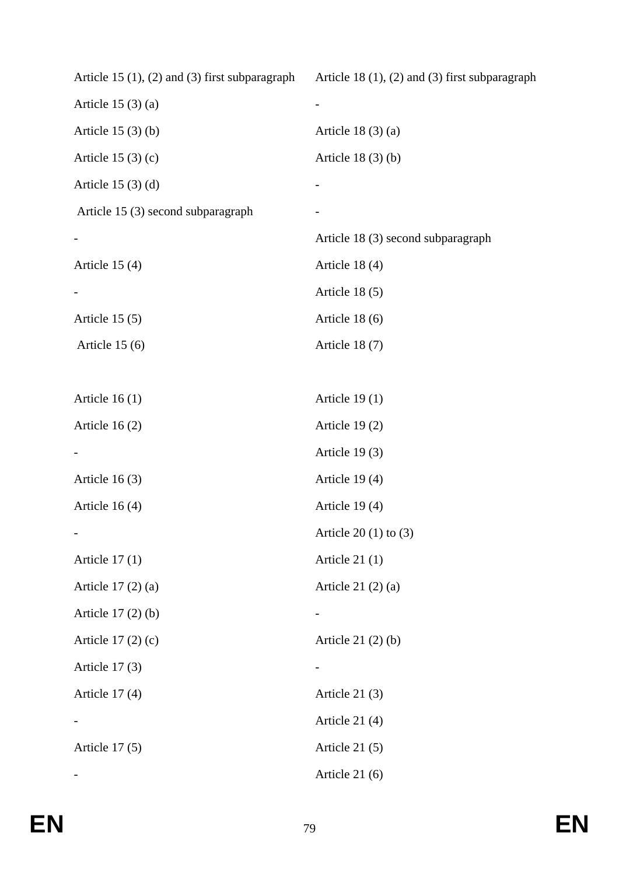| Article 15 $(1)$ , $(2)$ and $(3)$ first subparagraph | Article 18 $(1)$ , $(2)$ and $(3)$ first subparagraph |
|-------------------------------------------------------|-------------------------------------------------------|
| Article $15(3)(a)$                                    |                                                       |
| Article $15(3)(b)$                                    | Article $18(3)(a)$                                    |
| Article $15(3)(c)$                                    | Article $18(3)(b)$                                    |
| Article $15(3)(d)$                                    |                                                       |
| Article 15 (3) second subparagraph                    |                                                       |
|                                                       | Article 18 (3) second subparagraph                    |
| Article $15(4)$                                       | Article 18 (4)                                        |
|                                                       | Article $18(5)$                                       |
| Article $15(5)$                                       | Article 18 (6)                                        |
| Article $15(6)$                                       | Article $18(7)$                                       |
|                                                       |                                                       |
| Article $16(1)$                                       | Article $19(1)$                                       |
| Article $16(2)$                                       | Article $19(2)$                                       |
|                                                       | Article 19 (3)                                        |
| Article $16(3)$                                       | Article 19(4)                                         |
| Article $16(4)$                                       | Article 19 (4)                                        |
|                                                       | Article $20(1)$ to $(3)$                              |
| Article $17(1)$                                       | Article $21(1)$                                       |
| Article 17 (2) (a)                                    | Article $21(2)(a)$                                    |
| Article $17(2)(b)$                                    |                                                       |
| Article $17(2)(c)$                                    | Article $21(2)(b)$                                    |
| Article $17(3)$                                       | -                                                     |
| Article $17(4)$                                       | Article $21(3)$                                       |
|                                                       | Article $21(4)$                                       |
| Article $17(5)$                                       | Article $21(5)$                                       |
|                                                       | Article $21(6)$                                       |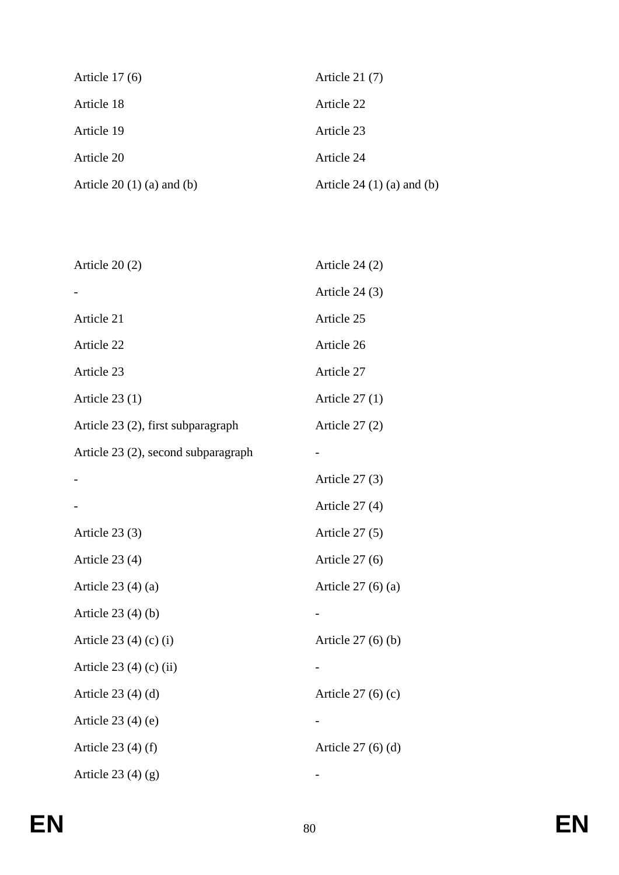| Article $17(6)$              | Article $21(7)$                  |
|------------------------------|----------------------------------|
| Article 18                   | Article 22                       |
| Article 19                   | Article 23                       |
| Article 20                   | Article 24                       |
| Article $20(1)(a)$ and $(b)$ | Article 24 $(1)$ $(a)$ and $(b)$ |

| Article $24(2)$    |
|--------------------|
| Article $24(3)$    |
| Article 25         |
| Article 26         |
| Article 27         |
| Article $27(1)$    |
| Article $27(2)$    |
|                    |
| Article $27(3)$    |
| Article $27(4)$    |
| Article $27(5)$    |
| Article $27(6)$    |
| Article $27(6)(a)$ |
|                    |
| Article $27(6)(b)$ |
|                    |
| Article $27(6)(c)$ |
|                    |
| Article $27(6)(d)$ |
|                    |
|                    |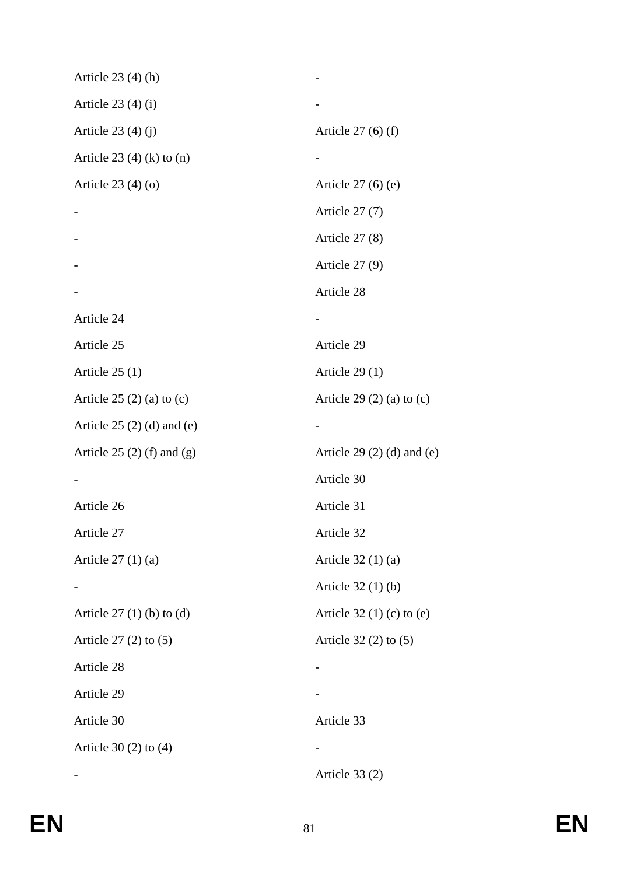| Article $23(4)(h)$            |                                  |
|-------------------------------|----------------------------------|
| Article $23(4)(i)$            |                                  |
| Article $23(4)(j)$            | Article $27(6)$ (f)              |
| Article 23 $(4)$ (k) to $(n)$ |                                  |
| Article $23(4)(o)$            | Article $27(6)$ (e)              |
|                               | Article $27(7)$                  |
|                               | Article $27(8)$                  |
|                               | Article $27(9)$                  |
|                               | Article 28                       |
| Article 24                    |                                  |
| Article 25                    | Article 29                       |
| Article $25(1)$               | Article $29(1)$                  |
| Article $25(2)$ (a) to (c)    | Article 29 $(2)$ $(a)$ to $(c)$  |
| Article $25(2)(d)$ and (e)    |                                  |
| Article $25(2)$ (f) and (g)   | Article 29 $(2)$ $(d)$ and $(e)$ |
|                               | Article 30                       |
| Article 26                    | Article 31                       |
| Article 27                    | Article 32                       |
| Article $27(1)(a)$            | Article $32(1)(a)$               |
|                               | Article 32 (1) (b)               |
| Article $27(1)$ (b) to (d)    | Article $32(1)(c)$ to $(e)$      |
| Article $27(2)$ to $(5)$      | Article $32(2)$ to $(5)$         |
| Article 28                    |                                  |
| Article 29                    |                                  |
| Article 30                    | Article 33                       |
| Article $30(2)$ to $(4)$      |                                  |
|                               | Article $33(2)$                  |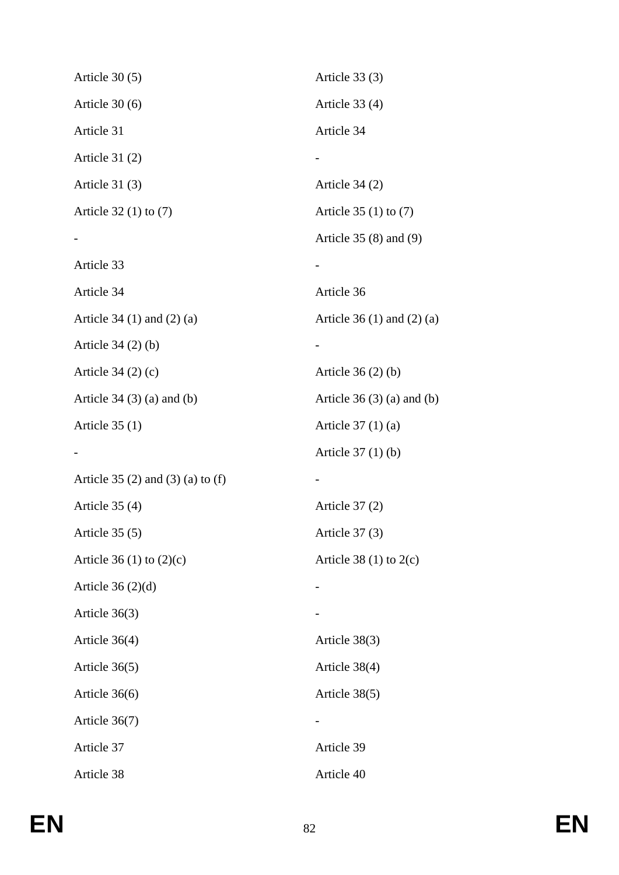| Article $30(5)$                           | Article $33(3)$                  |
|-------------------------------------------|----------------------------------|
| Article $30(6)$                           | Article $33(4)$                  |
| Article 31                                | Article 34                       |
| Article $31(2)$                           |                                  |
| Article $31(3)$                           | Article $34(2)$                  |
| Article $32(1)$ to $(7)$                  | Article $35(1)$ to $(7)$         |
|                                           | Article $35(8)$ and $(9)$        |
| Article 33                                |                                  |
| Article 34                                | Article 36                       |
| Article 34 $(1)$ and $(2)$ $(a)$          | Article 36 $(1)$ and $(2)$ $(a)$ |
| Article $34(2)(b)$                        |                                  |
| Article $34(2)(c)$                        | Article $36(2)(b)$               |
| Article $34(3)(a)$ and $(b)$              | Article $36(3)(a)$ and $(b)$     |
| Article $35(1)$                           | Article $37(1)(a)$               |
|                                           | Article $37(1)(b)$               |
| Article 35 $(2)$ and $(3)$ $(a)$ to $(f)$ |                                  |
| Article 35 (4)                            | Article $37(2)$                  |
| Article $35(5)$                           | Article 37 (3)                   |
| Article 36 (1) to $(2)(c)$                | Article 38 $(1)$ to 2 $(c)$      |
| Article $36(2)(d)$                        |                                  |
| Article $36(3)$                           |                                  |
| Article 36(4)                             | Article 38(3)                    |
| Article $36(5)$                           | Article 38(4)                    |
| Article 36(6)                             | Article 38(5)                    |
| Article 36(7)                             |                                  |
| Article 37                                | Article 39                       |
| Article 38                                | Article 40                       |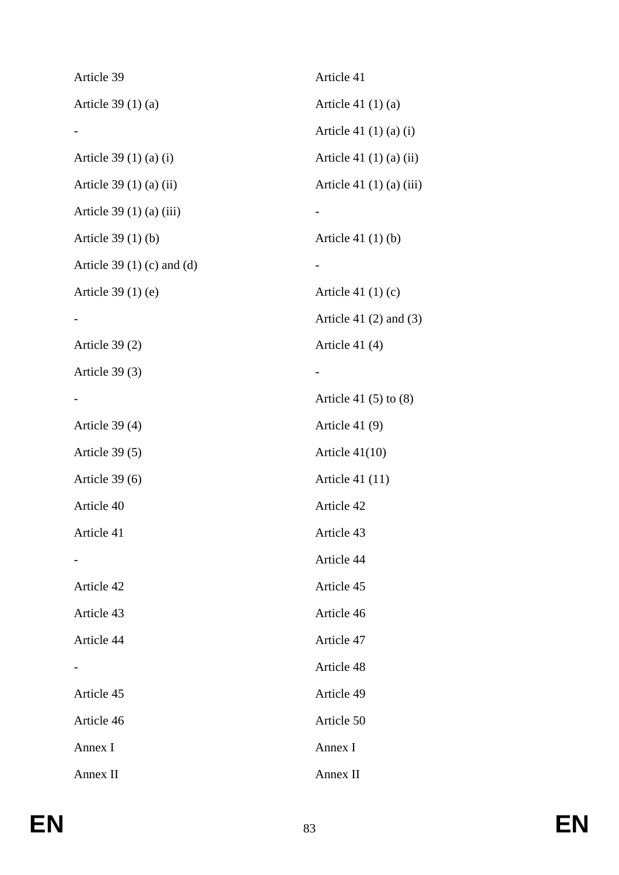| Article 39                       | Article 41                     |
|----------------------------------|--------------------------------|
| Article $39(1)(a)$               | Article 41 $(1)(a)$            |
|                                  | Article 41 $(1)(a)(i)$         |
| Article 39 (1) (a) (i)           | Article 41 $(1)$ $(a)$ $(ii)$  |
| Article $39(1)(a)(ii)$           | Article 41 $(1)$ $(a)$ $(iii)$ |
| Article 39 $(1)$ $(a)$ $(iii)$   |                                |
| Article $39(1)(b)$               | Article 41 $(1)(b)$            |
| Article 39 $(1)$ $(c)$ and $(d)$ |                                |
| Article $39(1)$ (e)              | Article 41 $(1)(c)$            |
|                                  | Article 41 $(2)$ and $(3)$     |
| Article $39(2)$                  | Article 41 (4)                 |
| Article $39(3)$                  |                                |
|                                  | Article 41 $(5)$ to $(8)$      |
| Article 39 (4)                   | Article 41 (9)                 |
| Article $39(5)$                  | Article $41(10)$               |
| Article $39(6)$                  | Article 41 $(11)$              |
| Article 40                       | Article 42                     |
| Article 41                       | Article 43                     |
|                                  | Article 44                     |
| Article 42                       | Article 45                     |
| Article 43                       | Article 46                     |
| Article 44                       | Article 47                     |
|                                  | Article 48                     |
| Article 45                       | Article 49                     |
| Article 46                       | Article 50                     |
| Annex I                          | Annex I                        |
| Annex II                         | Annex II                       |